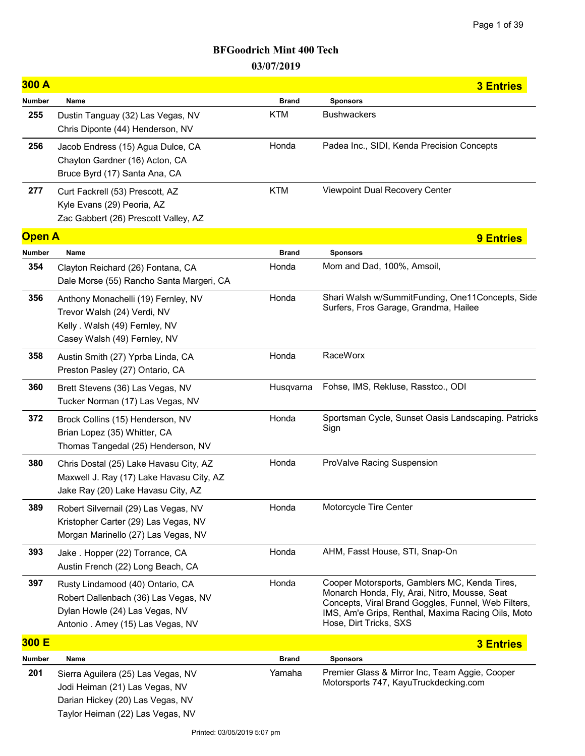| 300 A         |                                                                                                                                                 |              | <b>3 Entries</b>                                                                                                                                                                                                                      |
|---------------|-------------------------------------------------------------------------------------------------------------------------------------------------|--------------|---------------------------------------------------------------------------------------------------------------------------------------------------------------------------------------------------------------------------------------|
| Number        | Name                                                                                                                                            | <b>Brand</b> | <b>Sponsors</b>                                                                                                                                                                                                                       |
| 255           | Dustin Tanguay (32) Las Vegas, NV<br>Chris Diponte (44) Henderson, NV                                                                           | <b>KTM</b>   | <b>Bushwackers</b>                                                                                                                                                                                                                    |
| 256           | Jacob Endress (15) Agua Dulce, CA<br>Chayton Gardner (16) Acton, CA<br>Bruce Byrd (17) Santa Ana, CA                                            | Honda        | Padea Inc., SIDI, Kenda Precision Concepts                                                                                                                                                                                            |
| 277           | Curt Fackrell (53) Prescott, AZ<br>Kyle Evans (29) Peoria, AZ<br>Zac Gabbert (26) Prescott Valley, AZ                                           | <b>KTM</b>   | Viewpoint Dual Recovery Center                                                                                                                                                                                                        |
| <b>Open A</b> |                                                                                                                                                 |              | <b>9 Entries</b>                                                                                                                                                                                                                      |
| Number        | Name                                                                                                                                            | <b>Brand</b> | <b>Sponsors</b>                                                                                                                                                                                                                       |
| 354           | Clayton Reichard (26) Fontana, CA<br>Dale Morse (55) Rancho Santa Margeri, CA                                                                   | Honda        | Mom and Dad, 100%, Amsoil,                                                                                                                                                                                                            |
| 356           | Anthony Monachelli (19) Fernley, NV<br>Trevor Walsh (24) Verdi, NV<br>Kelly . Walsh (49) Fernley, NV<br>Casey Walsh (49) Fernley, NV            | Honda        | Shari Walsh w/SummitFunding, One11Concepts, Side<br>Surfers, Fros Garage, Grandma, Hailee                                                                                                                                             |
| 358           | Austin Smith (27) Yprba Linda, CA<br>Preston Pasley (27) Ontario, CA                                                                            | Honda        | RaceWorx                                                                                                                                                                                                                              |
| 360           | Brett Stevens (36) Las Vegas, NV<br>Tucker Norman (17) Las Vegas, NV                                                                            | Husqvarna    | Fohse, IMS, Rekluse, Rasstco., ODI                                                                                                                                                                                                    |
| 372           | Brock Collins (15) Henderson, NV<br>Brian Lopez (35) Whitter, CA<br>Thomas Tangedal (25) Henderson, NV                                          | Honda        | Sportsman Cycle, Sunset Oasis Landscaping. Patricks<br>Sign                                                                                                                                                                           |
| 380           | Chris Dostal (25) Lake Havasu City, AZ<br>Maxwell J. Ray (17) Lake Havasu City, AZ<br>Jake Ray (20) Lake Havasu City, AZ                        | Honda        | ProValve Racing Suspension                                                                                                                                                                                                            |
| 389           | Robert Silvernail (29) Las Vegas, NV<br>Kristopher Carter (29) Las Vegas, NV<br>Morgan Marinello (27) Las Vegas, NV                             | Honda        | Motorcycle Tire Center                                                                                                                                                                                                                |
| 393           | Jake . Hopper (22) Torrance, CA<br>Austin French (22) Long Beach, CA                                                                            | Honda        | AHM, Fasst House, STI, Snap-On                                                                                                                                                                                                        |
| 397           | Rusty Lindamood (40) Ontario, CA<br>Robert Dallenbach (36) Las Vegas, NV<br>Dylan Howle (24) Las Vegas, NV<br>Antonio . Amey (15) Las Vegas, NV | Honda        | Cooper Motorsports, Gamblers MC, Kenda Tires,<br>Monarch Honda, Fly, Arai, Nitro, Mousse, Seat<br>Concepts, Viral Brand Goggles, Funnel, Web Filters,<br>IMS, Am'e Grips, Renthal, Maxima Racing Oils, Moto<br>Hose, Dirt Tricks, SXS |
| 300 E         |                                                                                                                                                 |              | <b>3 Entries</b>                                                                                                                                                                                                                      |
| Number        | Name                                                                                                                                            | <b>Brand</b> | <b>Sponsors</b>                                                                                                                                                                                                                       |
| 201           | Sierra Aguilera (25) Las Vegas, NV<br>Jodi Heiman (21) Las Vegas, NV<br>Darian Hickey (20) Las Vegas, NV<br>Taylor Heiman (22) Las Vegas, NV    | Yamaha       | Premier Glass & Mirror Inc, Team Aggie, Cooper<br>Motorsports 747, KayuTruckdecking.com                                                                                                                                               |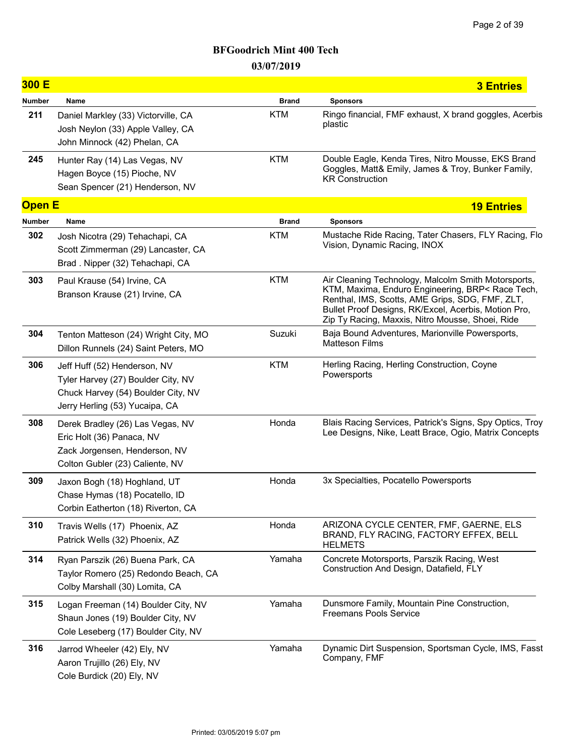| 300 E         |                                                                                                                                            |              | <b>3 Entries</b>                                                                                                                                                                                                                                                       |
|---------------|--------------------------------------------------------------------------------------------------------------------------------------------|--------------|------------------------------------------------------------------------------------------------------------------------------------------------------------------------------------------------------------------------------------------------------------------------|
| <b>Number</b> | Name                                                                                                                                       | <b>Brand</b> | <b>Sponsors</b>                                                                                                                                                                                                                                                        |
| 211           | Daniel Markley (33) Victorville, CA<br>Josh Neylon (33) Apple Valley, CA<br>John Minnock (42) Phelan, CA                                   | <b>KTM</b>   | Ringo financial, FMF exhaust, X brand goggles, Acerbis<br>plastic                                                                                                                                                                                                      |
| 245           | Hunter Ray (14) Las Vegas, NV<br>Hagen Boyce (15) Pioche, NV<br>Sean Spencer (21) Henderson, NV                                            | <b>KTM</b>   | Double Eagle, Kenda Tires, Nitro Mousse, EKS Brand<br>Goggles, Matt& Emily, James & Troy, Bunker Family,<br><b>KR Construction</b>                                                                                                                                     |
| <b>Open E</b> |                                                                                                                                            |              | <b>19 Entries</b>                                                                                                                                                                                                                                                      |
| <b>Number</b> | Name                                                                                                                                       | <b>Brand</b> | <b>Sponsors</b>                                                                                                                                                                                                                                                        |
| 302           | Josh Nicotra (29) Tehachapi, CA<br>Scott Zimmerman (29) Lancaster, CA<br>Brad. Nipper (32) Tehachapi, CA                                   | <b>KTM</b>   | Mustache Ride Racing, Tater Chasers, FLY Racing, Flo<br>Vision, Dynamic Racing, INOX                                                                                                                                                                                   |
| 303           | Paul Krause (54) Irvine, CA<br>Branson Krause (21) Irvine, CA                                                                              | <b>KTM</b>   | Air Cleaning Technology, Malcolm Smith Motorsports,<br>KTM, Maxima, Enduro Engineering, BRP< Race Tech,<br>Renthal, IMS, Scotts, AME Grips, SDG, FMF, ZLT,<br>Bullet Proof Designs, RK/Excel, Acerbis, Motion Pro,<br>Zip Ty Racing, Maxxis, Nitro Mousse, Shoei, Ride |
| 304           | Tenton Matteson (24) Wright City, MO<br>Dillon Runnels (24) Saint Peters, MO                                                               | Suzuki       | Baja Bound Adventures, Marionville Powersports,<br><b>Matteson Films</b>                                                                                                                                                                                               |
| 306           | Jeff Huff (52) Henderson, NV<br>Tyler Harvey (27) Boulder City, NV<br>Chuck Harvey (54) Boulder City, NV<br>Jerry Herling (53) Yucaipa, CA | <b>KTM</b>   | Herling Racing, Herling Construction, Coyne<br>Powersports                                                                                                                                                                                                             |
| 308           | Derek Bradley (26) Las Vegas, NV<br>Eric Holt (36) Panaca, NV<br>Zack Jorgensen, Henderson, NV<br>Colton Gubler (23) Caliente, NV          | Honda        | Blais Racing Services, Patrick's Signs, Spy Optics, Troy<br>Lee Designs, Nike, Leatt Brace, Ogio, Matrix Concepts                                                                                                                                                      |
| 309           | Jaxon Bogh (18) Hoghland, UT<br>Chase Hymas (18) Pocatello, ID<br>Corbin Eatherton (18) Riverton, CA                                       | Honda        | 3x Specialties, Pocatello Powersports                                                                                                                                                                                                                                  |
| 310           | Travis Wells (17) Phoenix, AZ<br>Patrick Wells (32) Phoenix, AZ                                                                            | Honda        | ARIZONA CYCLE CENTER, FMF, GAERNE, ELS<br>BRAND, FLY RACING, FACTORY EFFEX, BELL<br><b>HELMETS</b>                                                                                                                                                                     |
| 314           | Ryan Parszik (26) Buena Park, CA<br>Taylor Romero (25) Redondo Beach, CA<br>Colby Marshall (30) Lomita, CA                                 | Yamaha       | Concrete Motorsports, Parszik Racing, West<br>Construction And Design, Datafield, FLY                                                                                                                                                                                  |
| 315           | Logan Freeman (14) Boulder City, NV<br>Shaun Jones (19) Boulder City, NV<br>Cole Leseberg (17) Boulder City, NV                            | Yamaha       | Dunsmore Family, Mountain Pine Construction,<br><b>Freemans Pools Service</b>                                                                                                                                                                                          |
| 316           | Jarrod Wheeler (42) Ely, NV<br>Aaron Trujillo (26) Ely, NV<br>Cole Burdick (20) Ely, NV                                                    | Yamaha       | Dynamic Dirt Suspension, Sportsman Cycle, IMS, Fasst<br>Company, FMF                                                                                                                                                                                                   |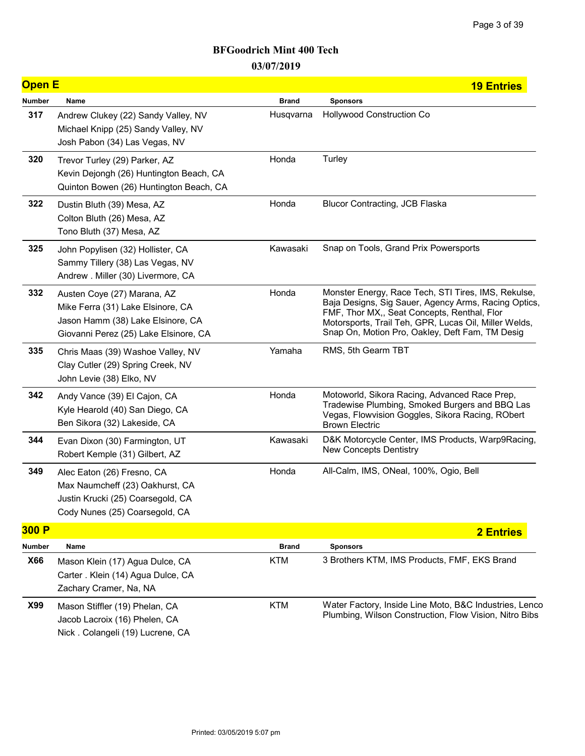| <b>Open E</b> |                                                                                                                                                |              | <b>19 Entries</b>                                                                                                                                                                                                                                                      |
|---------------|------------------------------------------------------------------------------------------------------------------------------------------------|--------------|------------------------------------------------------------------------------------------------------------------------------------------------------------------------------------------------------------------------------------------------------------------------|
| <b>Number</b> | Name                                                                                                                                           | <b>Brand</b> | <b>Sponsors</b>                                                                                                                                                                                                                                                        |
| 317           | Andrew Clukey (22) Sandy Valley, NV<br>Michael Knipp (25) Sandy Valley, NV<br>Josh Pabon (34) Las Vegas, NV                                    | Husqvarna    | Hollywood Construction Co                                                                                                                                                                                                                                              |
| 320           | Trevor Turley (29) Parker, AZ<br>Kevin Dejongh (26) Huntington Beach, CA<br>Quinton Bowen (26) Huntington Beach, CA                            | Honda        | Turley                                                                                                                                                                                                                                                                 |
| 322           | Dustin Bluth (39) Mesa, AZ<br>Colton Bluth (26) Mesa, AZ<br>Tono Bluth (37) Mesa, AZ                                                           | Honda        | <b>Blucor Contracting, JCB Flaska</b>                                                                                                                                                                                                                                  |
| 325           | John Popylisen (32) Hollister, CA<br>Sammy Tillery (38) Las Vegas, NV<br>Andrew . Miller (30) Livermore, CA                                    | Kawasaki     | Snap on Tools, Grand Prix Powersports                                                                                                                                                                                                                                  |
| 332           | Austen Coye (27) Marana, AZ<br>Mike Ferra (31) Lake Elsinore, CA<br>Jason Hamm (38) Lake Elsinore, CA<br>Giovanni Perez (25) Lake Elsinore, CA | Honda        | Monster Energy, Race Tech, STI Tires, IMS, Rekulse,<br>Baja Designs, Sig Sauer, Agency Arms, Racing Optics,<br>FMF, Thor MX,, Seat Concepts, Renthal, Flor<br>Motorsports, Trail Teh, GPR, Lucas Oil, Miller Welds,<br>Snap On, Motion Pro, Oakley, Deft Fam, TM Desig |
| 335           | Chris Maas (39) Washoe Valley, NV<br>Clay Cutler (29) Spring Creek, NV<br>John Levie (38) Elko, NV                                             | Yamaha       | RMS, 5th Gearm TBT                                                                                                                                                                                                                                                     |
| 342           | Andy Vance (39) El Cajon, CA<br>Kyle Hearold (40) San Diego, CA<br>Ben Sikora (32) Lakeside, CA                                                | Honda        | Motoworld, Sikora Racing, Advanced Race Prep,<br>Tradewise Plumbing, Smoked Burgers and BBQ Las<br>Vegas, Flowvision Goggles, Sikora Racing, RObert<br><b>Brown Electric</b>                                                                                           |
| 344           | Evan Dixon (30) Farmington, UT<br>Robert Kemple (31) Gilbert, AZ                                                                               | Kawasaki     | D&K Motorcycle Center, IMS Products, Warp9Racing,<br><b>New Concepts Dentistry</b>                                                                                                                                                                                     |
| 349           | Alec Eaton (26) Fresno, CA<br>Max Naumcheff (23) Oakhurst, CA<br>Justin Krucki (25) Coarsegold, CA<br>Cody Nunes (25) Coarsegold, CA           | Honda        | All-Calm, IMS, ONeal, 100%, Ogio, Bell                                                                                                                                                                                                                                 |
| 300 P         |                                                                                                                                                |              | <b>2 Entries</b>                                                                                                                                                                                                                                                       |
| Number        | Name                                                                                                                                           | <b>Brand</b> | <b>Sponsors</b>                                                                                                                                                                                                                                                        |
| X66           | Mason Klein (17) Agua Dulce, CA<br>Carter . Klein (14) Agua Dulce, CA<br>Zachary Cramer, Na, NA                                                | <b>KTM</b>   | 3 Brothers KTM, IMS Products, FMF, EKS Brand                                                                                                                                                                                                                           |
| X99           | Mason Stiffler (19) Phelan, CA<br>Jacob Lacroix (16) Phelen, CA<br>Nick. Colangeli (19) Lucrene, CA                                            | <b>KTM</b>   | Water Factory, Inside Line Moto, B&C Industries, Lenco<br>Plumbing, Wilson Construction, Flow Vision, Nitro Bibs                                                                                                                                                       |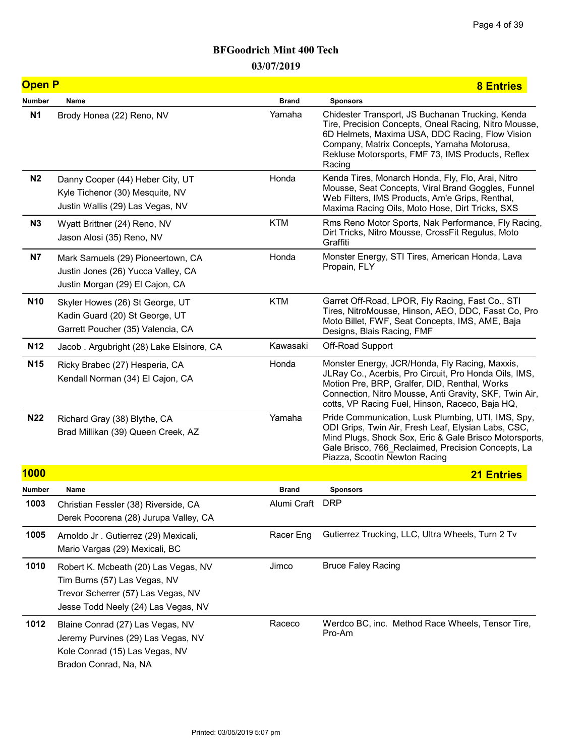| <b>Open P</b>   |                                                                                                                                                   |                 | <b>8 Entries</b>                                                                                                                                                                                                                                                          |
|-----------------|---------------------------------------------------------------------------------------------------------------------------------------------------|-----------------|---------------------------------------------------------------------------------------------------------------------------------------------------------------------------------------------------------------------------------------------------------------------------|
| <b>Number</b>   | Name                                                                                                                                              | <b>Brand</b>    | <b>Sponsors</b>                                                                                                                                                                                                                                                           |
| <b>N1</b>       | Brody Honea (22) Reno, NV                                                                                                                         | Yamaha          | Chidester Transport, JS Buchanan Trucking, Kenda<br>Tire, Precision Concepts, Oneal Racing, Nitro Mousse,<br>6D Helmets, Maxima USA, DDC Racing, Flow Vision<br>Company, Matrix Concepts, Yamaha Motorusa,<br>Rekluse Motorsports, FMF 73, IMS Products, Reflex<br>Racing |
| N <sub>2</sub>  | Danny Cooper (44) Heber City, UT<br>Kyle Tichenor (30) Mesquite, NV<br>Justin Wallis (29) Las Vegas, NV                                           | Honda           | Kenda Tires, Monarch Honda, Fly, Flo, Arai, Nitro<br>Mousse, Seat Concepts, Viral Brand Goggles, Funnel<br>Web Filters, IMS Products, Am'e Grips, Renthal,<br>Maxima Racing Oils, Moto Hose, Dirt Tricks, SXS                                                             |
| N <sub>3</sub>  | Wyatt Brittner (24) Reno, NV<br>Jason Alosi (35) Reno, NV                                                                                         | <b>KTM</b>      | Rms Reno Motor Sports, Nak Performance, Fly Racing,<br>Dirt Tricks, Nitro Mousse, CrossFit Regulus, Moto<br>Graffiti                                                                                                                                                      |
| N7              | Mark Samuels (29) Pioneertown, CA<br>Justin Jones (26) Yucca Valley, CA<br>Justin Morgan (29) El Cajon, CA                                        | Honda           | Monster Energy, STI Tires, American Honda, Lava<br>Propain, FLY                                                                                                                                                                                                           |
| N <sub>10</sub> | Skyler Howes (26) St George, UT<br>Kadin Guard (20) St George, UT<br>Garrett Poucher (35) Valencia, CA                                            | <b>KTM</b>      | Garret Off-Road, LPOR, Fly Racing, Fast Co., STI<br>Tires, NitroMousse, Hinson, AEO, DDC, Fasst Co, Pro<br>Moto Billet, FWF, Seat Concepts, IMS, AME, Baja<br>Designs, Blais Racing, FMF                                                                                  |
| N <sub>12</sub> | Jacob. Argubright (28) Lake Elsinore, CA                                                                                                          | Kawasaki        | Off-Road Support                                                                                                                                                                                                                                                          |
| N <sub>15</sub> | Ricky Brabec (27) Hesperia, CA<br>Kendall Norman (34) El Cajon, CA                                                                                | Honda           | Monster Energy, JCR/Honda, Fly Racing, Maxxis,<br>JLRay Co., Acerbis, Pro Circuit, Pro Honda Oils, IMS,<br>Motion Pre, BRP, Gralfer, DID, Renthal, Works<br>Connection, Nitro Mousse, Anti Gravity, SKF, Twin Air,<br>cotts, VP Racing Fuel, Hinson, Raceco, Baja HQ,     |
| <b>N22</b>      | Richard Gray (38) Blythe, CA<br>Brad Millikan (39) Queen Creek, AZ                                                                                | Yamaha          | Pride Communication, Lusk Plumbing, UTI, IMS, Spy,<br>ODI Grips, Twin Air, Fresh Leaf, Elysian Labs, CSC,<br>Mind Plugs, Shock Sox, Eric & Gale Brisco Motorsports,<br>Gale Brisco, 766 Reclaimed, Precision Concepts, La<br>Piazza, Scootin Newton Racing                |
| <b>1000</b>     |                                                                                                                                                   |                 | <b>21 Entries</b>                                                                                                                                                                                                                                                         |
| Number          | Name                                                                                                                                              | <b>Brand</b>    | <b>Sponsors</b>                                                                                                                                                                                                                                                           |
| 1003            | Christian Fessler (38) Riverside, CA<br>Derek Pocorena (28) Jurupa Valley, CA                                                                     | Alumi Craft DRP |                                                                                                                                                                                                                                                                           |
| 1005            | Arnoldo Jr. Gutierrez (29) Mexicali,<br>Mario Vargas (29) Mexicali, BC                                                                            | Racer Eng       | Gutierrez Trucking, LLC, Ultra Wheels, Turn 2 Tv                                                                                                                                                                                                                          |
| 1010            | Robert K. Mcbeath (20) Las Vegas, NV<br>Tim Burns (57) Las Vegas, NV<br>Trevor Scherrer (57) Las Vegas, NV<br>Jesse Todd Neely (24) Las Vegas, NV | Jimco           | <b>Bruce Faley Racing</b>                                                                                                                                                                                                                                                 |
| 1012            | Blaine Conrad (27) Las Vegas, NV<br>Jeremy Purvines (29) Las Vegas, NV<br>Kole Conrad (15) Las Vegas, NV<br>Bradon Conrad, Na, NA                 | Raceco          | Werdco BC, inc. Method Race Wheels, Tensor Tire,<br>Pro-Am                                                                                                                                                                                                                |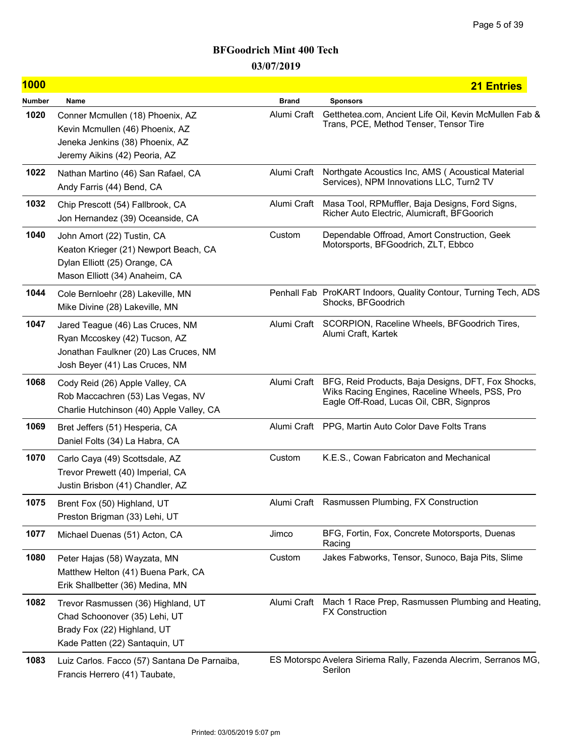| <b>1000</b> |                                                                                                                                              |              | <b>21 Entries</b>                                                                                                                                |
|-------------|----------------------------------------------------------------------------------------------------------------------------------------------|--------------|--------------------------------------------------------------------------------------------------------------------------------------------------|
| Number      | Name                                                                                                                                         | <b>Brand</b> | <b>Sponsors</b>                                                                                                                                  |
| 1020        | Conner Mcmullen (18) Phoenix, AZ<br>Kevin Mcmullen (46) Phoenix, AZ<br>Jeneka Jenkins (38) Phoenix, AZ<br>Jeremy Aikins (42) Peoria, AZ      | Alumi Craft  | Getthetea.com, Ancient Life Oil, Kevin McMullen Fab &<br>Trans, PCE, Method Tenser, Tensor Tire                                                  |
| 1022        | Nathan Martino (46) San Rafael, CA<br>Andy Farris (44) Bend, CA                                                                              | Alumi Craft  | Northgate Acoustics Inc, AMS (Acoustical Material<br>Services), NPM Innovations LLC, Turn2 TV                                                    |
| 1032        | Chip Prescott (54) Fallbrook, CA<br>Jon Hernandez (39) Oceanside, CA                                                                         | Alumi Craft  | Masa Tool, RPMuffler, Baja Designs, Ford Signs,<br>Richer Auto Electric, Alumicraft, BFGoorich                                                   |
| 1040        | John Amort (22) Tustin, CA<br>Keaton Krieger (21) Newport Beach, CA<br>Dylan Elliott (25) Orange, CA<br>Mason Elliott (34) Anaheim, CA       | Custom       | Dependable Offroad, Amort Construction, Geek<br>Motorsports, BFGoodrich, ZLT, Ebbco                                                              |
| 1044        | Cole Bernloehr (28) Lakeville, MN<br>Mike Divine (28) Lakeville, MN                                                                          |              | Penhall Fab ProKART Indoors, Quality Contour, Turning Tech, ADS<br>Shocks, BFGoodrich                                                            |
| 1047        | Jared Teague (46) Las Cruces, NM<br>Ryan Mccoskey (42) Tucson, AZ<br>Jonathan Faulkner (20) Las Cruces, NM<br>Josh Beyer (41) Las Cruces, NM | Alumi Craft  | SCORPION, Raceline Wheels, BFGoodrich Tires,<br>Alumi Craft, Kartek                                                                              |
| 1068        | Cody Reid (26) Apple Valley, CA<br>Rob Maccachren (53) Las Vegas, NV<br>Charlie Hutchinson (40) Apple Valley, CA                             | Alumi Craft  | BFG, Reid Products, Baja Designs, DFT, Fox Shocks,<br>Wiks Racing Engines, Raceline Wheels, PSS, Pro<br>Eagle Off-Road, Lucas Oil, CBR, Signpros |
| 1069        | Bret Jeffers (51) Hesperia, CA<br>Daniel Folts (34) La Habra, CA                                                                             |              | Alumi Craft PPG, Martin Auto Color Dave Folts Trans                                                                                              |
| 1070        | Carlo Caya (49) Scottsdale, AZ<br>Trevor Prewett (40) Imperial, CA<br>Justin Brisbon (41) Chandler, AZ                                       | Custom       | K.E.S., Cowan Fabricaton and Mechanical                                                                                                          |
| 1075        | Brent Fox (50) Highland, UT<br>Preston Brigman (33) Lehi, UT                                                                                 |              | Alumi Craft Rasmussen Plumbing, FX Construction                                                                                                  |
| 1077        | Michael Duenas (51) Acton, CA                                                                                                                | Jimco        | BFG, Fortin, Fox, Concrete Motorsports, Duenas<br>Racing                                                                                         |
| 1080        | Peter Hajas (58) Wayzata, MN<br>Matthew Helton (41) Buena Park, CA<br>Erik Shallbetter (36) Medina, MN                                       | Custom       | Jakes Fabworks, Tensor, Sunoco, Baja Pits, Slime                                                                                                 |
| 1082        | Trevor Rasmussen (36) Highland, UT<br>Chad Schoonover (35) Lehi, UT<br>Brady Fox (22) Highland, UT<br>Kade Patten (22) Santaquin, UT         | Alumi Craft  | Mach 1 Race Prep, Rasmussen Plumbing and Heating,<br><b>FX Construction</b>                                                                      |
| 1083        | Luiz Carlos. Facco (57) Santana De Parnaiba,<br>Francis Herrero (41) Taubate,                                                                |              | ES Motorspo Avelera Siriema Rally, Fazenda Alecrim, Serranos MG,<br>Serilon                                                                      |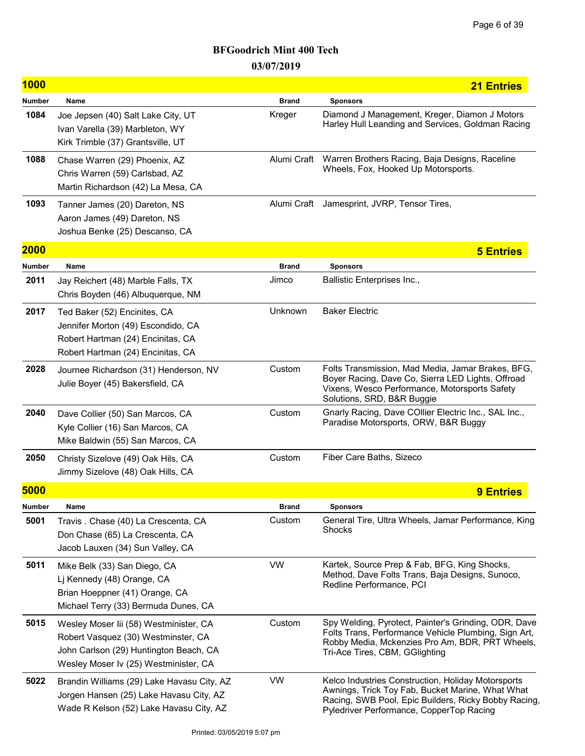| <b>1000</b>   |                                                                                                                                                                  |              | <b>21 Entries</b>                                                                                                                                                                                          |
|---------------|------------------------------------------------------------------------------------------------------------------------------------------------------------------|--------------|------------------------------------------------------------------------------------------------------------------------------------------------------------------------------------------------------------|
| Number        | Name                                                                                                                                                             | <b>Brand</b> | <b>Sponsors</b>                                                                                                                                                                                            |
| 1084          | Joe Jepsen (40) Salt Lake City, UT<br>Ivan Varella (39) Marbleton, WY<br>Kirk Trimble (37) Grantsville, UT                                                       | Kreger       | Diamond J Management, Kreger, Diamon J Motors<br>Harley Hull Leanding and Services, Goldman Racing                                                                                                         |
| 1088          | Chase Warren (29) Phoenix, AZ<br>Chris Warren (59) Carlsbad, AZ<br>Martin Richardson (42) La Mesa, CA                                                            | Alumi Craft  | Warren Brothers Racing, Baja Designs, Raceline<br>Wheels, Fox, Hooked Up Motorsports.                                                                                                                      |
| 1093          | Tanner James (20) Dareton, NS<br>Aaron James (49) Dareton, NS<br>Joshua Benke (25) Descanso, CA                                                                  | Alumi Craft  | Jamesprint, JVRP, Tensor Tires,                                                                                                                                                                            |
| <b>2000</b>   |                                                                                                                                                                  |              | <b>5 Entries</b>                                                                                                                                                                                           |
| <b>Number</b> | Name                                                                                                                                                             | <b>Brand</b> | <b>Sponsors</b>                                                                                                                                                                                            |
| 2011          | Jay Reichert (48) Marble Falls, TX<br>Chris Boyden (46) Albuquerque, NM                                                                                          | Jimco        | <b>Ballistic Enterprises Inc.,</b>                                                                                                                                                                         |
| 2017          | Ted Baker (52) Encinites, CA<br>Jennifer Morton (49) Escondido, CA<br>Robert Hartman (24) Encinitas, CA<br>Robert Hartman (24) Encinitas, CA                     | Unknown      | <b>Baker Electric</b>                                                                                                                                                                                      |
| 2028          | Journee Richardson (31) Henderson, NV<br>Julie Boyer (45) Bakersfield, CA                                                                                        | Custom       | Folts Transmission, Mad Media, Jamar Brakes, BFG,<br>Boyer Racing, Dave Co, Sierra LED Lights, Offroad<br>Vixens, Wesco Performance, Motorsports Safety<br>Solutions, SRD, B&R Buggie                      |
| 2040          | Dave Collier (50) San Marcos, CA<br>Kyle Collier (16) San Marcos, CA<br>Mike Baldwin (55) San Marcos, CA                                                         | Custom       | Gnarly Racing, Dave COllier Electric Inc., SAL Inc.,<br>Paradise Motorsports, ORW, B&R Buggy                                                                                                               |
| 2050          | Christy Sizelove (49) Oak Hils, CA<br>Jimmy Sizelove (48) Oak Hills, CA                                                                                          | Custom       | Fiber Care Baths, Sizeco                                                                                                                                                                                   |
| 5000          |                                                                                                                                                                  |              | <b>9 Entries</b>                                                                                                                                                                                           |
| Number        | Name                                                                                                                                                             | Brand        | <b>Sponsors</b>                                                                                                                                                                                            |
| 5001          | Travis. Chase (40) La Crescenta, CA<br>Don Chase (65) La Crescenta, CA<br>Jacob Lauxen (34) Sun Valley, CA                                                       | Custom       | General Tire, Ultra Wheels, Jamar Performance, King<br>Shocks                                                                                                                                              |
| 5011          | Mike Belk (33) San Diego, CA<br>Lj Kennedy (48) Orange, CA<br>Brian Hoeppner (41) Orange, CA<br>Michael Terry (33) Bermuda Dunes, CA                             | <b>VW</b>    | Kartek, Source Prep & Fab, BFG, King Shocks,<br>Method, Dave Folts Trans, Baja Designs, Sunoco,<br>Redline Performance, PCI                                                                                |
| 5015          | Wesley Moser Iii (58) Westminister, CA<br>Robert Vasquez (30) Westminster, CA<br>John Carlson (29) Huntington Beach, CA<br>Wesley Moser Iv (25) Westminister, CA | Custom       | Spy Welding, Pyrotect, Painter's Grinding, ODR, Dave<br>Folts Trans, Performance Vehicle Plumbing, Sign Art,<br>Robby Media, Mckenzies Pro Am, BDR, PRT Wheels,<br>Tri-Ace Tires, CBM, GGlighting          |
| 5022          | Brandin Williams (29) Lake Havasu City, AZ<br>Jorgen Hansen (25) Lake Havasu City, AZ<br>Wade R Kelson (52) Lake Havasu City, AZ                                 | <b>VW</b>    | Kelco Industries Construction, Holiday Motorsports<br>Awnings, Trick Toy Fab, Bucket Marine, What What<br>Racing, SWB Pool, Epic Builders, Ricky Bobby Racing,<br>Pyledriver Performance, CopperTop Racing |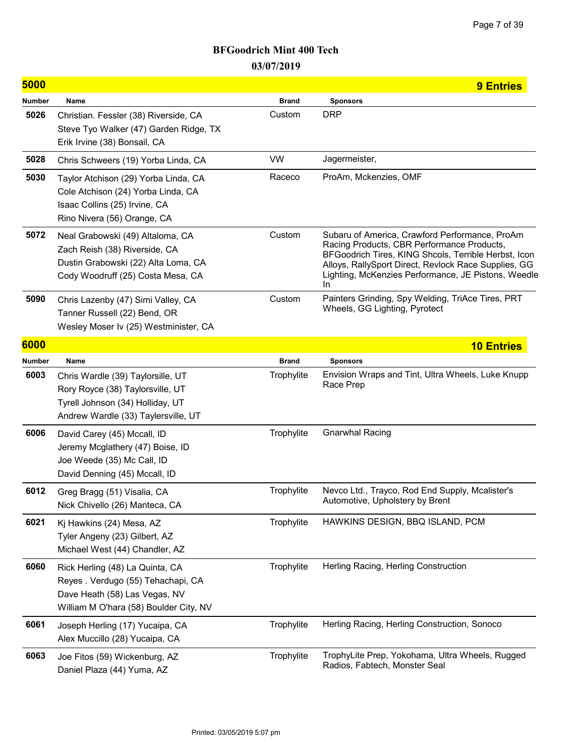| 5000          |                                                                                                                                                  |              | <b>9 Entries</b>                                                                                                                                                                                                                                                           |
|---------------|--------------------------------------------------------------------------------------------------------------------------------------------------|--------------|----------------------------------------------------------------------------------------------------------------------------------------------------------------------------------------------------------------------------------------------------------------------------|
| <b>Number</b> | Name                                                                                                                                             | <b>Brand</b> | Sponsors                                                                                                                                                                                                                                                                   |
| 5026          | Christian. Fessler (38) Riverside, CA<br>Steve Tyo Walker (47) Garden Ridge, TX<br>Erik Irvine (38) Bonsail, CA                                  | Custom       | <b>DRP</b>                                                                                                                                                                                                                                                                 |
| 5028          | Chris Schweers (19) Yorba Linda, CA                                                                                                              | VW           | Jagermeister,                                                                                                                                                                                                                                                              |
| 5030          | Taylor Atchison (29) Yorba Linda, CA<br>Cole Atchison (24) Yorba Linda, CA<br>Isaac Collins (25) Irvine, CA<br>Rino Nivera (56) Orange, CA       | Raceco       | ProAm, Mckenzies, OMF                                                                                                                                                                                                                                                      |
| 5072          | Neal Grabowski (49) Altaloma, CA<br>Zach Reish (38) Riverside, CA<br>Dustin Grabowski (22) Alta Loma, CA<br>Cody Woodruff (25) Costa Mesa, CA    | Custom       | Subaru of America, Crawford Performance, ProAm<br>Racing Products, CBR Performance Products,<br>BFGoodrich Tires, KING Shcols, Terrible Herbst, Icon<br>Alloys, RallySport Direct, Revlock Race Supplies, GG<br>Lighting, McKenzies Performance, JE Pistons, Weedle<br>In. |
| 5090          | Chris Lazenby (47) Simi Valley, CA<br>Tanner Russell (22) Bend, OR<br>Wesley Moser Iv (25) Westminister, CA                                      | Custom       | Painters Grinding, Spy Welding, TriAce Tires, PRT<br>Wheels, GG Lighting, Pyrotect                                                                                                                                                                                         |
| 6000          |                                                                                                                                                  |              | <b>10 Entries</b>                                                                                                                                                                                                                                                          |
| <b>Number</b> | Name                                                                                                                                             | <b>Brand</b> | <b>Sponsors</b>                                                                                                                                                                                                                                                            |
| 6003          | Chris Wardle (39) Taylorsille, UT<br>Rory Royce (38) Taylorsville, UT<br>Tyrell Johnson (34) Holliday, UT<br>Andrew Wardle (33) Taylersville, UT | Trophylite   | Envision Wraps and Tint, Ultra Wheels, Luke Knupp<br>Race Prep                                                                                                                                                                                                             |
| 6006          | David Carey (45) Mccall, ID<br>Jeremy Mcglathery (47) Boise, ID<br>Joe Weede (35) Mc Call, ID<br>David Denning (45) Mccall, ID                   | Trophylite   | <b>Gnarwhal Racing</b>                                                                                                                                                                                                                                                     |
| 6012          | Greg Bragg (51) Visalia, CA<br>Nick Chivello (26) Manteca, CA                                                                                    | Trophylite   | Nevco Ltd., Trayco, Rod End Supply, Mcalister's<br>Automotive, Upholstery by Brent                                                                                                                                                                                         |
| 6021          | Kj Hawkins (24) Mesa, AZ<br>Tyler Angeny (23) Gilbert, AZ<br>Michael West (44) Chandler, AZ                                                      | Trophylite   | HAWKINS DESIGN, BBQ ISLAND, PCM                                                                                                                                                                                                                                            |
| 6060          | Rick Herling (48) La Quinta, CA<br>Reyes . Verdugo (55) Tehachapi, CA<br>Dave Heath (58) Las Vegas, NV<br>William M O'hara (58) Boulder City, NV | Trophylite   | Herling Racing, Herling Construction                                                                                                                                                                                                                                       |
| 6061          | Joseph Herling (17) Yucaipa, CA<br>Alex Muccillo (28) Yucaipa, CA                                                                                | Trophylite   | Herling Racing, Herling Construction, Sonoco                                                                                                                                                                                                                               |
| 6063          | Joe Fitos (59) Wickenburg, AZ<br>Daniel Plaza (44) Yuma, AZ                                                                                      | Trophylite   | TrophyLite Prep, Yokohama, Ultra Wheels, Rugged<br>Radios, Fabtech, Monster Seal                                                                                                                                                                                           |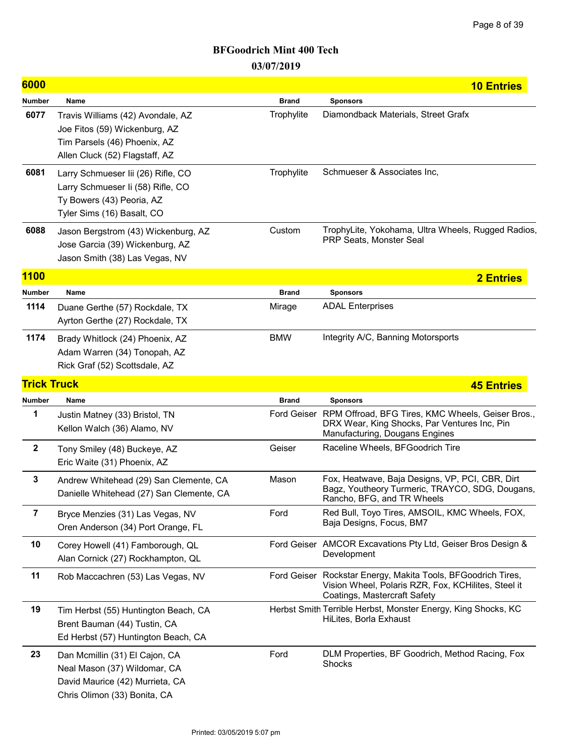| 6000               |                                                                                                                                      |              | <b>10 Entries</b>                                                                                                                                   |
|--------------------|--------------------------------------------------------------------------------------------------------------------------------------|--------------|-----------------------------------------------------------------------------------------------------------------------------------------------------|
| <b>Number</b>      | Name                                                                                                                                 | <b>Brand</b> | <b>Sponsors</b>                                                                                                                                     |
| 6077               | Travis Williams (42) Avondale, AZ<br>Joe Fitos (59) Wickenburg, AZ<br>Tim Parsels (46) Phoenix, AZ<br>Allen Cluck (52) Flagstaff, AZ | Trophylite   | Diamondback Materials, Street Grafx                                                                                                                 |
| 6081               | Larry Schmueser Iii (26) Rifle, CO<br>Larry Schmueser Ii (58) Rifle, CO<br>Ty Bowers (43) Peoria, AZ<br>Tyler Sims (16) Basalt, CO   | Trophylite   | Schmueser & Associates Inc.                                                                                                                         |
| 6088               | Jason Bergstrom (43) Wickenburg, AZ<br>Jose Garcia (39) Wickenburg, AZ<br>Jason Smith (38) Las Vegas, NV                             | Custom       | TrophyLite, Yokohama, Ultra Wheels, Rugged Radios,<br>PRP Seats, Monster Seal                                                                       |
| <b>1100</b>        |                                                                                                                                      |              | <b>2 Entries</b>                                                                                                                                    |
| Number             | Name                                                                                                                                 | <b>Brand</b> | <b>Sponsors</b>                                                                                                                                     |
| 1114               | Duane Gerthe (57) Rockdale, TX<br>Ayrton Gerthe (27) Rockdale, TX                                                                    | Mirage       | <b>ADAL Enterprises</b>                                                                                                                             |
| 1174               | Brady Whitlock (24) Phoenix, AZ<br>Adam Warren (34) Tonopah, AZ<br>Rick Graf (52) Scottsdale, AZ                                     | <b>BMW</b>   | Integrity A/C, Banning Motorsports                                                                                                                  |
| <b>Trick Truck</b> |                                                                                                                                      |              | <b>45 Entries</b>                                                                                                                                   |
| <b>Number</b>      | Name                                                                                                                                 | <b>Brand</b> | <b>Sponsors</b>                                                                                                                                     |
| 1                  | Justin Matney (33) Bristol, TN<br>Kellon Walch (36) Alamo, NV                                                                        |              | Ford Geiser RPM Offroad, BFG Tires, KMC Wheels, Geiser Bros.,<br>DRX Wear, King Shocks, Par Ventures Inc, Pin<br>Manufacturing, Dougans Engines     |
| $\mathbf{2}$       | Tony Smiley (48) Buckeye, AZ<br>Eric Waite (31) Phoenix, AZ                                                                          | Geiser       | Raceline Wheels, BFGoodrich Tire                                                                                                                    |
| $\mathbf 3$        | Andrew Whitehead (29) San Clemente, CA<br>Danielle Whitehead (27) San Clemente, CA                                                   | Mason        | Fox, Heatwave, Baja Designs, VP, PCI, CBR, Dirt<br>Bagz, Youtheory Turmeric, TRAYCO, SDG, Dougans,<br>Rancho, BFG, and TR Wheels                    |
| $\overline{7}$     | Bryce Menzies (31) Las Vegas, NV<br>Oren Anderson (34) Port Orange, FL                                                               | Ford         | Red Bull, Toyo Tires, AMSOIL, KMC Wheels, FOX,<br>Baja Designs, Focus, BM7                                                                          |
| 10                 | Corey Howell (41) Famborough, QL<br>Alan Cornick (27) Rockhampton, QL                                                                |              | Ford Geiser AMCOR Excavations Pty Ltd, Geiser Bros Design &<br>Development                                                                          |
| 11                 | Rob Maccachren (53) Las Vegas, NV                                                                                                    |              | Ford Geiser Rockstar Energy, Makita Tools, BFGoodrich Tires,<br>Vision Wheel, Polaris RZR, Fox, KCHilites, Steel it<br>Coatings, Mastercraft Safety |
| 19                 | Tim Herbst (55) Huntington Beach, CA<br>Brent Bauman (44) Tustin, CA<br>Ed Herbst (57) Huntington Beach, CA                          |              | Herbst Smith Terrible Herbst, Monster Energy, King Shocks, KC<br>HiLites, Borla Exhaust                                                             |
| 23                 | Dan Mcmillin (31) El Cajon, CA<br>Neal Mason (37) Wildomar, CA<br>David Maurice (42) Murrieta, CA<br>Chris Olimon (33) Bonita, CA    | Ford         | DLM Properties, BF Goodrich, Method Racing, Fox<br>Shocks                                                                                           |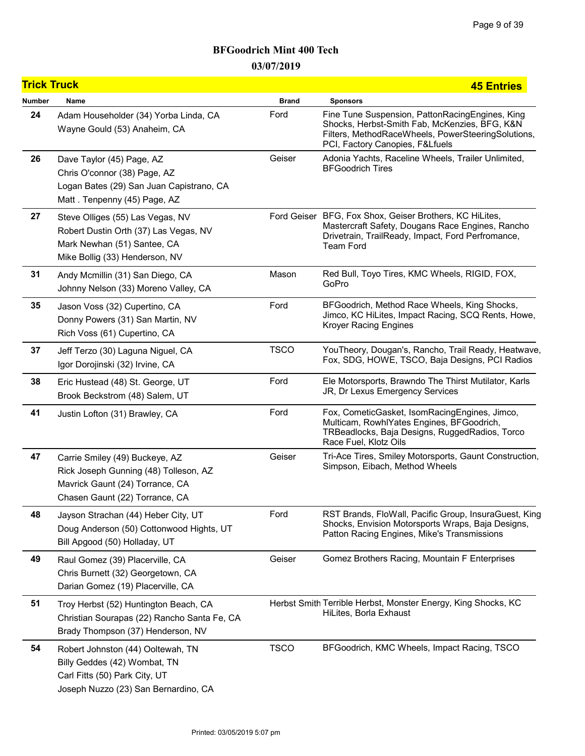# BFGoodrich Mint 400 Tech

03/07/2019

| <b>Trick Truck</b> |                                                                                                                                              |              | <b>45 Entries</b>                                                                                                                                                                         |
|--------------------|----------------------------------------------------------------------------------------------------------------------------------------------|--------------|-------------------------------------------------------------------------------------------------------------------------------------------------------------------------------------------|
| <b>Number</b>      | Name                                                                                                                                         | <b>Brand</b> | <b>Sponsors</b>                                                                                                                                                                           |
| 24                 | Adam Householder (34) Yorba Linda, CA<br>Wayne Gould (53) Anaheim, CA                                                                        | Ford         | Fine Tune Suspension, PattonRacingEngines, King<br>Shocks, Herbst-Smith Fab, McKenzies, BFG, K&N<br>Filters, MethodRaceWheels, PowerSteeringSolutions,<br>PCI, Factory Canopies, F&Lfuels |
| 26                 | Dave Taylor (45) Page, AZ<br>Chris O'connor (38) Page, AZ<br>Logan Bates (29) San Juan Capistrano, CA<br>Matt. Tenpenny (45) Page, AZ        | Geiser       | Adonia Yachts, Raceline Wheels, Trailer Unlimited,<br><b>BFGoodrich Tires</b>                                                                                                             |
| 27                 | Steve Olliges (55) Las Vegas, NV<br>Robert Dustin Orth (37) Las Vegas, NV<br>Mark Newhan (51) Santee, CA<br>Mike Bollig (33) Henderson, NV   |              | Ford Geiser BFG, Fox Shox, Geiser Brothers, KC HiLites,<br>Mastercraft Safety, Dougans Race Engines, Rancho<br>Drivetrain, TrailReady, Impact, Ford Perfromance,<br><b>Team Ford</b>      |
| 31                 | Andy Mcmillin (31) San Diego, CA<br>Johnny Nelson (33) Moreno Valley, CA                                                                     | Mason        | Red Bull, Toyo Tires, KMC Wheels, RIGID, FOX,<br>GoPro                                                                                                                                    |
| 35                 | Jason Voss (32) Cupertino, CA<br>Donny Powers (31) San Martin, NV<br>Rich Voss (61) Cupertino, CA                                            | Ford         | BFGoodrich, Method Race Wheels, King Shocks,<br>Jimco, KC HiLites, Impact Racing, SCQ Rents, Howe,<br><b>Kroyer Racing Engines</b>                                                        |
| 37                 | Jeff Terzo (30) Laguna Niguel, CA<br>Igor Dorojinski (32) Irvine, CA                                                                         | <b>TSCO</b>  | YouTheory, Dougan's, Rancho, Trail Ready, Heatwave,<br>Fox, SDG, HOWE, TSCO, Baja Designs, PCI Radios                                                                                     |
| 38                 | Eric Hustead (48) St. George, UT<br>Brook Beckstrom (48) Salem, UT                                                                           | Ford         | Ele Motorsports, Brawndo The Thirst Mutilator, Karls<br>JR, Dr Lexus Emergency Services                                                                                                   |
| 41                 | Justin Lofton (31) Brawley, CA                                                                                                               | Ford         | Fox, CometicGasket, IsomRacingEngines, Jimco,<br>Multicam, RowhlYates Engines, BFGoodrich,<br>TRBeadlocks, Baja Designs, RuggedRadios, Torco<br>Race Fuel, Klotz Oils                     |
| 47                 | Carrie Smiley (49) Buckeye, AZ<br>Rick Joseph Gunning (48) Tolleson, AZ<br>Mavrick Gaunt (24) Torrance, CA<br>Chasen Gaunt (22) Torrance, CA | Geiser       | Tri-Ace Tires, Smiley Motorsports, Gaunt Construction,<br>Simpson, Eibach, Method Wheels                                                                                                  |
| 48                 | Jayson Strachan (44) Heber City, UT<br>Doug Anderson (50) Cottonwood Hights, UT<br>Bill Apgood (50) Holladay, UT                             | Ford         | RST Brands, FloWall, Pacific Group, InsuraGuest, King<br>Shocks, Envision Motorsports Wraps, Baja Designs,<br>Patton Racing Engines, Mike's Transmissions                                 |
| 49                 | Raul Gomez (39) Placerville, CA<br>Chris Burnett (32) Georgetown, CA<br>Darian Gomez (19) Placerville, CA                                    | Geiser       | Gomez Brothers Racing, Mountain F Enterprises                                                                                                                                             |
| 51                 | Troy Herbst (52) Huntington Beach, CA<br>Christian Sourapas (22) Rancho Santa Fe, CA<br>Brady Thompson (37) Henderson, NV                    |              | Herbst Smith Terrible Herbst, Monster Energy, King Shocks, KC<br>HiLites, Borla Exhaust                                                                                                   |
| 54                 | Robert Johnston (44) Ooltewah, TN<br>Billy Geddes (42) Wombat, TN<br>Carl Fitts (50) Park City, UT<br>Joseph Nuzzo (23) San Bernardino, CA   | <b>TSCO</b>  | BFGoodrich, KMC Wheels, Impact Racing, TSCO                                                                                                                                               |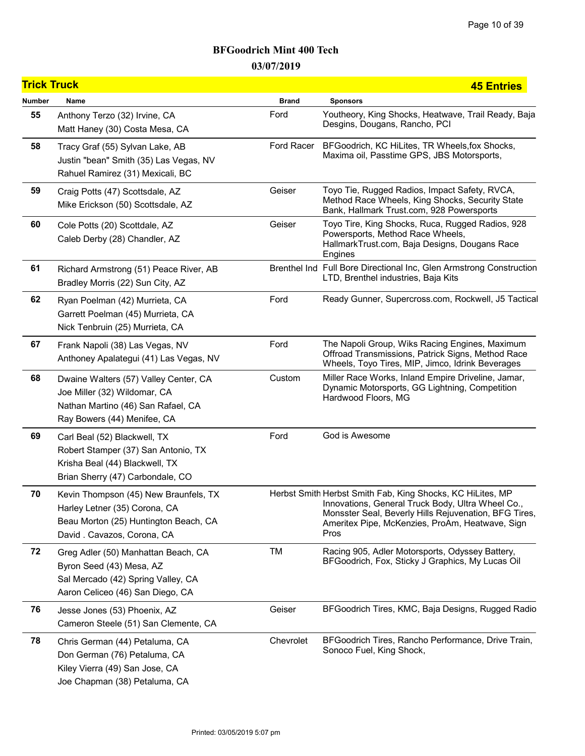| <b>Trick Truck</b> |                                                                                                                                               |              | <b>45 Entries</b>                                                                                                                                                                                                                   |
|--------------------|-----------------------------------------------------------------------------------------------------------------------------------------------|--------------|-------------------------------------------------------------------------------------------------------------------------------------------------------------------------------------------------------------------------------------|
| Number             | Name                                                                                                                                          | <b>Brand</b> | <b>Sponsors</b>                                                                                                                                                                                                                     |
| 55                 | Anthony Terzo (32) Irvine, CA<br>Matt Haney (30) Costa Mesa, CA                                                                               | Ford         | Youtheory, King Shocks, Heatwave, Trail Ready, Baja<br>Desgins, Dougans, Rancho, PCI                                                                                                                                                |
| 58                 | Tracy Graf (55) Sylvan Lake, AB<br>Justin "bean" Smith (35) Las Vegas, NV<br>Rahuel Ramirez (31) Mexicali, BC                                 | Ford Racer   | BFGoodrich, KC HiLites, TR Wheels, fox Shocks,<br>Maxima oil, Passtime GPS, JBS Motorsports,                                                                                                                                        |
| 59                 | Craig Potts (47) Scottsdale, AZ<br>Mike Erickson (50) Scottsdale, AZ                                                                          | Geiser       | Toyo Tie, Rugged Radios, Impact Safety, RVCA,<br>Method Race Wheels, King Shocks, Security State<br>Bank, Hallmark Trust.com, 928 Powersports                                                                                       |
| 60                 | Cole Potts (20) Scottdale, AZ<br>Caleb Derby (28) Chandler, AZ                                                                                | Geiser       | Toyo Tire, King Shocks, Ruca, Rugged Radios, 928<br>Powersports, Method Race Wheels,<br>HallmarkTrust.com, Baja Designs, Dougans Race<br>Engines                                                                                    |
| 61                 | Richard Armstrong (51) Peace River, AB<br>Bradley Morris (22) Sun City, AZ                                                                    |              | Brenthel Ind Full Bore Directional Inc, Glen Armstrong Construction<br>LTD, Brenthel industries, Baja Kits                                                                                                                          |
| 62                 | Ryan Poelman (42) Murrieta, CA<br>Garrett Poelman (45) Murrieta, CA<br>Nick Tenbruin (25) Murrieta, CA                                        | Ford         | Ready Gunner, Supercross.com, Rockwell, J5 Tactical                                                                                                                                                                                 |
| 67                 | Frank Napoli (38) Las Vegas, NV<br>Anthoney Apalategui (41) Las Vegas, NV                                                                     | Ford         | The Napoli Group, Wiks Racing Engines, Maximum<br>Offroad Transmissions, Patrick Signs, Method Race<br>Wheels, Toyo Tires, MIP, Jimco, Idrink Beverages                                                                             |
| 68                 | Dwaine Walters (57) Valley Center, CA<br>Joe Miller (32) Wildomar, CA<br>Nathan Martino (46) San Rafael, CA<br>Ray Bowers (44) Menifee, CA    | Custom       | Miller Race Works, Inland Empire Driveline, Jamar,<br>Dynamic Motorsports, GG Lightning, Competition<br>Hardwood Floors, MG                                                                                                         |
| 69                 | Carl Beal (52) Blackwell, TX<br>Robert Stamper (37) San Antonio, TX<br>Krisha Beal (44) Blackwell, TX<br>Brian Sherry (47) Carbondale, CO     | Ford         | God is Awesome                                                                                                                                                                                                                      |
| 70                 | Kevin Thompson (45) New Braunfels, TX<br>Harley Letner (35) Corona, CA<br>Beau Morton (25) Huntington Beach, CA<br>David. Cavazos, Corona, CA |              | Herbst Smith Herbst Smith Fab, King Shocks, KC HiLites, MP<br>Innovations, General Truck Body, Ultra Wheel Co.,<br>Monsster Seal, Beverly Hills Rejuvenation, BFG Tires,<br>Ameritex Pipe, McKenzies, ProAm, Heatwave, Sign<br>Pros |
| 72                 | Greg Adler (50) Manhattan Beach, CA<br>Byron Seed (43) Mesa, AZ<br>Sal Mercado (42) Spring Valley, CA<br>Aaron Celiceo (46) San Diego, CA     | TM           | Racing 905, Adler Motorsports, Odyssey Battery,<br>BFGoodrich, Fox, Sticky J Graphics, My Lucas Oil                                                                                                                                 |
| 76                 | Jesse Jones (53) Phoenix, AZ<br>Cameron Steele (51) San Clemente, CA                                                                          | Geiser       | BFGoodrich Tires, KMC, Baja Designs, Rugged Radio                                                                                                                                                                                   |
| 78                 | Chris German (44) Petaluma, CA<br>Don German (76) Petaluma, CA<br>Kiley Vierra (49) San Jose, CA<br>Joe Chapman (38) Petaluma, CA             | Chevrolet    | BFGoodrich Tires, Rancho Performance, Drive Train,<br>Sonoco Fuel, King Shock,                                                                                                                                                      |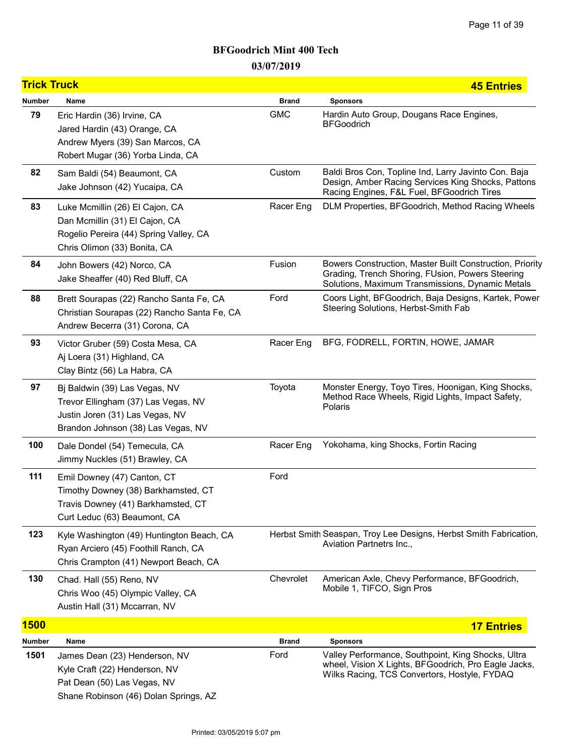| <b>Trick Truck</b> |                                                                                                                                               |              | <b>45 Entries</b>                                                                                                                                                |
|--------------------|-----------------------------------------------------------------------------------------------------------------------------------------------|--------------|------------------------------------------------------------------------------------------------------------------------------------------------------------------|
| <b>Number</b>      | Name                                                                                                                                          | <b>Brand</b> | <b>Sponsors</b>                                                                                                                                                  |
| 79                 | Eric Hardin (36) Irvine, CA<br>Jared Hardin (43) Orange, CA<br>Andrew Myers (39) San Marcos, CA<br>Robert Mugar (36) Yorba Linda, CA          | <b>GMC</b>   | Hardin Auto Group, Dougans Race Engines,<br><b>BFGoodrich</b>                                                                                                    |
| 82                 | Sam Baldi (54) Beaumont, CA<br>Jake Johnson (42) Yucaipa, CA                                                                                  | Custom       | Baldi Bros Con, Topline Ind, Larry Javinto Con. Baja<br>Design, Amber Racing Services King Shocks, Pattons<br>Racing Engines, F&L Fuel, BFGoodrich Tires         |
| 83                 | Luke Mcmillin (26) El Cajon, CA<br>Dan Mcmillin (31) El Cajon, CA<br>Rogelio Pereira (44) Spring Valley, CA<br>Chris Olimon (33) Bonita, CA   | Racer Eng    | DLM Properties, BFGoodrich, Method Racing Wheels                                                                                                                 |
| 84                 | John Bowers (42) Norco, CA<br>Jake Sheaffer (40) Red Bluff, CA                                                                                | Fusion       | Bowers Construction, Master Built Construction, Priority<br>Grading, Trench Shoring, FUsion, Powers Steering<br>Solutions, Maximum Transmissions, Dynamic Metals |
| 88                 | Brett Sourapas (22) Rancho Santa Fe, CA<br>Christian Sourapas (22) Rancho Santa Fe, CA<br>Andrew Becerra (31) Corona, CA                      | Ford         | Coors Light, BFGoodrich, Baja Designs, Kartek, Power<br>Steering Solutions, Herbst-Smith Fab                                                                     |
| 93                 | Victor Gruber (59) Costa Mesa, CA<br>Aj Loera (31) Highland, CA<br>Clay Bintz (56) La Habra, CA                                               | Racer Eng    | BFG, FODRELL, FORTIN, HOWE, JAMAR                                                                                                                                |
| 97                 | Bj Baldwin (39) Las Vegas, NV<br>Trevor Ellingham (37) Las Vegas, NV<br>Justin Joren (31) Las Vegas, NV<br>Brandon Johnson (38) Las Vegas, NV | Toyota       | Monster Energy, Toyo Tires, Hoonigan, King Shocks,<br>Method Race Wheels, Rigid Lights, Impact Safety,<br>Polaris                                                |
| 100                | Dale Dondel (54) Temecula, CA<br>Jimmy Nuckles (51) Brawley, CA                                                                               | Racer Eng    | Yokohama, king Shocks, Fortin Racing                                                                                                                             |
| 111                | Emil Downey (47) Canton, CT<br>Timothy Downey (38) Barkhamsted, CT<br>Travis Downey (41) Barkhamsted, CT<br>Curt Leduc (63) Beaumont, CA      | Ford         |                                                                                                                                                                  |
| 123                | Kyle Washington (49) Huntington Beach, CA<br>Ryan Arciero (45) Foothill Ranch, CA<br>Chris Crampton (41) Newport Beach, CA                    |              | Herbst Smith Seaspan, Troy Lee Designs, Herbst Smith Fabrication,<br>Aviation Partnetrs Inc.,                                                                    |
| 130                | Chad. Hall (55) Reno, NV<br>Chris Woo (45) Olympic Valley, CA<br>Austin Hall (31) Mccarran, NV                                                | Chevrolet    | American Axle, Chevy Performance, BFGoodrich,<br>Mobile 1, TIFCO, Sign Pros                                                                                      |
| <b>1500</b>        |                                                                                                                                               |              | <b>17 Entries</b>                                                                                                                                                |
| Number             | Name                                                                                                                                          | <b>Brand</b> | <b>Sponsors</b>                                                                                                                                                  |
| 1501               | James Dean (23) Henderson, NV<br>Kyle Craft (22) Henderson, NV<br>Pat Dean (50) Las Vegas, NV<br>Shane Robinson (46) Dolan Springs, AZ        | Ford         | Valley Performance, Southpoint, King Shocks, Ultra<br>wheel, Vision X Lights, BFGoodrich, Pro Eagle Jacks,<br>Wilks Racing, TCS Convertors, Hostyle, FYDAQ       |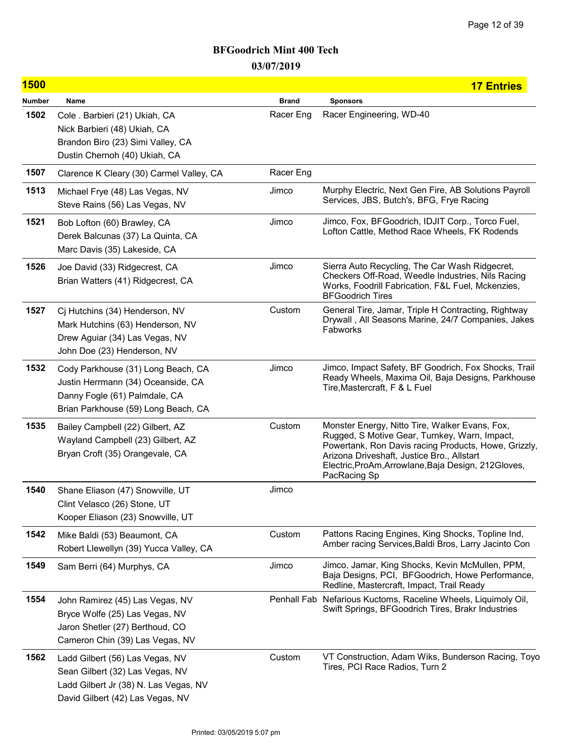| <b>1500</b>   |                                                                                                                                                  |              | <b>17 Entries</b>                                                                                                                                                                                                                                                            |
|---------------|--------------------------------------------------------------------------------------------------------------------------------------------------|--------------|------------------------------------------------------------------------------------------------------------------------------------------------------------------------------------------------------------------------------------------------------------------------------|
| <b>Number</b> | Name                                                                                                                                             | <b>Brand</b> | <b>Sponsors</b>                                                                                                                                                                                                                                                              |
| 1502          | Cole . Barbieri (21) Ukiah, CA<br>Nick Barbieri (48) Ukiah, CA<br>Brandon Biro (23) Simi Valley, CA<br>Dustin Chernoh (40) Ukiah, CA             | Racer Eng    | Racer Engineering, WD-40                                                                                                                                                                                                                                                     |
| 1507          | Clarence K Cleary (30) Carmel Valley, CA                                                                                                         | Racer Eng    |                                                                                                                                                                                                                                                                              |
| 1513          | Michael Frye (48) Las Vegas, NV<br>Steve Rains (56) Las Vegas, NV                                                                                | Jimco        | Murphy Electric, Next Gen Fire, AB Solutions Payroll<br>Services, JBS, Butch's, BFG, Frye Racing                                                                                                                                                                             |
| 1521          | Bob Lofton (60) Brawley, CA<br>Derek Balcunas (37) La Quinta, CA<br>Marc Davis (35) Lakeside, CA                                                 | Jimco        | Jimco, Fox, BFGoodrich, IDJIT Corp., Torco Fuel,<br>Lofton Cattle, Method Race Wheels, FK Rodends                                                                                                                                                                            |
| 1526          | Joe David (33) Ridgecrest, CA<br>Brian Watters (41) Ridgecrest, CA                                                                               | Jimco        | Sierra Auto Recycling, The Car Wash Ridgecret,<br>Checkers Off-Road, Weedle Industries, Nils Racing<br>Works, Foodrill Fabrication, F&L Fuel, Mckenzies,<br><b>BFGoodrich Tires</b>                                                                                          |
| 1527          | Cj Hutchins (34) Henderson, NV<br>Mark Hutchins (63) Henderson, NV<br>Drew Aguiar (34) Las Vegas, NV<br>John Doe (23) Henderson, NV              | Custom       | General Tire, Jamar, Triple H Contracting, Rightway<br>Drywall, All Seasons Marine, 24/7 Companies, Jakes<br>Fabworks                                                                                                                                                        |
| 1532          | Cody Parkhouse (31) Long Beach, CA<br>Justin Herrmann (34) Oceanside, CA<br>Danny Fogle (61) Palmdale, CA<br>Brian Parkhouse (59) Long Beach, CA | Jimco        | Jimco, Impact Safety, BF Goodrich, Fox Shocks, Trail<br>Ready Wheels, Maxima Oil, Baja Designs, Parkhouse<br>Tire, Mastercraft, F & L Fuel                                                                                                                                   |
| 1535          | Bailey Campbell (22) Gilbert, AZ<br>Wayland Campbell (23) Gilbert, AZ<br>Bryan Croft (35) Orangevale, CA                                         | Custom       | Monster Energy, Nitto Tire, Walker Evans, Fox,<br>Rugged, S Motive Gear, Turnkey, Warn, Impact,<br>Powertank, Ron Davis racing Products, Howe, Grizzly,<br>Arizona Driveshaft, Justice Bro., Allstart<br>Electric, ProAm, Arrowlane, Baja Design, 212Gloves,<br>PacRacing Sp |
| 1540          | Shane Eliason (47) Snowville, UT<br>Clint Velasco (26) Stone, UT<br>Kooper Eliason (23) Snowville, UT                                            | Jimco        |                                                                                                                                                                                                                                                                              |
| 1542          | Mike Baldi (53) Beaumont, CA<br>Robert Llewellyn (39) Yucca Valley, CA                                                                           | Custom       | Pattons Racing Engines, King Shocks, Topline Ind,<br>Amber racing Services, Baldi Bros, Larry Jacinto Con                                                                                                                                                                    |
| 1549          | Sam Berri (64) Murphys, CA                                                                                                                       | Jimco        | Jimco, Jamar, King Shocks, Kevin McMullen, PPM,<br>Baja Designs, PCI, BFGoodrich, Howe Performance,<br>Redline, Mastercraft, Impact, Trail Ready                                                                                                                             |
| 1554          | John Ramirez (45) Las Vegas, NV<br>Bryce Wolfe (25) Las Vegas, NV<br>Jaron Shetler (27) Berthoud, CO<br>Cameron Chin (39) Las Vegas, NV          |              | Penhall Fab Nefarious Kuctoms, Raceline Wheels, Liquimoly Oil,<br>Swift Springs, BFGoodrich Tires, Brakr Industries                                                                                                                                                          |
| 1562          | Ladd Gilbert (56) Las Vegas, NV<br>Sean Gilbert (32) Las Vegas, NV<br>Ladd Gilbert Jr (38) N. Las Vegas, NV<br>David Gilbert (42) Las Vegas, NV  | Custom       | VT Construction, Adam Wiks, Bunderson Racing, Toyo<br>Tires, PCI Race Radios, Turn 2                                                                                                                                                                                         |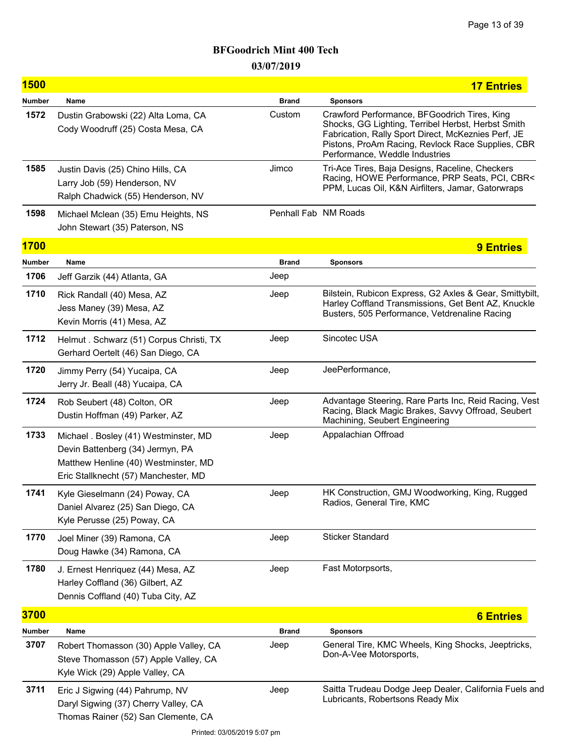| <b>1500</b> |                                                                                                                                                           |                      | <b>17 Entries</b>                                                                                                                                                                                                                                |
|-------------|-----------------------------------------------------------------------------------------------------------------------------------------------------------|----------------------|--------------------------------------------------------------------------------------------------------------------------------------------------------------------------------------------------------------------------------------------------|
| Number      | Name                                                                                                                                                      | <b>Brand</b>         | <b>Sponsors</b>                                                                                                                                                                                                                                  |
| 1572        | Dustin Grabowski (22) Alta Loma, CA<br>Cody Woodruff (25) Costa Mesa, CA                                                                                  | Custom               | Crawford Performance, BFGoodrich Tires, King<br>Shocks, GG Lighting, Terribel Herbst, Herbst Smith<br>Fabrication, Rally Sport Direct, McKeznies Perf, JE<br>Pistons, ProAm Racing, Revlock Race Supplies, CBR<br>Performance, Weddle Industries |
| 1585        | Justin Davis (25) Chino Hills, CA<br>Larry Job (59) Henderson, NV<br>Ralph Chadwick (55) Henderson, NV                                                    | Jimco                | Tri-Ace Tires, Baja Designs, Raceline, Checkers<br>Racing, HOWE Performance, PRP Seats, PCI, CBR<<br>PPM, Lucas Oil, K&N Airfilters, Jamar, Gatorwraps                                                                                           |
| 1598        | Michael Mclean (35) Emu Heights, NS<br>John Stewart (35) Paterson, NS                                                                                     | Penhall Fab NM Roads |                                                                                                                                                                                                                                                  |
| <b>1700</b> |                                                                                                                                                           |                      | <b>9 Entries</b>                                                                                                                                                                                                                                 |
| Number      | Name                                                                                                                                                      | <b>Brand</b>         | <b>Sponsors</b>                                                                                                                                                                                                                                  |
| 1706        | Jeff Garzik (44) Atlanta, GA                                                                                                                              | Jeep                 |                                                                                                                                                                                                                                                  |
| 1710        | Rick Randall (40) Mesa, AZ<br>Jess Maney (39) Mesa, AZ<br>Kevin Morris (41) Mesa, AZ                                                                      | Jeep                 | Bilstein, Rubicon Express, G2 Axles & Gear, Smittybilt,<br>Harley Coffland Transmissions, Get Bent AZ, Knuckle<br>Busters, 505 Performance, Vetdrenaline Racing                                                                                  |
| 1712        | Helmut . Schwarz (51) Corpus Christi, TX<br>Gerhard Oertelt (46) San Diego, CA                                                                            | Jeep                 | Sincotec USA                                                                                                                                                                                                                                     |
| 1720        | Jimmy Perry (54) Yucaipa, CA<br>Jerry Jr. Beall (48) Yucaipa, CA                                                                                          | Jeep                 | JeePerformance,                                                                                                                                                                                                                                  |
| 1724        | Rob Seubert (48) Colton, OR<br>Dustin Hoffman (49) Parker, AZ                                                                                             | Jeep                 | Advantage Steering, Rare Parts Inc, Reid Racing, Vest<br>Racing, Black Magic Brakes, Savvy Offroad, Seubert<br>Machining, Seubert Engineering                                                                                                    |
| 1733        | Michael . Bosley (41) Westminster, MD<br>Devin Battenberg (34) Jermyn, PA<br>Matthew Henline (40) Westminster, MD<br>Eric Stallknecht (57) Manchester, MD | Jeep                 | Appalachian Offroad                                                                                                                                                                                                                              |
| 1741        | Kyle Gieselmann (24) Poway, CA<br>Daniel Alvarez (25) San Diego, CA<br>Kyle Perusse (25) Poway, CA                                                        | Jeep                 | HK Construction, GMJ Woodworking, King, Rugged<br>Radios, General Tire, KMC                                                                                                                                                                      |
| 1770        | Joel Miner (39) Ramona, CA<br>Doug Hawke (34) Ramona, CA                                                                                                  | Jeep                 | <b>Sticker Standard</b>                                                                                                                                                                                                                          |
| 1780        | J. Ernest Henriquez (44) Mesa, AZ<br>Harley Coffland (36) Gilbert, AZ<br>Dennis Coffland (40) Tuba City, AZ                                               | Jeep                 | Fast Motorpsorts,                                                                                                                                                                                                                                |
| <b>3700</b> |                                                                                                                                                           |                      | <b>6 Entries</b>                                                                                                                                                                                                                                 |
| Number      | Name                                                                                                                                                      | <b>Brand</b>         | <b>Sponsors</b>                                                                                                                                                                                                                                  |
| 3707        | Robert Thomasson (30) Apple Valley, CA<br>Steve Thomasson (57) Apple Valley, CA<br>Kyle Wick (29) Apple Valley, CA                                        | Jeep                 | General Tire, KMC Wheels, King Shocks, Jeeptricks,<br>Don-A-Vee Motorsports,                                                                                                                                                                     |
| 3711        | Eric J Sigwing (44) Pahrump, NV<br>Daryl Sigwing (37) Cherry Valley, CA<br>Thomas Rainer (52) San Clemente, CA                                            | Jeep                 | Saitta Trudeau Dodge Jeep Dealer, California Fuels and<br>Lubricants, Robertsons Ready Mix                                                                                                                                                       |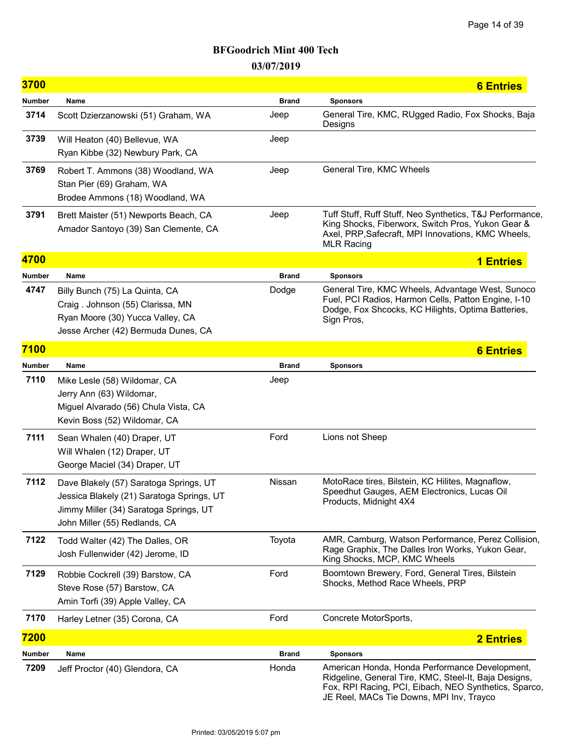| <b>3700</b>   |                                                                                                                                                                |              | <b>6 Entries</b>                                                                                                                                                                                             |
|---------------|----------------------------------------------------------------------------------------------------------------------------------------------------------------|--------------|--------------------------------------------------------------------------------------------------------------------------------------------------------------------------------------------------------------|
| <b>Number</b> | Name                                                                                                                                                           | <b>Brand</b> | <b>Sponsors</b>                                                                                                                                                                                              |
| 3714          | Scott Dzierzanowski (51) Graham, WA                                                                                                                            | Jeep         | General Tire, KMC, RUgged Radio, Fox Shocks, Baja<br>Designs                                                                                                                                                 |
| 3739          | Will Heaton (40) Bellevue, WA<br>Ryan Kibbe (32) Newbury Park, CA                                                                                              | Jeep         |                                                                                                                                                                                                              |
| 3769          | Robert T. Ammons (38) Woodland, WA<br>Stan Pier (69) Graham, WA<br>Brodee Ammons (18) Woodland, WA                                                             | Jeep         | General Tire, KMC Wheels                                                                                                                                                                                     |
| 3791          | Brett Maister (51) Newports Beach, CA<br>Amador Santoyo (39) San Clemente, CA                                                                                  | Jeep         | Tuff Stuff, Ruff Stuff, Neo Synthetics, T&J Performance,<br>King Shocks, Fiberworx, Switch Pros, Yukon Gear &<br>Axel, PRP, Safecraft, MPI Innovations, KMC Wheels,<br><b>MLR Racing</b>                     |
| 4700          |                                                                                                                                                                |              | <b>1 Entries</b>                                                                                                                                                                                             |
| <b>Number</b> | Name                                                                                                                                                           | <b>Brand</b> | <b>Sponsors</b>                                                                                                                                                                                              |
| 4747          | Billy Bunch (75) La Quinta, CA<br>Craig. Johnson (55) Clarissa, MN<br>Ryan Moore (30) Yucca Valley, CA<br>Jesse Archer (42) Bermuda Dunes, CA                  | Dodge        | General Tire, KMC Wheels, Advantage West, Sunoco<br>Fuel, PCI Radios, Harmon Cells, Patton Engine, I-10<br>Dodge, Fox Shcocks, KC Hilights, Optima Batteries,<br>Sign Pros,                                  |
| 7100          |                                                                                                                                                                |              | <b>6 Entries</b>                                                                                                                                                                                             |
| Number        | Name                                                                                                                                                           | <b>Brand</b> | <b>Sponsors</b>                                                                                                                                                                                              |
| 7110          | Mike Lesle (58) Wildomar, CA<br>Jerry Ann (63) Wildomar,<br>Miguel Alvarado (56) Chula Vista, CA<br>Kevin Boss (52) Wildomar, CA                               | Jeep         |                                                                                                                                                                                                              |
| 7111          | Sean Whalen (40) Draper, UT<br>Will Whalen (12) Draper, UT<br>George Maciel (34) Draper, UT                                                                    | Ford         | Lions not Sheep                                                                                                                                                                                              |
| 7112          | Dave Blakely (57) Saratoga Springs, UT<br>Jessica Blakely (21) Saratoga Springs, UT<br>Jimmy Miller (34) Saratoga Springs, UT<br>John Miller (55) Redlands, CA | Nissan       | MotoRace tires, Bilstein, KC Hilites, Magnaflow,<br>Speedhut Gauges, AEM Electronics, Lucas Oil<br>Products, Midnight 4X4                                                                                    |
| 7122          | Todd Walter (42) The Dalles, OR<br>Josh Fullenwider (42) Jerome, ID                                                                                            | Toyota       | AMR, Camburg, Watson Performance, Perez Collision,<br>Rage Graphix, The Dalles Iron Works, Yukon Gear,<br>King Shocks, MCP, KMC Wheels                                                                       |
| 7129          | Robbie Cockrell (39) Barstow, CA<br>Steve Rose (57) Barstow, CA<br>Amin Torfi (39) Apple Valley, CA                                                            | Ford         | Boomtown Brewery, Ford, General Tires, Bilstein<br>Shocks, Method Race Wheels, PRP                                                                                                                           |
| 7170          | Harley Letner (35) Corona, CA                                                                                                                                  | Ford         | Concrete MotorSports,                                                                                                                                                                                        |
| 7200          |                                                                                                                                                                |              | <b>2 Entries</b>                                                                                                                                                                                             |
| Number        | Name                                                                                                                                                           | <b>Brand</b> | <b>Sponsors</b>                                                                                                                                                                                              |
| 7209          | Jeff Proctor (40) Glendora, CA                                                                                                                                 | Honda        | American Honda, Honda Performance Development,<br>Ridgeline, General Tire, KMC, Steel-It, Baja Designs,<br>Fox, RPI Racing, PCI, Eibach, NEO Synthetics, Sparco,<br>JE Reel, MACs Tie Downs, MPI Inv, Trayco |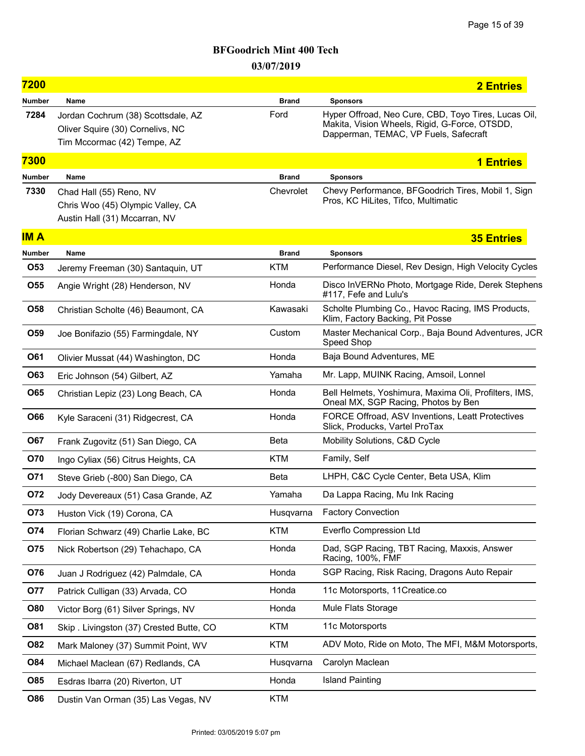| 7200          |                                                                                                       |              | <b>2 Entries</b>                                                                                                                               |
|---------------|-------------------------------------------------------------------------------------------------------|--------------|------------------------------------------------------------------------------------------------------------------------------------------------|
| <b>Number</b> | Name                                                                                                  | <b>Brand</b> | <b>Sponsors</b>                                                                                                                                |
| 7284          | Jordan Cochrum (38) Scottsdale, AZ<br>Oliver Squire (30) Cornelivs, NC<br>Tim Mccormac (42) Tempe, AZ | Ford         | Hyper Offroad, Neo Cure, CBD, Toyo Tires, Lucas Oil,<br>Makita, Vision Wheels, Rigid, G-Force, OTSDD,<br>Dapperman, TEMAC, VP Fuels, Safecraft |
| 7300          |                                                                                                       |              | <b>1 Entries</b>                                                                                                                               |
| <b>Number</b> | Name                                                                                                  | <b>Brand</b> | <b>Sponsors</b>                                                                                                                                |
| 7330          | Chad Hall (55) Reno, NV<br>Chris Woo (45) Olympic Valley, CA<br>Austin Hall (31) Mccarran, NV         | Chevrolet    | Chevy Performance, BFGoodrich Tires, Mobil 1, Sign<br>Pros, KC HiLites, Tifco, Multimatic                                                      |
| <b>IMA</b>    |                                                                                                       |              | <b>35 Entries</b>                                                                                                                              |
| <b>Number</b> | Name                                                                                                  | <b>Brand</b> | <b>Sponsors</b>                                                                                                                                |
| O53           | Jeremy Freeman (30) Santaquin, UT                                                                     | <b>KTM</b>   | Performance Diesel, Rev Design, High Velocity Cycles                                                                                           |
| <b>O55</b>    | Angie Wright (28) Henderson, NV                                                                       | Honda        | Disco InVERNo Photo, Mortgage Ride, Derek Stephens<br>#117, Fefe and Lulu's                                                                    |
| O58           | Christian Scholte (46) Beaumont, CA                                                                   | Kawasaki     | Scholte Plumbing Co., Havoc Racing, IMS Products,<br>Klim, Factory Backing, Pit Posse                                                          |
| O59           | Joe Bonifazio (55) Farmingdale, NY                                                                    | Custom       | Master Mechanical Corp., Baja Bound Adventures, JCR<br>Speed Shop                                                                              |
| O61           | Olivier Mussat (44) Washington, DC                                                                    | Honda        | Baja Bound Adventures, ME                                                                                                                      |
| O63           | Eric Johnson (54) Gilbert, AZ                                                                         | Yamaha       | Mr. Lapp, MUINK Racing, Amsoil, Lonnel                                                                                                         |
| <b>O65</b>    | Christian Lepiz (23) Long Beach, CA                                                                   | Honda        | Bell Helmets, Yoshimura, Maxima Oli, Profilters, IMS,<br>Oneal MX, SGP Racing, Photos by Ben                                                   |
| O66           | Kyle Saraceni (31) Ridgecrest, CA                                                                     | Honda        | FORCE Offroad, ASV Inventions, Leatt Protectives<br>Slick, Producks, Vartel ProTax                                                             |
| O67           | Frank Zugovitz (51) San Diego, CA                                                                     | <b>Beta</b>  | Mobility Solutions, C&D Cycle                                                                                                                  |
| O70           | Ingo Cyliax (56) Citrus Heights, CA                                                                   | <b>KTM</b>   | Family, Self                                                                                                                                   |
| O71           | Steve Grieb (-800) San Diego, CA                                                                      | Beta         | LHPH, C&C Cycle Center, Beta USA, Klim                                                                                                         |
| <b>072</b>    | Jody Devereaux (51) Casa Grande, AZ                                                                   | Yamaha       | Da Lappa Racing, Mu Ink Racing                                                                                                                 |
| O73           | Huston Vick (19) Corona, CA                                                                           | Husqvarna    | <b>Factory Convection</b>                                                                                                                      |
| O74           | Florian Schwarz (49) Charlie Lake, BC                                                                 | <b>KTM</b>   | Everflo Compression Ltd                                                                                                                        |
| O75           | Nick Robertson (29) Tehachapo, CA                                                                     | Honda        | Dad, SGP Racing, TBT Racing, Maxxis, Answer<br>Racing, 100%, FMF                                                                               |
| O76           | Juan J Rodriguez (42) Palmdale, CA                                                                    | Honda        | SGP Racing, Risk Racing, Dragons Auto Repair                                                                                                   |
| 077           | Patrick Culligan (33) Arvada, CO                                                                      | Honda        | 11c Motorsports, 11Creatice.co                                                                                                                 |
| <b>O80</b>    | Victor Borg (61) Silver Springs, NV                                                                   | Honda        | Mule Flats Storage                                                                                                                             |
| O81           | Skip. Livingston (37) Crested Butte, CO                                                               | KTM          | 11c Motorsports                                                                                                                                |
| <b>O82</b>    | Mark Maloney (37) Summit Point, WV                                                                    | KTM          | ADV Moto, Ride on Moto, The MFI, M&M Motorsports,                                                                                              |
| O84           | Michael Maclean (67) Redlands, CA                                                                     | Husqvarna    | Carolyn Maclean                                                                                                                                |
| O85           | Esdras Ibarra (20) Riverton, UT                                                                       | Honda        | <b>Island Painting</b>                                                                                                                         |
| <b>O86</b>    | Dustin Van Orman (35) Las Vegas, NV                                                                   | <b>KTM</b>   |                                                                                                                                                |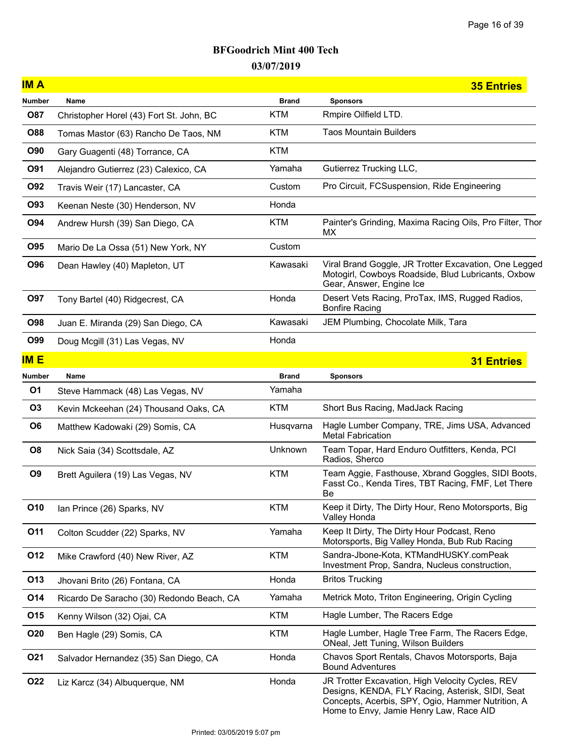| <b>IMA</b>      |                                           |              | <b>35 Entries</b>                                                                                                                                                                                    |
|-----------------|-------------------------------------------|--------------|------------------------------------------------------------------------------------------------------------------------------------------------------------------------------------------------------|
| Number          | Name                                      | <b>Brand</b> | <b>Sponsors</b>                                                                                                                                                                                      |
| <b>O87</b>      | Christopher Horel (43) Fort St. John, BC  | <b>KTM</b>   | Rmpire Oilfield LTD.                                                                                                                                                                                 |
| <b>O88</b>      | Tomas Mastor (63) Rancho De Taos, NM      | <b>KTM</b>   | <b>Taos Mountain Builders</b>                                                                                                                                                                        |
| <b>O90</b>      | Gary Guagenti (48) Torrance, CA           | <b>KTM</b>   |                                                                                                                                                                                                      |
| O91             | Alejandro Gutierrez (23) Calexico, CA     | Yamaha       | Gutierrez Trucking LLC,                                                                                                                                                                              |
| <b>O92</b>      | Travis Weir (17) Lancaster, CA            | Custom       | Pro Circuit, FCSuspension, Ride Engineering                                                                                                                                                          |
| O93             | Keenan Neste (30) Henderson, NV           | Honda        |                                                                                                                                                                                                      |
| O94             | Andrew Hursh (39) San Diego, CA           | <b>KTM</b>   | Painter's Grinding, Maxima Racing Oils, Pro Filter, Thor<br>МX                                                                                                                                       |
| <b>O95</b>      | Mario De La Ossa (51) New York, NY        | Custom       |                                                                                                                                                                                                      |
| <b>O96</b>      | Dean Hawley (40) Mapleton, UT             | Kawasaki     | Viral Brand Goggle, JR Trotter Excavation, One Legged<br>Motogirl, Cowboys Roadside, Blud Lubricants, Oxbow<br>Gear, Answer, Engine Ice                                                              |
| O97             | Tony Bartel (40) Ridgecrest, CA           | Honda        | Desert Vets Racing, ProTax, IMS, Rugged Radios,<br><b>Bonfire Racing</b>                                                                                                                             |
| <b>O98</b>      | Juan E. Miranda (29) San Diego, CA        | Kawasaki     | JEM Plumbing, Chocolate Milk, Tara                                                                                                                                                                   |
| O99             | Doug Mcgill (31) Las Vegas, NV            | Honda        |                                                                                                                                                                                                      |
| <b>IME</b>      |                                           |              | <b>31 Entries</b>                                                                                                                                                                                    |
| <b>Number</b>   | Name                                      | <b>Brand</b> | <b>Sponsors</b>                                                                                                                                                                                      |
| O1              | Steve Hammack (48) Las Vegas, NV          | Yamaha       |                                                                                                                                                                                                      |
| <b>O3</b>       | Kevin Mckeehan (24) Thousand Oaks, CA     | <b>KTM</b>   | Short Bus Racing, MadJack Racing                                                                                                                                                                     |
| O <sub>6</sub>  | Matthew Kadowaki (29) Somis, CA           | Husqvarna    | Hagle Lumber Company, TRE, Jims USA, Advanced<br><b>Metal Fabrication</b>                                                                                                                            |
| O <sub>8</sub>  | Nick Saia (34) Scottsdale, AZ             | Unknown      | Team Topar, Hard Enduro Outfitters, Kenda, PCI<br>Radios, Sherco                                                                                                                                     |
| O <sub>9</sub>  | Brett Aguilera (19) Las Vegas, NV         | <b>KTM</b>   | Team Aggie, Fasthouse, Xbrand Goggles, SIDI Boots,<br>Fasst Co., Kenda Tires, TBT Racing, FMF, Let There<br>Be                                                                                       |
| O <sub>10</sub> | Ian Prince (26) Sparks, NV                | KTM          | Keep it Dirty, The Dirty Hour, Reno Motorsports, Big<br>Valley Honda                                                                                                                                 |
| O11             | Colton Scudder (22) Sparks, NV            | Yamaha       | Keep It Dirty, The Dirty Hour Podcast, Reno<br>Motorsports, Big Valley Honda, Bub Rub Racing                                                                                                         |
| O12             | Mike Crawford (40) New River, AZ          | <b>KTM</b>   | Sandra-Jbone-Kota, KTMandHUSKY.comPeak<br>Investment Prop, Sandra, Nucleus construction,                                                                                                             |
| O13             | Jhovani Brito (26) Fontana, CA            | Honda        | <b>Britos Trucking</b>                                                                                                                                                                               |
| O14             | Ricardo De Saracho (30) Redondo Beach, CA | Yamaha       | Metrick Moto, Triton Engineering, Origin Cycling                                                                                                                                                     |
| O15             | Kenny Wilson (32) Ojai, CA                | <b>KTM</b>   | Hagle Lumber, The Racers Edge                                                                                                                                                                        |
| <b>O20</b>      | Ben Hagle (29) Somis, CA                  | KTM          | Hagle Lumber, Hagle Tree Farm, The Racers Edge,<br>ONeal, Jett Tuning, Wilson Builders                                                                                                               |
| O <sub>21</sub> | Salvador Hernandez (35) San Diego, CA     | Honda        | Chavos Sport Rentals, Chavos Motorsports, Baja<br><b>Bound Adventures</b>                                                                                                                            |
| <b>O22</b>      | Liz Karcz (34) Albuquerque, NM            | Honda        | JR Trotter Excavation, High Velocity Cycles, REV<br>Designs, KENDA, FLY Racing, Asterisk, SIDI, Seat<br>Concepts, Acerbis, SPY, Ogio, Hammer Nutrition, A<br>Home to Envy, Jamie Henry Law, Race AID |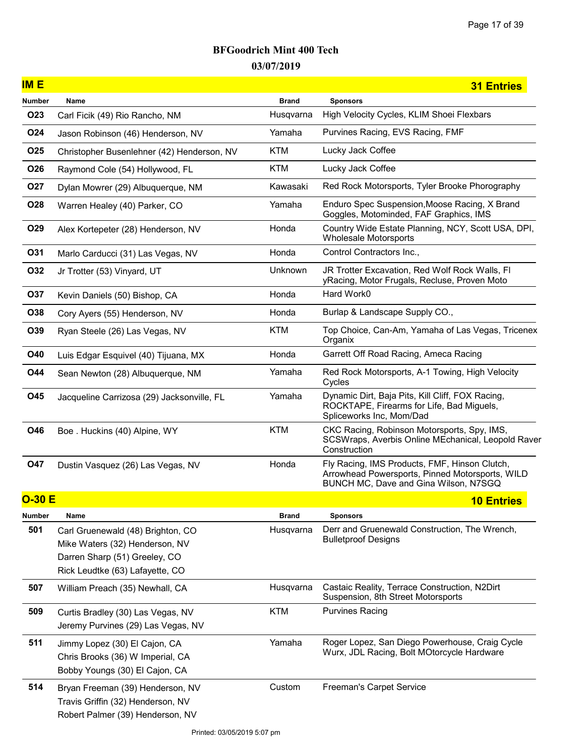| <b>IME</b>      |                                                                                                                                         |              | <b>31 Entries</b>                                                                                                                         |
|-----------------|-----------------------------------------------------------------------------------------------------------------------------------------|--------------|-------------------------------------------------------------------------------------------------------------------------------------------|
| <b>Number</b>   | Name                                                                                                                                    | <b>Brand</b> | <b>Sponsors</b>                                                                                                                           |
| O <sub>23</sub> | Carl Ficik (49) Rio Rancho, NM                                                                                                          | Husqvarna    | High Velocity Cycles, KLIM Shoei Flexbars                                                                                                 |
| O24             | Jason Robinson (46) Henderson, NV                                                                                                       | Yamaha       | Purvines Racing, EVS Racing, FMF                                                                                                          |
| O <sub>25</sub> | Christopher Busenlehner (42) Henderson, NV                                                                                              | <b>KTM</b>   | Lucky Jack Coffee                                                                                                                         |
| O26             | Raymond Cole (54) Hollywood, FL                                                                                                         | <b>KTM</b>   | Lucky Jack Coffee                                                                                                                         |
| <b>027</b>      | Dylan Mowrer (29) Albuquerque, NM                                                                                                       | Kawasaki     | Red Rock Motorsports, Tyler Brooke Phorography                                                                                            |
| O28             | Warren Healey (40) Parker, CO                                                                                                           | Yamaha       | Enduro Spec Suspension, Moose Racing, X Brand<br>Goggles, Motominded, FAF Graphics, IMS                                                   |
| O29             | Alex Kortepeter (28) Henderson, NV                                                                                                      | Honda        | Country Wide Estate Planning, NCY, Scott USA, DPI,<br><b>Wholesale Motorsports</b>                                                        |
| O31             | Marlo Carducci (31) Las Vegas, NV                                                                                                       | Honda        | Control Contractors Inc.,                                                                                                                 |
| O32             | Jr Trotter (53) Vinyard, UT                                                                                                             | Unknown      | JR Trotter Excavation, Red Wolf Rock Walls, FI<br>yRacing, Motor Frugals, Recluse, Proven Moto                                            |
| O37             | Kevin Daniels (50) Bishop, CA                                                                                                           | Honda        | Hard Work0                                                                                                                                |
| O38             | Cory Ayers (55) Henderson, NV                                                                                                           | Honda        | Burlap & Landscape Supply CO.,                                                                                                            |
| O39             | Ryan Steele (26) Las Vegas, NV                                                                                                          | <b>KTM</b>   | Top Choice, Can-Am, Yamaha of Las Vegas, Tricenex<br>Organix                                                                              |
| <b>O40</b>      | Luis Edgar Esquivel (40) Tijuana, MX                                                                                                    | Honda        | Garrett Off Road Racing, Ameca Racing                                                                                                     |
| <b>044</b>      | Sean Newton (28) Albuquerque, NM                                                                                                        | Yamaha       | Red Rock Motorsports, A-1 Towing, High Velocity<br>Cycles                                                                                 |
| O45             | Jacqueline Carrizosa (29) Jacksonville, FL                                                                                              | Yamaha       | Dynamic Dirt, Baja Pits, Kill Cliff, FOX Racing,<br>ROCKTAPE, Firearms for Life, Bad Miguels,<br>Spliceworks Inc, Mom/Dad                 |
| O46             | Boe. Huckins (40) Alpine, WY                                                                                                            | <b>KTM</b>   | CKC Racing, Robinson Motorsports, Spy, IMS,<br>SCSWraps, Averbis Online MEchanical, Leopold Raver<br>Construction                         |
| <b>047</b>      | Dustin Vasquez (26) Las Vegas, NV                                                                                                       | Honda        | Fly Racing, IMS Products, FMF, Hinson Clutch,<br>Arrowhead Powersports, Pinned Motorsports, WILD<br>BUNCH MC, Dave and Gina Wilson, N7SGQ |
| $O-30 E$        |                                                                                                                                         |              | <b>10 Entries</b>                                                                                                                         |
| <b>Number</b>   | Name                                                                                                                                    | <b>Brand</b> | <b>Sponsors</b>                                                                                                                           |
| 501             | Carl Gruenewald (48) Brighton, CO<br>Mike Waters (32) Henderson, NV<br>Darren Sharp (51) Greeley, CO<br>Rick Leudtke (63) Lafayette, CO | Husqvarna    | Derr and Gruenewald Construction, The Wrench,<br><b>Bulletproof Designs</b>                                                               |
| 507             | William Preach (35) Newhall, CA                                                                                                         | Husqvarna    | Castaic Reality, Terrace Construction, N2Dirt<br>Suspension, 8th Street Motorsports                                                       |
| 509             | Curtis Bradley (30) Las Vegas, NV<br>Jeremy Purvines (29) Las Vegas, NV                                                                 | <b>KTM</b>   | <b>Purvines Racing</b>                                                                                                                    |
| 511             | Jimmy Lopez (30) El Cajon, CA<br>Chris Brooks (36) W Imperial, CA<br>Bobby Youngs (30) El Cajon, CA                                     | Yamaha       | Roger Lopez, San Diego Powerhouse, Craig Cycle<br>Wurx, JDL Racing, Bolt MOtorcycle Hardware                                              |
| 514             | Bryan Freeman (39) Henderson, NV<br>Travis Griffin (32) Henderson, NV<br>Robert Palmer (39) Henderson, NV                               | Custom       | Freeman's Carpet Service                                                                                                                  |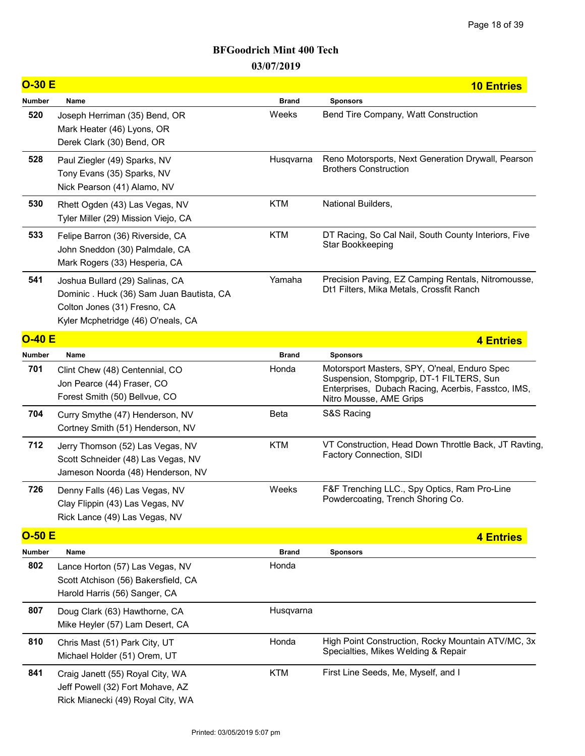| $O-30E$       |                                                                                                                                                    |              | <b>10 Entries</b>                                                                                                                                                         |
|---------------|----------------------------------------------------------------------------------------------------------------------------------------------------|--------------|---------------------------------------------------------------------------------------------------------------------------------------------------------------------------|
| <b>Number</b> | Name                                                                                                                                               | <b>Brand</b> | <b>Sponsors</b>                                                                                                                                                           |
| 520           | Joseph Herriman (35) Bend, OR<br>Mark Heater (46) Lyons, OR<br>Derek Clark (30) Bend, OR                                                           | Weeks        | Bend Tire Company, Watt Construction                                                                                                                                      |
| 528           | Paul Ziegler (49) Sparks, NV<br>Tony Evans (35) Sparks, NV<br>Nick Pearson (41) Alamo, NV                                                          | Husqvarna    | Reno Motorsports, Next Generation Drywall, Pearson<br><b>Brothers Construction</b>                                                                                        |
| 530           | Rhett Ogden (43) Las Vegas, NV<br>Tyler Miller (29) Mission Viejo, CA                                                                              | <b>KTM</b>   | National Builders,                                                                                                                                                        |
| 533           | Felipe Barron (36) Riverside, CA<br>John Sneddon (30) Palmdale, CA<br>Mark Rogers (33) Hesperia, CA                                                | <b>KTM</b>   | DT Racing, So Cal Nail, South County Interiors, Five<br>Star Bookkeeping                                                                                                  |
| 541           | Joshua Bullard (29) Salinas, CA<br>Dominic . Huck (36) Sam Juan Bautista, CA<br>Colton Jones (31) Fresno, CA<br>Kyler Mcphetridge (46) O'neals, CA | Yamaha       | Precision Paving, EZ Camping Rentals, Nitromousse,<br>Dt1 Filters, Mika Metals, Crossfit Ranch                                                                            |
| $O-40 E$      |                                                                                                                                                    |              | 4 Entries                                                                                                                                                                 |
| <b>Number</b> | Name                                                                                                                                               | <b>Brand</b> | <b>Sponsors</b>                                                                                                                                                           |
| 701           | Clint Chew (48) Centennial, CO<br>Jon Pearce (44) Fraser, CO<br>Forest Smith (50) Bellvue, CO                                                      | Honda        | Motorsport Masters, SPY, O'neal, Enduro Spec<br>Suspension, Stompgrip, DT-1 FILTERS, Sun<br>Enterprises, Dubach Racing, Acerbis, Fasstco, IMS,<br>Nitro Mousse, AME Grips |
| 704           | Curry Smythe (47) Henderson, NV<br>Cortney Smith (51) Henderson, NV                                                                                | <b>Beta</b>  | S&S Racing                                                                                                                                                                |
| 712           | Jerry Thomson (52) Las Vegas, NV<br>Scott Schneider (48) Las Vegas, NV<br>Jameson Noorda (48) Henderson, NV                                        | <b>KTM</b>   | VT Construction, Head Down Throttle Back, JT Ravting,<br>Factory Connection, SIDI                                                                                         |
| 726           | Denny Falls (46) Las Vegas, NV<br>Clay Flippin (43) Las Vegas, NV<br>Rick Lance (49) Las Vegas, NV                                                 | Weeks        | F&F Trenching LLC., Spy Optics, Ram Pro-Line<br>Powdercoating, Trench Shoring Co.                                                                                         |
| $O-50E$       |                                                                                                                                                    |              | <b>4 Entries</b>                                                                                                                                                          |
| Number        | Name                                                                                                                                               | <b>Brand</b> | <b>Sponsors</b>                                                                                                                                                           |
| 802           | Lance Horton (57) Las Vegas, NV<br>Scott Atchison (56) Bakersfield, CA<br>Harold Harris (56) Sanger, CA                                            | Honda        |                                                                                                                                                                           |
| 807           | Doug Clark (63) Hawthorne, CA<br>Mike Heyler (57) Lam Desert, CA                                                                                   | Husqvarna    |                                                                                                                                                                           |
| 810           | Chris Mast (51) Park City, UT<br>Michael Holder (51) Orem, UT                                                                                      | Honda        | High Point Construction, Rocky Mountain ATV/MC, 3x<br>Specialties, Mikes Welding & Repair                                                                                 |
| 841           | Craig Janett (55) Royal City, WA<br>Jeff Powell (32) Fort Mohave, AZ<br>Rick Mianecki (49) Royal City, WA                                          | <b>KTM</b>   | First Line Seeds, Me, Myself, and I                                                                                                                                       |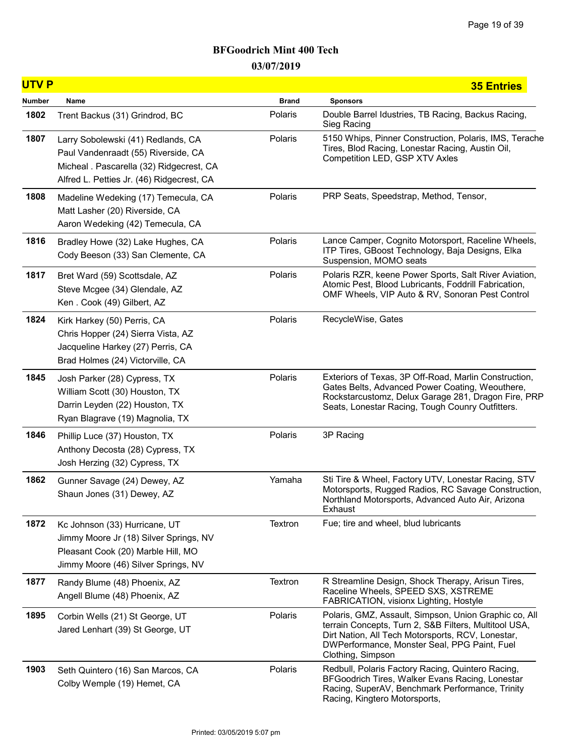| <b>UTVP</b> |                                                                                                                                                                    |              | <b>35 Entries</b>                                                                                                                                                                                                                        |
|-------------|--------------------------------------------------------------------------------------------------------------------------------------------------------------------|--------------|------------------------------------------------------------------------------------------------------------------------------------------------------------------------------------------------------------------------------------------|
| Number      | Name                                                                                                                                                               | <b>Brand</b> | <b>Sponsors</b>                                                                                                                                                                                                                          |
| 1802        | Trent Backus (31) Grindrod, BC                                                                                                                                     | Polaris      | Double Barrel Idustries, TB Racing, Backus Racing,<br>Sieg Racing                                                                                                                                                                        |
| 1807        | Larry Sobolewski (41) Redlands, CA<br>Paul Vandenraadt (55) Riverside, CA<br>Micheal . Pascarella (32) Ridgecrest, CA<br>Alfred L. Petties Jr. (46) Ridgecrest, CA | Polaris      | 5150 Whips, Pinner Construction, Polaris, IMS, Terache<br>Tires, Blod Racing, Lonestar Racing, Austin Oil,<br>Competition LED, GSP XTV Axles                                                                                             |
| 1808        | Madeline Wedeking (17) Temecula, CA<br>Matt Lasher (20) Riverside, CA<br>Aaron Wedeking (42) Temecula, CA                                                          | Polaris      | PRP Seats, Speedstrap, Method, Tensor,                                                                                                                                                                                                   |
| 1816        | Bradley Howe (32) Lake Hughes, CA<br>Cody Beeson (33) San Clemente, CA                                                                                             | Polaris      | Lance Camper, Cognito Motorsport, Raceline Wheels,<br>ITP Tires, GBoost Technology, Baja Designs, Elka<br>Suspension, MOMO seats                                                                                                         |
| 1817        | Bret Ward (59) Scottsdale, AZ<br>Steve Mcgee (34) Glendale, AZ<br>Ken. Cook (49) Gilbert, AZ                                                                       | Polaris      | Polaris RZR, keene Power Sports, Salt River Aviation,<br>Atomic Pest, Blood Lubricants, Foddrill Fabrication,<br>OMF Wheels, VIP Auto & RV, Sonoran Pest Control                                                                         |
| 1824        | Kirk Harkey (50) Perris, CA<br>Chris Hopper (24) Sierra Vista, AZ<br>Jacqueline Harkey (27) Perris, CA<br>Brad Holmes (24) Victorville, CA                         | Polaris      | RecycleWise, Gates                                                                                                                                                                                                                       |
| 1845        | Josh Parker (28) Cypress, TX<br>William Scott (30) Houston, TX<br>Darrin Leyden (22) Houston, TX<br>Ryan Blagrave (19) Magnolia, TX                                | Polaris      | Exteriors of Texas, 3P Off-Road, Marlin Construction,<br>Gates Belts, Advanced Power Coating, Weouthere,<br>Rockstarcustomz, Delux Garage 281, Dragon Fire, PRP<br>Seats, Lonestar Racing, Tough Counry Outfitters.                      |
| 1846        | Phillip Luce (37) Houston, TX<br>Anthony Decosta (28) Cypress, TX<br>Josh Herzing (32) Cypress, TX                                                                 | Polaris      | 3P Racing                                                                                                                                                                                                                                |
| 1862        | Gunner Savage (24) Dewey, AZ<br>Shaun Jones (31) Dewey, AZ                                                                                                         | Yamaha       | Sti Tire & Wheel, Factory UTV, Lonestar Racing, STV<br>Motorsports, Rugged Radios, RC Savage Construction,<br>Northland Motorsports, Advanced Auto Air, Arizona<br>Exhaust                                                               |
| 1872        | Kc Johnson (33) Hurricane, UT<br>Jimmy Moore Jr (18) Silver Springs, NV<br>Pleasant Cook (20) Marble Hill, MO<br>Jimmy Moore (46) Silver Springs, NV               | Textron      | Fue; tire and wheel, blud lubricants                                                                                                                                                                                                     |
| 1877        | Randy Blume (48) Phoenix, AZ<br>Angell Blume (48) Phoenix, AZ                                                                                                      | Textron      | R Streamline Design, Shock Therapy, Arisun Tires,<br>Raceline Wheels, SPEED SXS, XSTREME<br>FABRICATION, visionx Lighting, Hostyle                                                                                                       |
| 1895        | Corbin Wells (21) St George, UT<br>Jared Lenhart (39) St George, UT                                                                                                | Polaris      | Polaris, GMZ, Assault, Simpson, Union Graphic co, All<br>terrain Concepts, Turn 2, S&B Filters, Multitool USA,<br>Dirt Nation, All Tech Motorsports, RCV, Lonestar,<br>DWPerformance, Monster Seal, PPG Paint, Fuel<br>Clothing, Simpson |
| 1903        | Seth Quintero (16) San Marcos, CA<br>Colby Wemple (19) Hemet, CA                                                                                                   | Polaris      | Redbull, Polaris Factory Racing, Quintero Racing,<br>BFGoodrich Tires, Walker Evans Racing, Lonestar<br>Racing, SuperAV, Benchmark Performance, Trinity<br>Racing, Kingtero Motorsports,                                                 |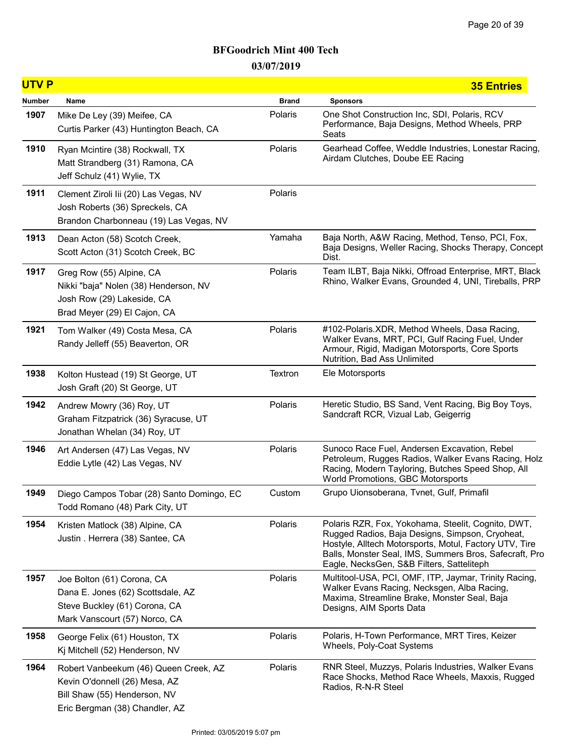| <b>UTVP</b> |                                                                                                                                          |              | <b>35 Entries</b>                                                                                                                                                                                                                                                      |
|-------------|------------------------------------------------------------------------------------------------------------------------------------------|--------------|------------------------------------------------------------------------------------------------------------------------------------------------------------------------------------------------------------------------------------------------------------------------|
| Number      | Name                                                                                                                                     | <b>Brand</b> | <b>Sponsors</b>                                                                                                                                                                                                                                                        |
| 1907        | Mike De Ley (39) Meifee, CA<br>Curtis Parker (43) Huntington Beach, CA                                                                   | Polaris      | One Shot Construction Inc, SDI, Polaris, RCV<br>Performance, Baja Designs, Method Wheels, PRP<br>Seats                                                                                                                                                                 |
| 1910        | Ryan Mcintire (38) Rockwall, TX<br>Matt Strandberg (31) Ramona, CA<br>Jeff Schulz (41) Wylie, TX                                         | Polaris      | Gearhead Coffee, Weddle Industries, Lonestar Racing,<br>Airdam Clutches, Doube EE Racing                                                                                                                                                                               |
| 1911        | Clement Ziroli lii (20) Las Vegas, NV<br>Josh Roberts (36) Spreckels, CA<br>Brandon Charbonneau (19) Las Vegas, NV                       | Polaris      |                                                                                                                                                                                                                                                                        |
| 1913        | Dean Acton (58) Scotch Creek,<br>Scott Acton (31) Scotch Creek, BC                                                                       | Yamaha       | Baja North, A&W Racing, Method, Tenso, PCI, Fox,<br>Baja Designs, Weller Racing, Shocks Therapy, Concept<br>Dist.                                                                                                                                                      |
| 1917        | Greg Row (55) Alpine, CA<br>Nikki "baja" Nolen (38) Henderson, NV<br>Josh Row (29) Lakeside, CA<br>Brad Meyer (29) El Cajon, CA          | Polaris      | Team ILBT, Baja Nikki, Offroad Enterprise, MRT, Black<br>Rhino, Walker Evans, Grounded 4, UNI, Tireballs, PRP                                                                                                                                                          |
| 1921        | Tom Walker (49) Costa Mesa, CA<br>Randy Jelleff (55) Beaverton, OR                                                                       | Polaris      | #102-Polaris.XDR, Method Wheels, Dasa Racing,<br>Walker Evans, MRT, PCI, Gulf Racing Fuel, Under<br>Armour, Rigid, Madigan Motorsports, Core Sports<br>Nutrition, Bad Ass Unlimited                                                                                    |
| 1938        | Kolton Hustead (19) St George, UT<br>Josh Graft (20) St George, UT                                                                       | Textron      | Ele Motorsports                                                                                                                                                                                                                                                        |
| 1942        | Andrew Mowry (36) Roy, UT<br>Graham Fitzpatrick (36) Syracuse, UT<br>Jonathan Whelan (34) Roy, UT                                        | Polaris      | Heretic Studio, BS Sand, Vent Racing, Big Boy Toys,<br>Sandcraft RCR, Vizual Lab, Geigerrig                                                                                                                                                                            |
| 1946        | Art Andersen (47) Las Vegas, NV<br>Eddie Lytle (42) Las Vegas, NV                                                                        | Polaris      | Sunoco Race Fuel, Andersen Excavation, Rebel<br>Petroleum, Rugges Radios, Walker Evans Racing, Holz<br>Racing, Modern Tayloring, Butches Speed Shop, All<br>World Promotions, GBC Motorsports                                                                          |
| 1949        | Diego Campos Tobar (28) Santo Domingo, EC<br>Todd Romano (48) Park City, UT                                                              | Custom       | Grupo Uionsoberana, Tvnet, Gulf, Primafil                                                                                                                                                                                                                              |
| 1954        | Kristen Matlock (38) Alpine, CA<br>Justin . Herrera (38) Santee, CA                                                                      | Polaris      | Polaris RZR, Fox, Yokohama, Steelit, Cognito, DWT,<br>Rugged Radios, Baja Designs, Simpson, Cryoheat,<br>Hostyle, Alltech Motorsports, Motul, Factory UTV, Tire<br>Balls, Monster Seal, IMS, Summers Bros, Safecraft, Pro<br>Eagle, NecksGen, S&B Filters, Satteliteph |
| 1957        | Joe Bolton (61) Corona, CA<br>Dana E. Jones (62) Scottsdale, AZ<br>Steve Buckley (61) Corona, CA<br>Mark Vanscourt (57) Norco, CA        | Polaris      | Multitool-USA, PCI, OMF, ITP, Jaymar, Trinity Racing,<br>Walker Evans Racing, Necksgen, Alba Racing,<br>Maxima, Streamline Brake, Monster Seal, Baja<br>Designs, AIM Sports Data                                                                                       |
| 1958        | George Felix (61) Houston, TX<br>Kj Mitchell (52) Henderson, NV                                                                          | Polaris      | Polaris, H-Town Performance, MRT Tires, Keizer<br>Wheels, Poly-Coat Systems                                                                                                                                                                                            |
| 1964        | Robert Vanbeekum (46) Queen Creek, AZ<br>Kevin O'donnell (26) Mesa, AZ<br>Bill Shaw (55) Henderson, NV<br>Eric Bergman (38) Chandler, AZ | Polaris      | RNR Steel, Muzzys, Polaris Industries, Walker Evans<br>Race Shocks, Method Race Wheels, Maxxis, Rugged<br>Radios, R-N-R Steel                                                                                                                                          |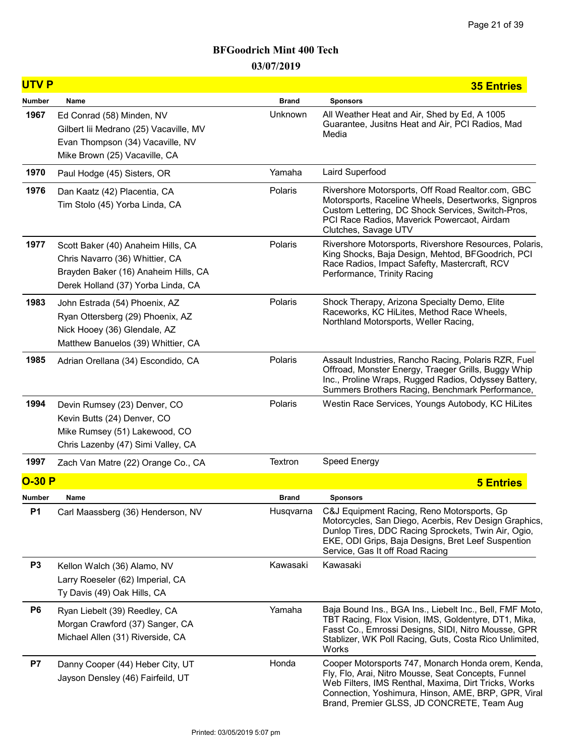| <b>UTVP</b>    |                                                                                                                                                     |              | <b>35 Entries</b>                                                                                                                                                                                                                                                      |
|----------------|-----------------------------------------------------------------------------------------------------------------------------------------------------|--------------|------------------------------------------------------------------------------------------------------------------------------------------------------------------------------------------------------------------------------------------------------------------------|
| Number         | Name                                                                                                                                                | <b>Brand</b> | <b>Sponsors</b>                                                                                                                                                                                                                                                        |
| 1967           | Ed Conrad (58) Minden, NV<br>Gilbert lii Medrano (25) Vacaville, MV<br>Evan Thompson (34) Vacaville, NV<br>Mike Brown (25) Vacaville, CA            | Unknown      | All Weather Heat and Air, Shed by Ed, A 1005<br>Guarantee, Jusitns Heat and Air, PCI Radios, Mad<br>Media                                                                                                                                                              |
| 1970           | Paul Hodge (45) Sisters, OR                                                                                                                         | Yamaha       | Laird Superfood                                                                                                                                                                                                                                                        |
| 1976           | Dan Kaatz (42) Placentia, CA<br>Tim Stolo (45) Yorba Linda, CA                                                                                      | Polaris      | Rivershore Motorsports, Off Road Realtor.com, GBC<br>Motorsports, Raceline Wheels, Desertworks, Signpros<br>Custom Lettering, DC Shock Services, Switch-Pros,<br>PCI Race Radios, Maverick Powercaot, Airdam<br>Clutches, Savage UTV                                   |
| 1977           | Scott Baker (40) Anaheim Hills, CA<br>Chris Navarro (36) Whittier, CA<br>Brayden Baker (16) Anaheim Hills, CA<br>Derek Holland (37) Yorba Linda, CA | Polaris      | Rivershore Motorsports, Rivershore Resources, Polaris,<br>King Shocks, Baja Design, Mehtod, BFGoodrich, PCI<br>Race Radios, Impact Safefty, Mastercraft, RCV<br>Performance, Trinity Racing                                                                            |
| 1983           | John Estrada (54) Phoenix, AZ<br>Ryan Ottersberg (29) Phoenix, AZ<br>Nick Hooey (36) Glendale, AZ<br>Matthew Banuelos (39) Whittier, CA             | Polaris      | Shock Therapy, Arizona Specialty Demo, Elite<br>Raceworks, KC HiLites, Method Race Wheels,<br>Northland Motorsports, Weller Racing,                                                                                                                                    |
| 1985           | Adrian Orellana (34) Escondido, CA                                                                                                                  | Polaris      | Assault Industries, Rancho Racing, Polaris RZR, Fuel<br>Offroad, Monster Energy, Traeger Grills, Buggy Whip<br>Inc., Proline Wraps, Rugged Radios, Odyssey Battery,<br>Summers Brothers Racing, Benchmark Performance,                                                 |
| 1994           | Devin Rumsey (23) Denver, CO<br>Kevin Butts (24) Denver, CO<br>Mike Rumsey (51) Lakewood, CO<br>Chris Lazenby (47) Simi Valley, CA                  | Polaris      | Westin Race Services, Youngs Autobody, KC HiLites                                                                                                                                                                                                                      |
| 1997           | Zach Van Matre (22) Orange Co., CA                                                                                                                  | Textron      | <b>Speed Energy</b>                                                                                                                                                                                                                                                    |
| $O-30P$        |                                                                                                                                                     |              | <b>5 Entries</b>                                                                                                                                                                                                                                                       |
| Number         | Name                                                                                                                                                | <b>Brand</b> | <b>Sponsors</b>                                                                                                                                                                                                                                                        |
| <b>P1</b>      | Carl Maassberg (36) Henderson, NV                                                                                                                   | Husqvarna    | C&J Equipment Racing, Reno Motorsports, Gp<br>Motorcycles, San Diego, Acerbis, Rev Design Graphics,<br>Dunlop Tires, DDC Racing Sprockets, Twin Air, Ogio,<br>EKE, ODI Grips, Baja Designs, Bret Leef Suspention<br>Service, Gas It off Road Racing                    |
| P <sub>3</sub> | Kellon Walch (36) Alamo, NV<br>Larry Roeseler (62) Imperial, CA<br>Ty Davis (49) Oak Hills, CA                                                      | Kawasaki     | Kawasaki                                                                                                                                                                                                                                                               |
| P <sub>6</sub> | Ryan Liebelt (39) Reedley, CA<br>Morgan Crawford (37) Sanger, CA<br>Michael Allen (31) Riverside, CA                                                | Yamaha       | Baja Bound Ins., BGA Ins., Liebelt Inc., Bell, FMF Moto,<br>TBT Racing, Flox Vision, IMS, Goldentyre, DT1, Mika,<br>Fasst Co., Emrossi Designs, SIDI, Nitro Mousse, GPR<br>Stablizer, WK Poll Racing, Guts, Costa Rico Unlimited,<br>Works                             |
| P7             | Danny Cooper (44) Heber City, UT<br>Jayson Densley (46) Fairfeild, UT                                                                               | Honda        | Cooper Motorsports 747, Monarch Honda orem, Kenda,<br>Fly, Flo, Arai, Nitro Mousse, Seat Concepts, Funnel<br>Web Filters, IMS Renthal, Maxima, Dirt Tricks, Works<br>Connection, Yoshimura, Hinson, AME, BRP, GPR, Viral<br>Brand, Premier GLSS, JD CONCRETE, Team Aug |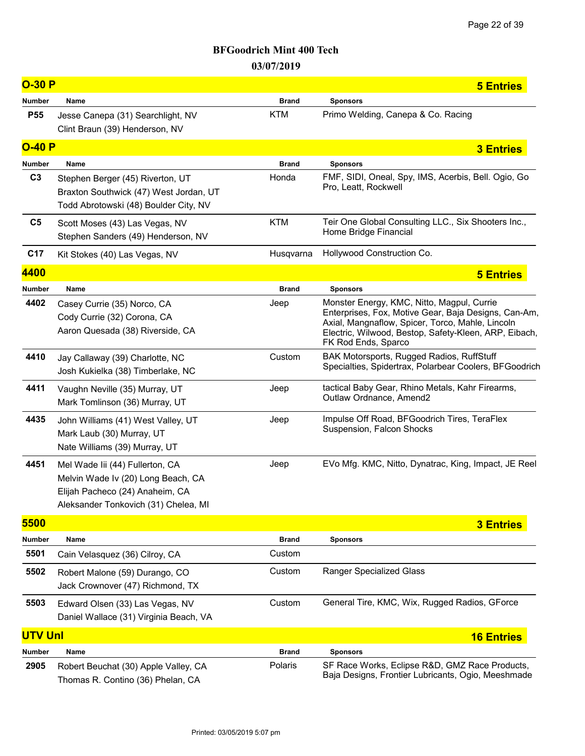| <b>O-30 P</b>   |                                                                                                                                                  |              | <b>5 Entries</b>                                                                                                                                                                                                                       |
|-----------------|--------------------------------------------------------------------------------------------------------------------------------------------------|--------------|----------------------------------------------------------------------------------------------------------------------------------------------------------------------------------------------------------------------------------------|
| <b>Number</b>   | Name                                                                                                                                             | <b>Brand</b> | <b>Sponsors</b>                                                                                                                                                                                                                        |
| <b>P55</b>      | Jesse Canepa (31) Searchlight, NV<br>Clint Braun (39) Henderson, NV                                                                              | <b>KTM</b>   | Primo Welding, Canepa & Co. Racing                                                                                                                                                                                                     |
| $O-40P$         |                                                                                                                                                  |              | <b>3 Entries</b>                                                                                                                                                                                                                       |
| <b>Number</b>   | Name                                                                                                                                             | <b>Brand</b> | <b>Sponsors</b>                                                                                                                                                                                                                        |
| C <sub>3</sub>  | Stephen Berger (45) Riverton, UT<br>Braxton Southwick (47) West Jordan, UT<br>Todd Abrotowski (48) Boulder City, NV                              | Honda        | FMF, SIDI, Oneal, Spy, IMS, Acerbis, Bell. Ogio, Go<br>Pro, Leatt, Rockwell                                                                                                                                                            |
| C <sub>5</sub>  | Scott Moses (43) Las Vegas, NV<br>Stephen Sanders (49) Henderson, NV                                                                             | <b>KTM</b>   | Teir One Global Consulting LLC., Six Shooters Inc.,<br>Home Bridge Financial                                                                                                                                                           |
| C <sub>17</sub> | Kit Stokes (40) Las Vegas, NV                                                                                                                    | Husqvarna    | Hollywood Construction Co.                                                                                                                                                                                                             |
| 4400            |                                                                                                                                                  |              | <b>5 Entries</b>                                                                                                                                                                                                                       |
| <b>Number</b>   | Name                                                                                                                                             | <b>Brand</b> | <b>Sponsors</b>                                                                                                                                                                                                                        |
| 4402            | Casey Currie (35) Norco, CA<br>Cody Currie (32) Corona, CA<br>Aaron Quesada (38) Riverside, CA                                                   | Jeep         | Monster Energy, KMC, Nitto, Magpul, Currie<br>Enterprises, Fox, Motive Gear, Baja Designs, Can-Am,<br>Axial, Mangnaflow, Spicer, Torco, Mahle, Lincoln<br>Electric, Wilwood, Bestop, Safety-Kleen, ARP, Eibach,<br>FK Rod Ends, Sparco |
| 4410            | Jay Callaway (39) Charlotte, NC<br>Josh Kukielka (38) Timberlake, NC                                                                             | Custom       | BAK Motorsports, Rugged Radios, RuffStuff<br>Specialties, Spidertrax, Polarbear Coolers, BFGoodrich                                                                                                                                    |
| 4411            | Vaughn Neville (35) Murray, UT<br>Mark Tomlinson (36) Murray, UT                                                                                 | Jeep         | tactical Baby Gear, Rhino Metals, Kahr Firearms,<br>Outlaw Ordnance, Amend2                                                                                                                                                            |
| 4435            | John Williams (41) West Valley, UT<br>Mark Laub (30) Murray, UT<br>Nate Williams (39) Murray, UT                                                 | Jeep         | Impulse Off Road, BFGoodrich Tires, TeraFlex<br>Suspension, Falcon Shocks                                                                                                                                                              |
| 4451            | Mel Wade lii (44) Fullerton, CA<br>Melvin Wade Iv (20) Long Beach, CA<br>Elijah Pacheco (24) Anaheim, CA<br>Aleksander Tonkovich (31) Chelea, MI | Jeep         | EVo Mfg. KMC, Nitto, Dynatrac, King, Impact, JE Reel                                                                                                                                                                                   |
| 5500            |                                                                                                                                                  |              | <b>3 Entries</b>                                                                                                                                                                                                                       |
| Number          | Name                                                                                                                                             | <b>Brand</b> | <b>Sponsors</b>                                                                                                                                                                                                                        |
| 5501            | Cain Velasquez (36) Cilroy, CA                                                                                                                   | Custom       |                                                                                                                                                                                                                                        |
| 5502            | Robert Malone (59) Durango, CO<br>Jack Crownover (47) Richmond, TX                                                                               | Custom       | <b>Ranger Specialized Glass</b>                                                                                                                                                                                                        |
| 5503            | Edward Olsen (33) Las Vegas, NV<br>Daniel Wallace (31) Virginia Beach, VA                                                                        | Custom       | General Tire, KMC, Wix, Rugged Radios, GForce                                                                                                                                                                                          |
| <b>UTV Unl</b>  |                                                                                                                                                  |              | <b>16 Entries</b>                                                                                                                                                                                                                      |
| Number          | Name                                                                                                                                             | <b>Brand</b> | <b>Sponsors</b>                                                                                                                                                                                                                        |
| 2905            | Robert Beuchat (30) Apple Valley, CA<br>Thomas R. Contino (36) Phelan, CA                                                                        | Polaris      | SF Race Works, Eclipse R&D, GMZ Race Products,<br>Baja Designs, Frontier Lubricants, Ogio, Meeshmade                                                                                                                                   |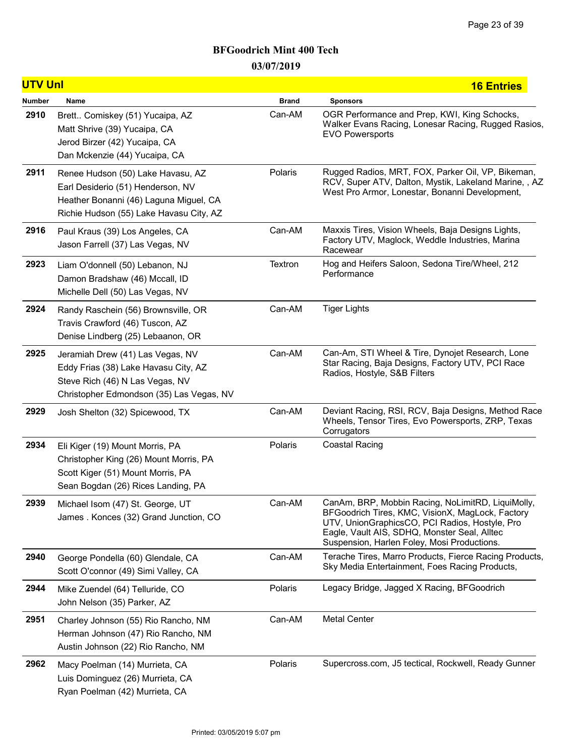| <b>UTV Unl</b> |                                                                                                                                                             |              | <b>16 Entries</b>                                                                                                                                                                                                                                      |
|----------------|-------------------------------------------------------------------------------------------------------------------------------------------------------------|--------------|--------------------------------------------------------------------------------------------------------------------------------------------------------------------------------------------------------------------------------------------------------|
| Number         | Name                                                                                                                                                        | <b>Brand</b> | <b>Sponsors</b>                                                                                                                                                                                                                                        |
| 2910           | Brett Comiskey (51) Yucaipa, AZ<br>Matt Shrive (39) Yucaipa, CA<br>Jerod Birzer (42) Yucaipa, CA<br>Dan Mckenzie (44) Yucaipa, CA                           | Can-AM       | OGR Performance and Prep, KWI, King Schocks,<br>Walker Evans Racing, Lonesar Racing, Rugged Rasios,<br><b>EVO Powersports</b>                                                                                                                          |
| 2911           | Renee Hudson (50) Lake Havasu, AZ<br>Earl Desiderio (51) Henderson, NV<br>Heather Bonanni (46) Laguna Miguel, CA<br>Richie Hudson (55) Lake Havasu City, AZ | Polaris      | Rugged Radios, MRT, FOX, Parker Oil, VP, Bikeman,<br>RCV, Super ATV, Dalton, Mystik, Lakeland Marine, , AZ<br>West Pro Armor, Lonestar, Bonanni Development,                                                                                           |
| 2916           | Paul Kraus (39) Los Angeles, CA<br>Jason Farrell (37) Las Vegas, NV                                                                                         | Can-AM       | Maxxis Tires, Vision Wheels, Baja Designs Lights,<br>Factory UTV, Maglock, Weddle Industries, Marina<br>Racewear                                                                                                                                       |
| 2923           | Liam O'donnell (50) Lebanon, NJ<br>Damon Bradshaw (46) Mccall, ID<br>Michelle Dell (50) Las Vegas, NV                                                       | Textron      | Hog and Heifers Saloon, Sedona Tire/Wheel, 212<br>Performance                                                                                                                                                                                          |
| 2924           | Randy Raschein (56) Brownsville, OR<br>Travis Crawford (46) Tuscon, AZ<br>Denise Lindberg (25) Lebaanon, OR                                                 | Can-AM       | <b>Tiger Lights</b>                                                                                                                                                                                                                                    |
| 2925           | Jeramiah Drew (41) Las Vegas, NV<br>Eddy Frias (38) Lake Havasu City, AZ<br>Steve Rich (46) N Las Vegas, NV<br>Christopher Edmondson (35) Las Vegas, NV     | Can-AM       | Can-Am, STI Wheel & Tire, Dynojet Research, Lone<br>Star Racing, Baja Designs, Factory UTV, PCI Race<br>Radios, Hostyle, S&B Filters                                                                                                                   |
| 2929           | Josh Shelton (32) Spicewood, TX                                                                                                                             | Can-AM       | Deviant Racing, RSI, RCV, Baja Designs, Method Race<br>Wheels, Tensor Tires, Evo Powersports, ZRP, Texas<br>Corrugators                                                                                                                                |
| 2934           | Eli Kiger (19) Mount Morris, PA<br>Christopher King (26) Mount Morris, PA<br>Scott Kiger (51) Mount Morris, PA<br>Sean Bogdan (26) Rices Landing, PA        | Polaris      | Coastal Racing                                                                                                                                                                                                                                         |
| 2939           | Michael Isom (47) St. George, UT<br>James. Konces (32) Grand Junction, CO                                                                                   | Can-AM       | CanAm, BRP, Mobbin Racing, NoLimitRD, LiquiMolly,<br>BFGoodrich Tires, KMC, VisionX, MagLock, Factory<br>UTV, UnionGraphicsCO, PCI Radios, Hostyle, Pro<br>Eagle, Vault AIS, SDHQ, Monster Seal, Alltec<br>Suspension, Harlen Foley, Mosi Productions. |
| 2940           | George Pondella (60) Glendale, CA<br>Scott O'connor (49) Simi Valley, CA                                                                                    | Can-AM       | Terache Tires, Marro Products, Fierce Racing Products,<br>Sky Media Entertainment, Foes Racing Products,                                                                                                                                               |
| 2944           | Mike Zuendel (64) Telluride, CO<br>John Nelson (35) Parker, AZ                                                                                              | Polaris      | Legacy Bridge, Jagged X Racing, BFGoodrich                                                                                                                                                                                                             |
| 2951           | Charley Johnson (55) Rio Rancho, NM<br>Herman Johnson (47) Rio Rancho, NM<br>Austin Johnson (22) Rio Rancho, NM                                             | Can-AM       | <b>Metal Center</b>                                                                                                                                                                                                                                    |
| 2962           | Macy Poelman (14) Murrieta, CA<br>Luis Dominguez (26) Murrieta, CA<br>Ryan Poelman (42) Murrieta, CA                                                        | Polaris      | Supercross.com, J5 tectical, Rockwell, Ready Gunner                                                                                                                                                                                                    |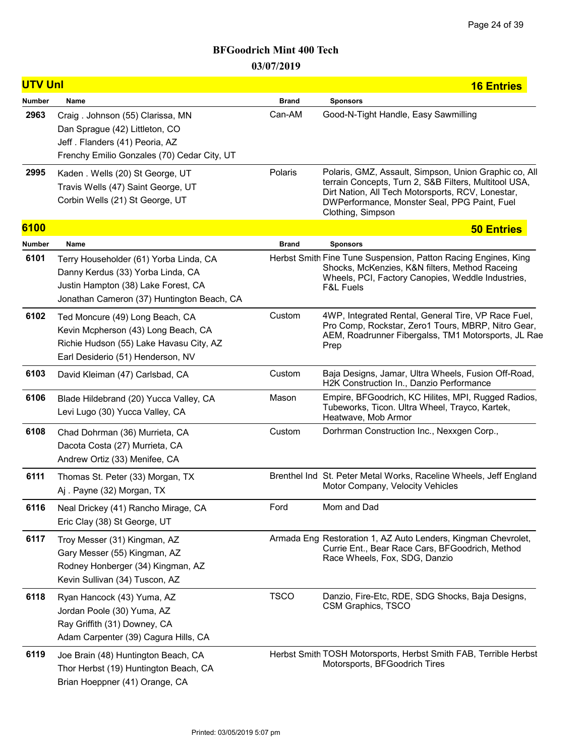| <b>UTV Unl</b> |                                                                                                                                                                  |              | <b>16 Entries</b>                                                                                                                                                                                                                        |
|----------------|------------------------------------------------------------------------------------------------------------------------------------------------------------------|--------------|------------------------------------------------------------------------------------------------------------------------------------------------------------------------------------------------------------------------------------------|
| <b>Number</b>  | Name                                                                                                                                                             | <b>Brand</b> | <b>Sponsors</b>                                                                                                                                                                                                                          |
| 2963           | Craig. Johnson (55) Clarissa, MN<br>Dan Sprague (42) Littleton, CO<br>Jeff. Flanders (41) Peoria, AZ<br>Frenchy Emilio Gonzales (70) Cedar City, UT              | Can-AM       | Good-N-Tight Handle, Easy Sawmilling                                                                                                                                                                                                     |
| 2995           | Kaden . Wells (20) St George, UT<br>Travis Wells (47) Saint George, UT<br>Corbin Wells (21) St George, UT                                                        | Polaris      | Polaris, GMZ, Assault, Simpson, Union Graphic co, All<br>terrain Concepts, Turn 2, S&B Filters, Multitool USA,<br>Dirt Nation, All Tech Motorsports, RCV, Lonestar,<br>DWPerformance, Monster Seal, PPG Paint, Fuel<br>Clothing, Simpson |
| 6100           |                                                                                                                                                                  |              | <b>50 Entries</b>                                                                                                                                                                                                                        |
| Number         | Name                                                                                                                                                             | <b>Brand</b> | <b>Sponsors</b>                                                                                                                                                                                                                          |
| 6101           | Terry Householder (61) Yorba Linda, CA<br>Danny Kerdus (33) Yorba Linda, CA<br>Justin Hampton (38) Lake Forest, CA<br>Jonathan Cameron (37) Huntington Beach, CA |              | Herbst Smith Fine Tune Suspension, Patton Racing Engines, King<br>Shocks, McKenzies, K&N filters, Method Raceing<br>Wheels, PCI, Factory Canopies, Weddle Industries,<br><b>F&amp;L Fuels</b>                                            |
| 6102           | Ted Moncure (49) Long Beach, CA<br>Kevin Mcpherson (43) Long Beach, CA<br>Richie Hudson (55) Lake Havasu City, AZ<br>Earl Desiderio (51) Henderson, NV           | Custom       | 4WP, Integrated Rental, General Tire, VP Race Fuel,<br>Pro Comp, Rockstar, Zero1 Tours, MBRP, Nitro Gear,<br>AEM, Roadrunner Fibergalss, TM1 Motorsports, JL Rae<br>Prep                                                                 |
| 6103           | David Kleiman (47) Carlsbad, CA                                                                                                                                  | Custom       | Baja Designs, Jamar, Ultra Wheels, Fusion Off-Road,<br>H2K Construction In., Danzio Performance                                                                                                                                          |
| 6106           | Blade Hildebrand (20) Yucca Valley, CA<br>Levi Lugo (30) Yucca Valley, CA                                                                                        | Mason        | Empire, BFGoodrich, KC Hilites, MPI, Rugged Radios,<br>Tubeworks, Ticon. Ultra Wheel, Trayco, Kartek,<br>Heatwave, Mob Armor                                                                                                             |
| 6108           | Chad Dohrman (36) Murrieta, CA<br>Dacota Costa (27) Murrieta, CA<br>Andrew Ortiz (33) Menifee, CA                                                                | Custom       | Dorhrman Construction Inc., Nexxgen Corp.,                                                                                                                                                                                               |
| 6111           | Thomas St. Peter (33) Morgan, TX<br>Aj. Payne (32) Morgan, TX                                                                                                    |              | Brenthel Ind St. Peter Metal Works, Raceline Wheels, Jeff England<br>Motor Company, Velocity Vehicles                                                                                                                                    |
| 6116           | Neal Drickey (41) Rancho Mirage, CA<br>Eric Clay (38) St George, UT                                                                                              | Ford         | Mom and Dad                                                                                                                                                                                                                              |
| 6117           | Troy Messer (31) Kingman, AZ<br>Gary Messer (55) Kingman, AZ<br>Rodney Honberger (34) Kingman, AZ<br>Kevin Sullivan (34) Tuscon, AZ                              |              | Armada Eng Restoration 1, AZ Auto Lenders, Kingman Chevrolet,<br>Currie Ent., Bear Race Cars, BFGoodrich, Method<br>Race Wheels, Fox, SDG, Danzio                                                                                        |
| 6118           | Ryan Hancock (43) Yuma, AZ<br>Jordan Poole (30) Yuma, AZ<br>Ray Griffith (31) Downey, CA<br>Adam Carpenter (39) Cagura Hills, CA                                 | <b>TSCO</b>  | Danzio, Fire-Etc, RDE, SDG Shocks, Baja Designs,<br>CSM Graphics, TSCO                                                                                                                                                                   |
| 6119           | Joe Brain (48) Huntington Beach, CA<br>Thor Herbst (19) Huntington Beach, CA<br>Brian Hoeppner (41) Orange, CA                                                   |              | Herbst Smith TOSH Motorsports, Herbst Smith FAB, Terrible Herbst<br>Motorsports, BFGoodrich Tires                                                                                                                                        |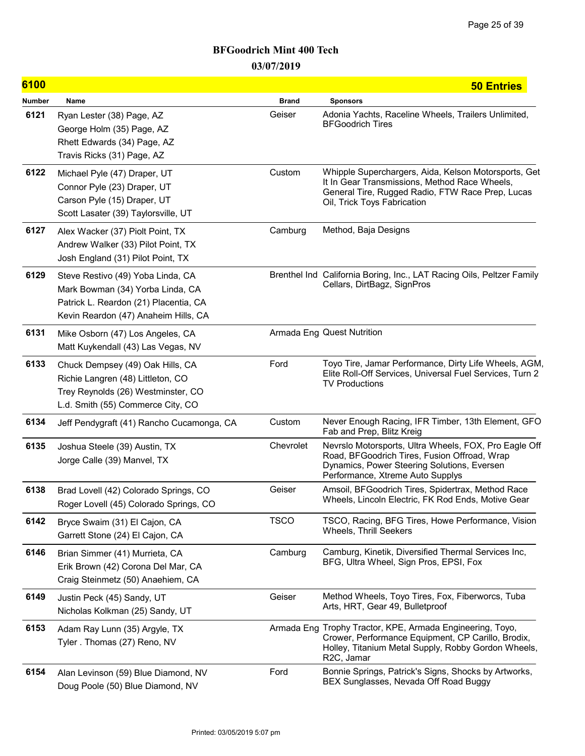| 6100          |                                                                                                                                                        |              | <b>50 Entries</b>                                                                                                                                                                                 |
|---------------|--------------------------------------------------------------------------------------------------------------------------------------------------------|--------------|---------------------------------------------------------------------------------------------------------------------------------------------------------------------------------------------------|
| <b>Number</b> | Name                                                                                                                                                   | <b>Brand</b> | <b>Sponsors</b>                                                                                                                                                                                   |
| 6121          | Ryan Lester (38) Page, AZ<br>George Holm (35) Page, AZ<br>Rhett Edwards (34) Page, AZ<br>Travis Ricks (31) Page, AZ                                    | Geiser       | Adonia Yachts, Raceline Wheels, Trailers Unlimited,<br><b>BFGoodrich Tires</b>                                                                                                                    |
| 6122          | Michael Pyle (47) Draper, UT<br>Connor Pyle (23) Draper, UT<br>Carson Pyle (15) Draper, UT<br>Scott Lasater (39) Taylorsville, UT                      | Custom       | Whipple Superchargers, Aida, Kelson Motorsports, Get<br>It In Gear Transmissions, Method Race Wheels,<br>General Tire, Rugged Radio, FTW Race Prep, Lucas<br>Oil, Trick Toys Fabrication          |
| 6127          | Alex Wacker (37) Piolt Point, TX<br>Andrew Walker (33) Pilot Point, TX<br>Josh England (31) Pilot Point, TX                                            | Camburg      | Method, Baja Designs                                                                                                                                                                              |
| 6129          | Steve Restivo (49) Yoba Linda, CA<br>Mark Bowman (34) Yorba Linda, CA<br>Patrick L. Reardon (21) Placentia, CA<br>Kevin Reardon (47) Anaheim Hills, CA |              | Brenthel Ind California Boring, Inc., LAT Racing Oils, Peltzer Family<br>Cellars, DirtBagz, SignPros                                                                                              |
| 6131          | Mike Osborn (47) Los Angeles, CA<br>Matt Kuykendall (43) Las Vegas, NV                                                                                 |              | <b>Armada Eng Quest Nutrition</b>                                                                                                                                                                 |
| 6133          | Chuck Dempsey (49) Oak Hills, CA<br>Richie Langren (48) Littleton, CO<br>Trey Reynolds (26) Westminster, CO<br>L.d. Smith (55) Commerce City, CO       | Ford         | Toyo Tire, Jamar Performance, Dirty Life Wheels, AGM,<br>Elite Roll-Off Services, Universal Fuel Services, Turn 2<br><b>TV Productions</b>                                                        |
| 6134          | Jeff Pendygraft (41) Rancho Cucamonga, CA                                                                                                              | Custom       | Never Enough Racing, IFR Timber, 13th Element, GFO<br>Fab and Prep, Blitz Kreig                                                                                                                   |
| 6135          | Joshua Steele (39) Austin, TX<br>Jorge Calle (39) Manvel, TX                                                                                           | Chevrolet    | Nevrslo Motorsports, Ultra Wheels, FOX, Pro Eagle Off<br>Road, BFGoodrich Tires, Fusion Offroad, Wrap<br>Dynamics, Power Steering Solutions, Eversen<br>Performance, Xtreme Auto Supplys          |
| 6138          | Brad Lovell (42) Colorado Springs, CO<br>Roger Lovell (45) Colorado Springs, CO                                                                        | Geiser       | Amsoil, BFGoodrich Tires, Spidertrax, Method Race<br>Wheels, Lincoln Electric, FK Rod Ends, Motive Gear                                                                                           |
| 6142          | Bryce Swaim (31) El Cajon, CA<br>Garrett Stone (24) El Cajon, CA                                                                                       | <b>TSCO</b>  | TSCO, Racing, BFG Tires, Howe Performance, Vision<br><b>Wheels, Thrill Seekers</b>                                                                                                                |
| 6146          | Brian Simmer (41) Murrieta, CA<br>Erik Brown (42) Corona Del Mar, CA<br>Craig Steinmetz (50) Anaehiem, CA                                              | Camburg      | Camburg, Kinetik, Diversified Thermal Services Inc,<br>BFG, Ultra Wheel, Sign Pros, EPSI, Fox                                                                                                     |
| 6149          | Justin Peck (45) Sandy, UT<br>Nicholas Kolkman (25) Sandy, UT                                                                                          | Geiser       | Method Wheels, Toyo Tires, Fox, Fiberworcs, Tuba<br>Arts, HRT, Gear 49, Bulletproof                                                                                                               |
| 6153          | Adam Ray Lunn (35) Argyle, TX<br>Tyler. Thomas (27) Reno, NV                                                                                           |              | Armada Eng Trophy Tractor, KPE, Armada Engineering, Toyo,<br>Crower, Performance Equipment, CP Carillo, Brodix,<br>Holley, Titanium Metal Supply, Robby Gordon Wheels,<br>R <sub>2</sub> C, Jamar |
| 6154          | Alan Levinson (59) Blue Diamond, NV<br>Doug Poole (50) Blue Diamond, NV                                                                                | Ford         | Bonnie Springs, Patrick's Signs, Shocks by Artworks,<br>BEX Sunglasses, Nevada Off Road Buggy                                                                                                     |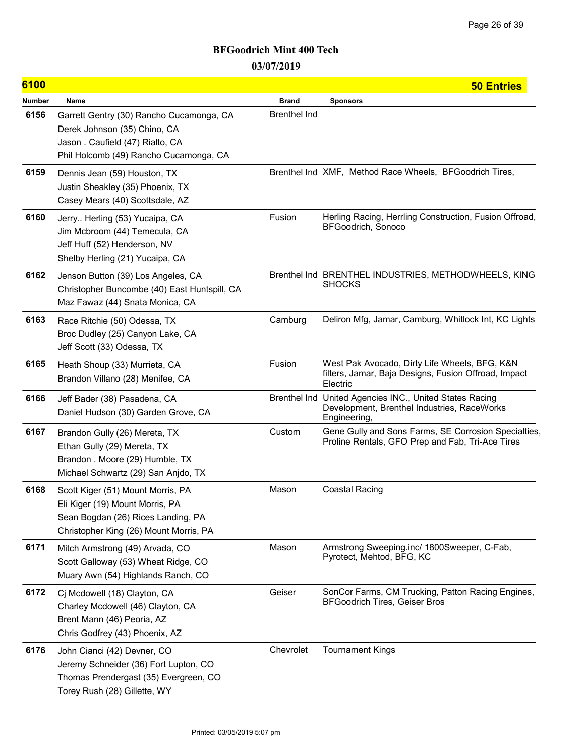| 6100   |                                                                                                                                                       |                     | <b>50 Entries</b>                                                                                                      |
|--------|-------------------------------------------------------------------------------------------------------------------------------------------------------|---------------------|------------------------------------------------------------------------------------------------------------------------|
| Number | Name                                                                                                                                                  | <b>Brand</b>        | <b>Sponsors</b>                                                                                                        |
| 6156   | Garrett Gentry (30) Rancho Cucamonga, CA<br>Derek Johnson (35) Chino, CA<br>Jason. Caufield (47) Rialto, CA<br>Phil Holcomb (49) Rancho Cucamonga, CA | <b>Brenthel Ind</b> |                                                                                                                        |
| 6159   | Dennis Jean (59) Houston, TX<br>Justin Sheakley (35) Phoenix, TX<br>Casey Mears (40) Scottsdale, AZ                                                   |                     | Brenthel Ind XMF, Method Race Wheels, BFGoodrich Tires,                                                                |
| 6160   | Jerry Herling (53) Yucaipa, CA<br>Jim Mcbroom (44) Temecula, CA<br>Jeff Huff (52) Henderson, NV<br>Shelby Herling (21) Yucaipa, CA                    | Fusion              | Herling Racing, Herrling Construction, Fusion Offroad,<br>BFGoodrich, Sonoco                                           |
| 6162   | Jenson Button (39) Los Angeles, CA<br>Christopher Buncombe (40) East Huntspill, CA<br>Maz Fawaz (44) Snata Monica, CA                                 |                     | Brenthel Ind BRENTHEL INDUSTRIES, METHODWHEELS, KING<br><b>SHOCKS</b>                                                  |
| 6163   | Race Ritchie (50) Odessa, TX<br>Broc Dudley (25) Canyon Lake, CA<br>Jeff Scott (33) Odessa, TX                                                        | Camburg             | Deliron Mfg, Jamar, Camburg, Whitlock Int, KC Lights                                                                   |
| 6165   | Heath Shoup (33) Murrieta, CA<br>Brandon Villano (28) Menifee, CA                                                                                     | Fusion              | West Pak Avocado, Dirty Life Wheels, BFG, K&N<br>filters, Jamar, Baja Designs, Fusion Offroad, Impact<br>Electric      |
| 6166   | Jeff Bader (38) Pasadena, CA<br>Daniel Hudson (30) Garden Grove, CA                                                                                   |                     | Brenthel Ind United Agencies INC., United States Racing<br>Development, Brenthel Industries, RaceWorks<br>Engineering, |
| 6167   | Brandon Gully (26) Mereta, TX<br>Ethan Gully (29) Mereta, TX<br>Brandon . Moore (29) Humble, TX<br>Michael Schwartz (29) San Anjdo, TX                | Custom              | Gene Gully and Sons Farms, SE Corrosion Specialties,<br>Proline Rentals, GFO Prep and Fab, Tri-Ace Tires               |
| 6168   | Scott Kiger (51) Mount Morris, PA<br>Eli Kiger (19) Mount Morris, PA<br>Sean Bogdan (26) Rices Landing, PA<br>Christopher King (26) Mount Morris, PA  | Mason               | <b>Coastal Racing</b>                                                                                                  |
| 6171   | Mitch Armstrong (49) Arvada, CO<br>Scott Galloway (53) Wheat Ridge, CO<br>Muary Awn (54) Highlands Ranch, CO                                          | Mason               | Armstrong Sweeping.inc/ 1800Sweeper, C-Fab,<br>Pyrotect, Mehtod, BFG, KC                                               |
| 6172   | Cj Mcdowell (18) Clayton, CA<br>Charley Mcdowell (46) Clayton, CA<br>Brent Mann (46) Peoria, AZ<br>Chris Godfrey (43) Phoenix, AZ                     | Geiser              | SonCor Farms, CM Trucking, Patton Racing Engines,<br><b>BFGoodrich Tires, Geiser Bros</b>                              |
| 6176   | John Cianci (42) Devner, CO<br>Jeremy Schneider (36) Fort Lupton, CO<br>Thomas Prendergast (35) Evergreen, CO<br>Torey Rush (28) Gillette, WY         | Chevrolet           | <b>Tournament Kings</b>                                                                                                |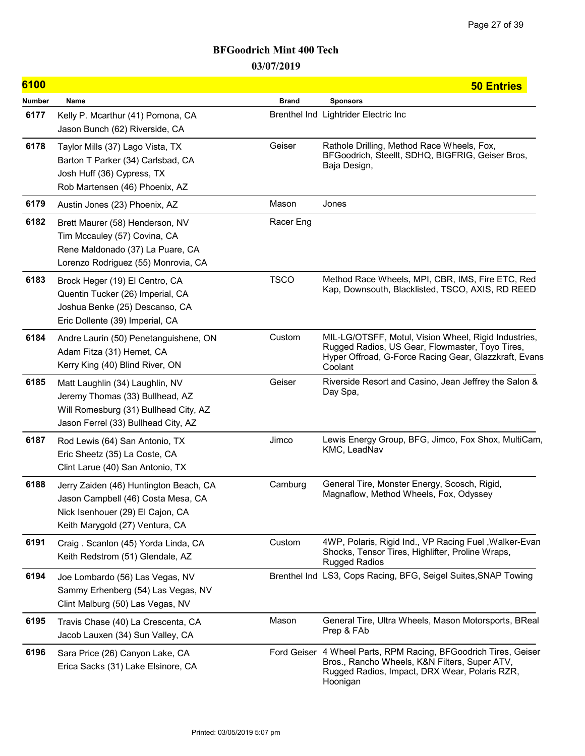| 6100   |                                                                                                                                                     |              | <b>50 Entries</b>                                                                                                                                                           |
|--------|-----------------------------------------------------------------------------------------------------------------------------------------------------|--------------|-----------------------------------------------------------------------------------------------------------------------------------------------------------------------------|
| Number | Name                                                                                                                                                | <b>Brand</b> | <b>Sponsors</b>                                                                                                                                                             |
| 6177   | Kelly P. Mcarthur (41) Pomona, CA<br>Jason Bunch (62) Riverside, CA                                                                                 |              | Brenthel Ind Lightrider Electric Inc                                                                                                                                        |
| 6178   | Taylor Mills (37) Lago Vista, TX<br>Barton T Parker (34) Carlsbad, CA<br>Josh Huff (36) Cypress, TX<br>Rob Martensen (46) Phoenix, AZ               | Geiser       | Rathole Drilling, Method Race Wheels, Fox,<br>BFGoodrich, Steellt, SDHQ, BIGFRIG, Geiser Bros,<br>Baja Design,                                                              |
| 6179   | Austin Jones (23) Phoenix, AZ                                                                                                                       | Mason        | Jones                                                                                                                                                                       |
| 6182   | Brett Maurer (58) Henderson, NV<br>Tim Mccauley (57) Covina, CA<br>Rene Maldonado (37) La Puare, CA<br>Lorenzo Rodriguez (55) Monrovia, CA          | Racer Eng    |                                                                                                                                                                             |
| 6183   | Brock Heger (19) El Centro, CA<br>Quentin Tucker (26) Imperial, CA<br>Joshua Benke (25) Descanso, CA<br>Eric Dollente (39) Imperial, CA             | <b>TSCO</b>  | Method Race Wheels, MPI, CBR, IMS, Fire ETC, Red<br>Kap, Downsouth, Blacklisted, TSCO, AXIS, RD REED                                                                        |
| 6184   | Andre Laurin (50) Penetanguishene, ON<br>Adam Fitza (31) Hemet, CA<br>Kerry King (40) Blind River, ON                                               | Custom       | MIL-LG/OTSFF, Motul, Vision Wheel, Rigid Industries,<br>Rugged Radios, US Gear, Flowmaster, Toyo Tires,<br>Hyper Offroad, G-Force Racing Gear, Glazzkraft, Evans<br>Coolant |
| 6185   | Matt Laughlin (34) Laughlin, NV<br>Jeremy Thomas (33) Bullhead, AZ<br>Will Romesburg (31) Bullhead City, AZ<br>Jason Ferrel (33) Bullhead City, AZ  | Geiser       | Riverside Resort and Casino, Jean Jeffrey the Salon &<br>Day Spa,                                                                                                           |
| 6187   | Rod Lewis (64) San Antonio, TX<br>Eric Sheetz (35) La Coste, CA<br>Clint Larue (40) San Antonio, TX                                                 | Jimco        | Lewis Energy Group, BFG, Jimco, Fox Shox, MultiCam,<br>KMC, LeadNav                                                                                                         |
| 6188   | Jerry Zaiden (46) Huntington Beach, CA<br>Jason Campbell (46) Costa Mesa, CA<br>Nick Isenhouer (29) El Cajon, CA<br>Keith Marygold (27) Ventura, CA | Camburg      | General Tire, Monster Energy, Scosch, Rigid,<br>Magnaflow, Method Wheels, Fox, Odyssey                                                                                      |
| 6191   | Craig. Scanlon (45) Yorda Linda, CA<br>Keith Redstrom (51) Glendale, AZ                                                                             | Custom       | 4WP, Polaris, Rigid Ind., VP Racing Fuel, Walker-Evan<br>Shocks, Tensor Tires, Highlifter, Proline Wraps,<br><b>Rugged Radios</b>                                           |
| 6194   | Joe Lombardo (56) Las Vegas, NV<br>Sammy Erhenberg (54) Las Vegas, NV<br>Clint Malburg (50) Las Vegas, NV                                           |              | Brenthel Ind LS3, Cops Racing, BFG, Seigel Suites, SNAP Towing                                                                                                              |
| 6195   | Travis Chase (40) La Crescenta, CA<br>Jacob Lauxen (34) Sun Valley, CA                                                                              | Mason        | General Tire, Ultra Wheels, Mason Motorsports, BReal<br>Prep & FAb                                                                                                          |
| 6196   | Sara Price (26) Canyon Lake, CA<br>Erica Sacks (31) Lake Elsinore, CA                                                                               | Ford Geiser  | 4 Wheel Parts, RPM Racing, BFGoodrich Tires, Geiser<br>Bros., Rancho Wheels, K&N Filters, Super ATV,<br>Rugged Radios, Impact, DRX Wear, Polaris RZR,<br>Hoonigan           |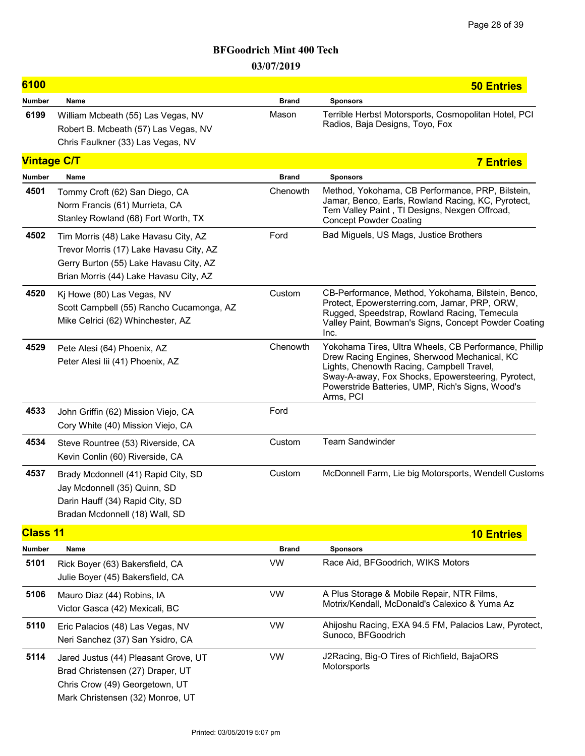| 6100               |                                                                                                                                                                     |              | <b>50 Entries</b>                                                                                                                                                                                                                                                         |
|--------------------|---------------------------------------------------------------------------------------------------------------------------------------------------------------------|--------------|---------------------------------------------------------------------------------------------------------------------------------------------------------------------------------------------------------------------------------------------------------------------------|
| <b>Number</b>      | Name                                                                                                                                                                | <b>Brand</b> | <b>Sponsors</b>                                                                                                                                                                                                                                                           |
| 6199               | William Mcbeath (55) Las Vegas, NV<br>Robert B. Mcbeath (57) Las Vegas, NV<br>Chris Faulkner (33) Las Vegas, NV                                                     | Mason        | Terrible Herbst Motorsports, Cosmopolitan Hotel, PCI<br>Radios, Baja Designs, Toyo, Fox                                                                                                                                                                                   |
| <b>Vintage C/T</b> |                                                                                                                                                                     |              | <b>7 Entries</b>                                                                                                                                                                                                                                                          |
| <b>Number</b>      | Name                                                                                                                                                                | <b>Brand</b> | <b>Sponsors</b>                                                                                                                                                                                                                                                           |
| 4501               | Tommy Croft (62) San Diego, CA<br>Norm Francis (61) Murrieta, CA<br>Stanley Rowland (68) Fort Worth, TX                                                             | Chenowth     | Method, Yokohama, CB Performance, PRP, Bilstein,<br>Jamar, Benco, Earls, Rowland Racing, KC, Pyrotect,<br>Tem Valley Paint, TI Designs, Nexgen Offroad,<br><b>Concept Powder Coating</b>                                                                                  |
| 4502               | Tim Morris (48) Lake Havasu City, AZ<br>Trevor Morris (17) Lake Havasu City, AZ<br>Gerry Burton (55) Lake Havasu City, AZ<br>Brian Morris (44) Lake Havasu City, AZ | Ford         | Bad Miguels, US Mags, Justice Brothers                                                                                                                                                                                                                                    |
| 4520               | Kj Howe (80) Las Vegas, NV<br>Scott Campbell (55) Rancho Cucamonga, AZ<br>Mike Celrici (62) Whinchester, AZ                                                         | Custom       | CB-Performance, Method, Yokohama, Bilstein, Benco,<br>Protect, Epowersterring.com, Jamar, PRP, ORW,<br>Rugged, Speedstrap, Rowland Racing, Temecula<br>Valley Paint, Bowman's Signs, Concept Powder Coating<br>Inc.                                                       |
| 4529               | Pete Alesi (64) Phoenix, AZ<br>Peter Alesi lii (41) Phoenix, AZ                                                                                                     | Chenowth     | Yokohama Tires, Ultra Wheels, CB Performance, Phillip<br>Drew Racing Engines, Sherwood Mechanical, KC<br>Lights, Chenowth Racing, Campbell Travel,<br>Sway-A-away, Fox Shocks, Epowersteering, Pyrotect,<br>Powerstride Batteries, UMP, Rich's Signs, Wood's<br>Arms, PCI |
| 4533               | John Griffin (62) Mission Viejo, CA<br>Cory White (40) Mission Viejo, CA                                                                                            | Ford         |                                                                                                                                                                                                                                                                           |
| 4534               | Steve Rountree (53) Riverside, CA<br>Kevin Conlin (60) Riverside, CA                                                                                                | Custom       | <b>Team Sandwinder</b>                                                                                                                                                                                                                                                    |
| 4537               | Brady Mcdonnell (41) Rapid City, SD<br>Jay Mcdonnell (35) Quinn, SD<br>Darin Hauff (34) Rapid City, SD<br>Bradan Mcdonnell (18) Wall, SD                            | Custom       | McDonnell Farm, Lie big Motorsports, Wendell Customs                                                                                                                                                                                                                      |
| <b>Class 11</b>    |                                                                                                                                                                     |              | <b>10 Entries</b>                                                                                                                                                                                                                                                         |
| <b>Number</b>      | Name                                                                                                                                                                | <b>Brand</b> | <b>Sponsors</b>                                                                                                                                                                                                                                                           |
| 5101               | Rick Boyer (63) Bakersfield, CA<br>Julie Boyer (45) Bakersfield, CA                                                                                                 | <b>VW</b>    | Race Aid, BFGoodrich, WIKS Motors                                                                                                                                                                                                                                         |
| 5106               | Mauro Diaz (44) Robins, IA<br>Victor Gasca (42) Mexicali, BC                                                                                                        | <b>VW</b>    | A Plus Storage & Mobile Repair, NTR Films,<br>Motrix/Kendall, McDonald's Calexico & Yuma Az                                                                                                                                                                               |
| 5110               | Eric Palacios (48) Las Vegas, NV<br>Neri Sanchez (37) San Ysidro, CA                                                                                                | <b>VW</b>    | Ahijoshu Racing, EXA 94.5 FM, Palacios Law, Pyrotect,<br>Sunoco, BFGoodrich                                                                                                                                                                                               |
| 5114               | Jared Justus (44) Pleasant Grove, UT<br>Brad Christensen (27) Draper, UT<br>Chris Crow (49) Georgetown, UT<br>Mark Christensen (32) Monroe, UT                      | <b>VW</b>    | J2Racing, Big-O Tires of Richfield, BajaORS<br>Motorsports                                                                                                                                                                                                                |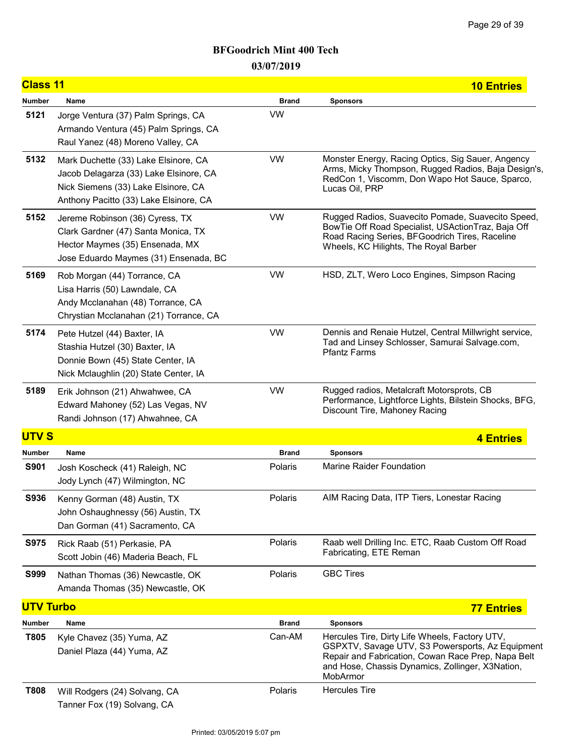| <b>Class 11</b>  |                                                                                                                                                                 |              | <b>10 Entries</b>                                                                                                                                                                                                        |
|------------------|-----------------------------------------------------------------------------------------------------------------------------------------------------------------|--------------|--------------------------------------------------------------------------------------------------------------------------------------------------------------------------------------------------------------------------|
| <b>Number</b>    | Name                                                                                                                                                            | <b>Brand</b> | <b>Sponsors</b>                                                                                                                                                                                                          |
| 5121             | Jorge Ventura (37) Palm Springs, CA<br>Armando Ventura (45) Palm Springs, CA<br>Raul Yanez (48) Moreno Valley, CA                                               | <b>VW</b>    |                                                                                                                                                                                                                          |
| 5132             | Mark Duchette (33) Lake Elsinore, CA<br>Jacob Delagarza (33) Lake Elsinore, CA<br>Nick Siemens (33) Lake Elsinore, CA<br>Anthony Pacitto (33) Lake Elsinore, CA | <b>VW</b>    | Monster Energy, Racing Optics, Sig Sauer, Angency<br>Arms, Micky Thompson, Rugged Radios, Baja Design's,<br>RedCon 1, Viscomm, Don Wapo Hot Sauce, Sparco,<br>Lucas Oil, PRP                                             |
| 5152             | Jereme Robinson (36) Cyress, TX<br>Clark Gardner (47) Santa Monica, TX<br>Hector Maymes (35) Ensenada, MX<br>Jose Eduardo Maymes (31) Ensenada, BC              | <b>VW</b>    | Rugged Radios, Suavecito Pomade, Suavecito Speed,<br>BowTie Off Road Specialist, USActionTraz, Baja Off<br>Road Racing Series, BFGoodrich Tires, Raceline<br>Wheels, KC Hilights, The Royal Barber                       |
| 5169             | Rob Morgan (44) Torrance, CA<br>Lisa Harris (50) Lawndale, CA<br>Andy Mcclanahan (48) Torrance, CA<br>Chrystian Mcclanahan (21) Torrance, CA                    | <b>VW</b>    | HSD, ZLT, Wero Loco Engines, Simpson Racing                                                                                                                                                                              |
| 5174             | Pete Hutzel (44) Baxter, IA<br>Stashia Hutzel (30) Baxter, IA<br>Donnie Bown (45) State Center, IA<br>Nick Mclaughlin (20) State Center, IA                     | <b>VW</b>    | Dennis and Renaie Hutzel, Central Millwright service,<br>Tad and Linsey Schlosser, Samurai Salvage.com,<br><b>Pfantz Farms</b>                                                                                           |
| 5189             | Erik Johnson (21) Ahwahwee, CA<br>Edward Mahoney (52) Las Vegas, NV<br>Randi Johnson (17) Ahwahnee, CA                                                          | <b>VW</b>    | Rugged radios, Metalcraft Motorsprots, CB<br>Performance, Lightforce Lights, Bilstein Shocks, BFG,<br>Discount Tire, Mahoney Racing                                                                                      |
| <b>UTVS</b>      |                                                                                                                                                                 |              | <b>4 Entries</b>                                                                                                                                                                                                         |
| <b>Number</b>    | Name                                                                                                                                                            | <b>Brand</b> | <b>Sponsors</b>                                                                                                                                                                                                          |
| <b>S901</b>      | Josh Koscheck (41) Raleigh, NC<br>Jody Lynch (47) Wilmington, NC                                                                                                | Polaris      | Marine Raider Foundation                                                                                                                                                                                                 |
| <b>S936</b>      | Kenny Gorman (48) Austin, TX<br>John Oshaughnessy (56) Austin, TX<br>Dan Gorman (41) Sacramento, CA                                                             | Polaris      | AIM Racing Data, ITP Tiers, Lonestar Racing                                                                                                                                                                              |
| <b>S975</b>      | Rick Raab (51) Perkasie, PA<br>Scott Jobin (46) Maderia Beach, FL                                                                                               | Polaris      | Raab well Drilling Inc. ETC, Raab Custom Off Road<br>Fabricating, ETE Reman                                                                                                                                              |
| <b>S999</b>      | Nathan Thomas (36) Newcastle, OK<br>Amanda Thomas (35) Newcastle, OK                                                                                            | Polaris      | <b>GBC Tires</b>                                                                                                                                                                                                         |
| <b>UTV Turbo</b> |                                                                                                                                                                 |              | <b>77 Entries</b>                                                                                                                                                                                                        |
| <b>Number</b>    | Name                                                                                                                                                            | <b>Brand</b> | <b>Sponsors</b>                                                                                                                                                                                                          |
| T805             | Kyle Chavez (35) Yuma, AZ<br>Daniel Plaza (44) Yuma, AZ                                                                                                         | Can-AM       | Hercules Tire, Dirty Life Wheels, Factory UTV,<br>GSPXTV, Savage UTV, S3 Powersports, Az Equipment<br>Repair and Fabrication, Cowan Race Prep, Napa Belt<br>and Hose, Chassis Dynamics, Zollinger, X3Nation,<br>MobArmor |
| <b>T808</b>      | Will Rodgers (24) Solvang, CA<br>Tanner Fox (19) Solvang, CA                                                                                                    | Polaris      | <b>Hercules Tire</b>                                                                                                                                                                                                     |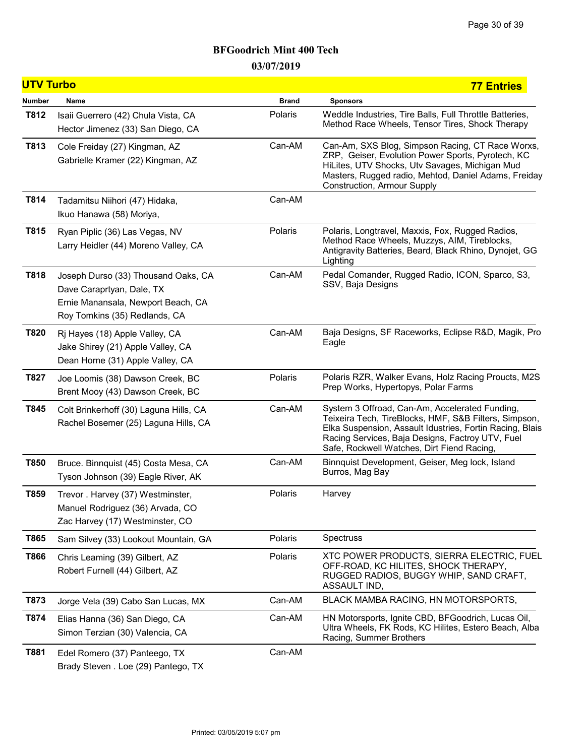| <b>UTV Turbo</b> |                                                                                                                                         |              | <b>77 Entries</b>                                                                                                                                                                                                                                                     |
|------------------|-----------------------------------------------------------------------------------------------------------------------------------------|--------------|-----------------------------------------------------------------------------------------------------------------------------------------------------------------------------------------------------------------------------------------------------------------------|
| <b>Number</b>    | Name                                                                                                                                    | <b>Brand</b> | <b>Sponsors</b>                                                                                                                                                                                                                                                       |
| T812             | Isaii Guerrero (42) Chula Vista, CA<br>Hector Jimenez (33) San Diego, CA                                                                | Polaris      | Weddle Industries, Tire Balls, Full Throttle Batteries,<br>Method Race Wheels, Tensor Tires, Shock Therapy                                                                                                                                                            |
| T813             | Cole Freiday (27) Kingman, AZ<br>Gabrielle Kramer (22) Kingman, AZ                                                                      | Can-AM       | Can-Am, SXS Blog, Simpson Racing, CT Race Worxs,<br>ZRP, Geiser, Evolution Power Sports, Pyrotech, KC<br>HiLites, UTV Shocks, Utv Savages, Michigan Mud<br>Masters, Rugged radio, Mehtod, Daniel Adams, Freiday<br><b>Construction, Armour Supply</b>                 |
| T814             | Tadamitsu Niihori (47) Hidaka,<br>Ikuo Hanawa (58) Moriya,                                                                              | Can-AM       |                                                                                                                                                                                                                                                                       |
| T815             | Ryan Piplic (36) Las Vegas, NV<br>Larry Heidler (44) Moreno Valley, CA                                                                  | Polaris      | Polaris, Longtravel, Maxxis, Fox, Rugged Radios,<br>Method Race Wheels, Muzzys, AIM, Tireblocks,<br>Antigravity Batteries, Beard, Black Rhino, Dynojet, GG<br>Lighting                                                                                                |
| T818             | Joseph Durso (33) Thousand Oaks, CA<br>Dave Caraprtyan, Dale, TX<br>Ernie Manansala, Newport Beach, CA<br>Roy Tomkins (35) Redlands, CA | Can-AM       | Pedal Comander, Rugged Radio, ICON, Sparco, S3,<br>SSV, Baja Designs                                                                                                                                                                                                  |
| T820             | Rj Hayes (18) Apple Valley, CA<br>Jake Shirey (21) Apple Valley, CA<br>Dean Horne (31) Apple Valley, CA                                 | Can-AM       | Baja Designs, SF Raceworks, Eclipse R&D, Magik, Pro<br>Eagle                                                                                                                                                                                                          |
| T827             | Joe Loomis (38) Dawson Creek, BC<br>Brent Mooy (43) Dawson Creek, BC                                                                    | Polaris      | Polaris RZR, Walker Evans, Holz Racing Proucts, M2S<br>Prep Works, Hypertopys, Polar Farms                                                                                                                                                                            |
| T845             | Colt Brinkerhoff (30) Laguna Hills, CA<br>Rachel Bosemer (25) Laguna Hills, CA                                                          | Can-AM       | System 3 Offroad, Can-Am, Accelerated Funding,<br>Teixeira Tech, TireBlocks, HMF, S&B Filters, Simpson,<br>Elka Suspension, Assault Idustries, Fortin Racing, Blais<br>Racing Services, Baja Designs, Factroy UTV, Fuel<br>Safe, Rockwell Watches, Dirt Fiend Racing, |
| T850             | Bruce. Binnquist (45) Costa Mesa, CA<br>Tyson Johnson (39) Eagle River, AK                                                              | Can-AM       | Binnquist Development, Geiser, Meg lock, Island<br>Burros, Mag Bay                                                                                                                                                                                                    |
| T859             | Trevor. Harvey (37) Westminster,<br>Manuel Rodriguez (36) Arvada, CO<br>Zac Harvey (17) Westminster, CO                                 | Polaris      | Harvey                                                                                                                                                                                                                                                                |
| T865             | Sam Silvey (33) Lookout Mountain, GA                                                                                                    | Polaris      | Spectruss                                                                                                                                                                                                                                                             |
| T866             | Chris Leaming (39) Gilbert, AZ<br>Robert Furnell (44) Gilbert, AZ                                                                       | Polaris      | XTC POWER PRODUCTS, SIERRA ELECTRIC, FUEL<br>OFF-ROAD, KC HILITES, SHOCK THERAPY,<br>RUGGED RADIOS, BUGGY WHIP, SAND CRAFT,<br>ASSAULT IND,                                                                                                                           |
| T873             | Jorge Vela (39) Cabo San Lucas, MX                                                                                                      | Can-AM       | BLACK MAMBA RACING, HN MOTORSPORTS,                                                                                                                                                                                                                                   |
| T874             | Elias Hanna (36) San Diego, CA<br>Simon Terzian (30) Valencia, CA                                                                       | Can-AM       | HN Motorsports, Ignite CBD, BFGoodrich, Lucas Oil,<br>Ultra Wheels, FK Rods, KC Hilites, Estero Beach, Alba<br>Racing, Summer Brothers                                                                                                                                |
| T881             | Edel Romero (37) Panteego, TX                                                                                                           | Can-AM       |                                                                                                                                                                                                                                                                       |

Brady Steven . Loe (29) Pantego, TX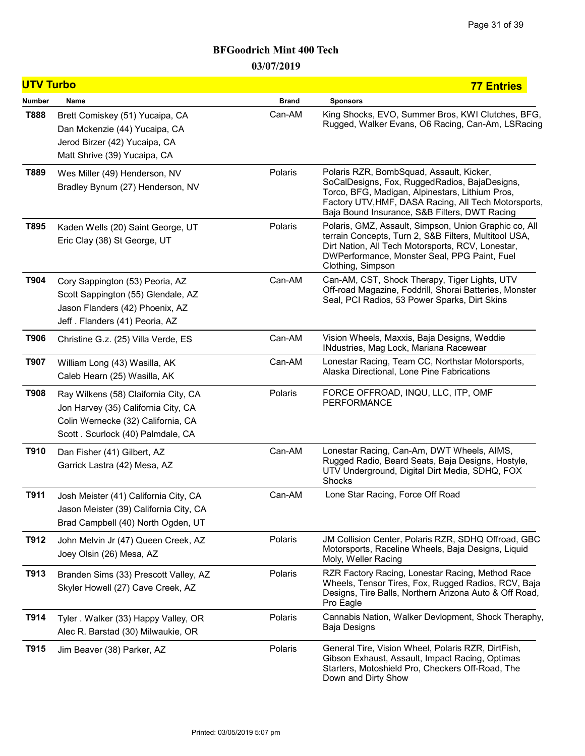| <b>UTV Turbo</b> |                                                                                                                                                         |              | <b>77 Entries</b>                                                                                                                                                                                                                                     |
|------------------|---------------------------------------------------------------------------------------------------------------------------------------------------------|--------------|-------------------------------------------------------------------------------------------------------------------------------------------------------------------------------------------------------------------------------------------------------|
| <b>Number</b>    | Name                                                                                                                                                    | <b>Brand</b> | <b>Sponsors</b>                                                                                                                                                                                                                                       |
| <b>T888</b>      | Brett Comiskey (51) Yucaipa, CA<br>Dan Mckenzie (44) Yucaipa, CA<br>Jerod Birzer (42) Yucaipa, CA<br>Matt Shrive (39) Yucaipa, CA                       | Can-AM       | King Shocks, EVO, Summer Bros, KWI Clutches, BFG,<br>Rugged, Walker Evans, O6 Racing, Can-Am, LSRacing                                                                                                                                                |
| T889             | Wes Miller (49) Henderson, NV<br>Bradley Bynum (27) Henderson, NV                                                                                       | Polaris      | Polaris RZR, BombSquad, Assault, Kicker,<br>SoCalDesigns, Fox, RuggedRadios, BajaDesigns,<br>Torco, BFG, Madigan, Alpinestars, Lithium Pros,<br>Factory UTV, HMF, DASA Racing, All Tech Motorsports,<br>Baja Bound Insurance, S&B Filters, DWT Racing |
| T895             | Kaden Wells (20) Saint George, UT<br>Eric Clay (38) St George, UT                                                                                       | Polaris      | Polaris, GMZ, Assault, Simpson, Union Graphic co, All<br>terrain Concepts, Turn 2, S&B Filters, Multitool USA,<br>Dirt Nation, All Tech Motorsports, RCV, Lonestar,<br>DWPerformance, Monster Seal, PPG Paint, Fuel<br>Clothing, Simpson              |
| T904             | Cory Sappington (53) Peoria, AZ<br>Scott Sappington (55) Glendale, AZ<br>Jason Flanders (42) Phoenix, AZ<br>Jeff. Flanders (41) Peoria, AZ              | Can-AM       | Can-AM, CST, Shock Therapy, Tiger Lights, UTV<br>Off-road Magazine, Foddrill, Shorai Batteries, Monster<br>Seal, PCI Radios, 53 Power Sparks, Dirt Skins                                                                                              |
| T906             | Christine G.z. (25) Villa Verde, ES                                                                                                                     | Can-AM       | Vision Wheels, Maxxis, Baja Designs, Weddie<br>INdustries, Mag Lock, Mariana Racewear                                                                                                                                                                 |
| T907             | William Long (43) Wasilla, AK<br>Caleb Hearn (25) Wasilla, AK                                                                                           | Can-AM       | Lonestar Racing, Team CC, Northstar Motorsports,<br>Alaska Directional, Lone Pine Fabrications                                                                                                                                                        |
| <b>T908</b>      | Ray Wilkens (58) Claifornia City, CA<br>Jon Harvey (35) California City, CA<br>Colin Wernecke (32) California, CA<br>Scott . Scurlock (40) Palmdale, CA | Polaris      | FORCE OFFROAD, INQU, LLC, ITP, OMF<br><b>PERFORMANCE</b>                                                                                                                                                                                              |
| T910             | Dan Fisher (41) Gilbert, AZ<br>Garrick Lastra (42) Mesa, AZ                                                                                             | Can-AM       | Lonestar Racing, Can-Am, DWT Wheels, AIMS,<br>Rugged Radio, Beard Seats, Baja Designs, Hostyle,<br>UTV Underground, Digital Dirt Media, SDHQ, FOX<br>Shocks                                                                                           |
| T911             | Josh Meister (41) California City, CA<br>Jason Meister (39) California City, CA<br>Brad Campbell (40) North Ogden, UT                                   | Can-AM       | Lone Star Racing, Force Off Road                                                                                                                                                                                                                      |
| T912             | John Melvin Jr (47) Queen Creek, AZ<br>Joey Olsin (26) Mesa, AZ                                                                                         | Polaris      | JM Collision Center, Polaris RZR, SDHQ Offroad, GBC<br>Motorsports, Raceline Wheels, Baja Designs, Liquid<br>Moly, Weller Racing                                                                                                                      |
| T913             | Branden Sims (33) Prescott Valley, AZ<br>Skyler Howell (27) Cave Creek, AZ                                                                              | Polaris      | RZR Factory Racing, Lonestar Racing, Method Race<br>Wheels, Tensor Tires, Fox, Rugged Radios, RCV, Baja<br>Designs, Tire Balls, Northern Arizona Auto & Off Road,<br>Pro Eagle                                                                        |
| T914             | Tyler . Walker (33) Happy Valley, OR<br>Alec R. Barstad (30) Milwaukie, OR                                                                              | Polaris      | Cannabis Nation, Walker Devlopment, Shock Theraphy,<br>Baja Designs                                                                                                                                                                                   |
| T915             | Jim Beaver (38) Parker, AZ                                                                                                                              | Polaris      | General Tire, Vision Wheel, Polaris RZR, DirtFish,<br>Gibson Exhaust, Assault, Impact Racing, Optimas<br>Starters, Motoshield Pro, Checkers Off-Road, The<br>Down and Dirty Show                                                                      |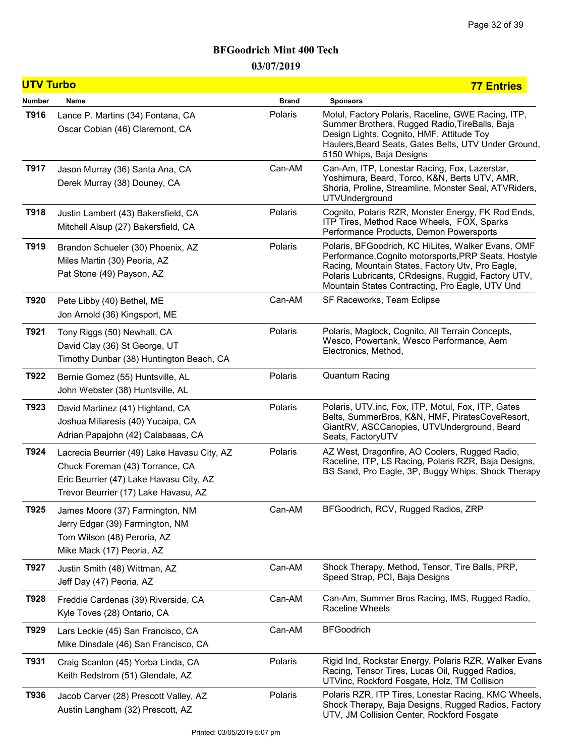| <b>UTV Turbo</b> |                                                                                                                                                                   |              | <b>77 Entries</b>                                                                                                                                                                                                                                                        |
|------------------|-------------------------------------------------------------------------------------------------------------------------------------------------------------------|--------------|--------------------------------------------------------------------------------------------------------------------------------------------------------------------------------------------------------------------------------------------------------------------------|
| Number           | Name                                                                                                                                                              | <b>Brand</b> | <b>Sponsors</b>                                                                                                                                                                                                                                                          |
| T916             | Lance P. Martins (34) Fontana, CA<br>Oscar Cobian (46) Claremont, CA                                                                                              | Polaris      | Motul, Factory Polaris, Raceline, GWE Racing, ITP,<br>Summer Brothers, Rugged Radio, TireBalls, Baja<br>Design Lights, Cognito, HMF, Attitude Toy<br>Haulers, Beard Seats, Gates Belts, UTV Under Ground,<br>5150 Whips, Baja Designs                                    |
| T917             | Jason Murray (36) Santa Ana, CA<br>Derek Murray (38) Douney, CA                                                                                                   | Can-AM       | Can-Am, ITP, Lonestar Racing, Fox, Lazerstar,<br>Yoshimura, Beard, Torco, K&N, Berts UTV, AMR,<br>Shoria, Proline, Streamline, Monster Seal, ATVRiders,<br>UTVUnderground                                                                                                |
| T918             | Justin Lambert (43) Bakersfield, CA<br>Mitchell Alsup (27) Bakersfield, CA                                                                                        | Polaris      | Cognito, Polaris RZR, Monster Energy, FK Rod Ends,<br>ITP Tires, Method Race Wheels, FOX, Sparks<br>Performance Products, Demon Powersports                                                                                                                              |
| T919             | Brandon Schueler (30) Phoenix, AZ<br>Miles Martin (30) Peoria, AZ<br>Pat Stone (49) Payson, AZ                                                                    | Polaris      | Polaris, BFGoodrich, KC HiLites, Walker Evans, OMF<br>Performance, Cognito motorsports, PRP Seats, Hostyle<br>Racing, Mountain States, Factory Utv, Pro Eagle,<br>Polaris Lubricants, CRdesigns, Ruggid, Factory UTV,<br>Mountain States Contracting, Pro Eagle, UTV Und |
| T920             | Pete Libby (40) Bethel, ME<br>Jon Arnold (36) Kingsport, ME                                                                                                       | Can-AM       | SF Raceworks, Team Eclipse                                                                                                                                                                                                                                               |
| T921             | Tony Riggs (50) Newhall, CA<br>David Clay (36) St George, UT<br>Timothy Dunbar (38) Huntington Beach, CA                                                          | Polaris      | Polaris, Maglock, Cognito, All Terrain Concepts,<br>Wesco, Powertank, Wesco Performance, Aem<br>Electronics, Method,                                                                                                                                                     |
| T922             | Bernie Gomez (55) Huntsville, AL<br>John Webster (38) Huntsville, AL                                                                                              | Polaris      | <b>Quantum Racing</b>                                                                                                                                                                                                                                                    |
| T923             | David Martinez (41) Highland, CA<br>Joshua Miliaresis (40) Yucaipa, CA<br>Adrian Papajohn (42) Calabasas, CA                                                      | Polaris      | Polaris, UTV.inc, Fox, ITP, Motul, Fox, ITP, Gates<br>Belts, SummerBros, K&N, HMF, PiratesCoveResort,<br>GiantRV, ASCCanopies, UTVUnderground, Beard<br>Seats, FactoryUTV                                                                                                |
| T924             | Lacrecia Beurrier (49) Lake Havasu City, AZ<br>Chuck Foreman (43) Torrance, CA<br>Eric Beurrier (47) Lake Havasu City, AZ<br>Trevor Beurrier (17) Lake Havasu, AZ | Polaris      | AZ West, Dragonfire, AO Coolers, Rugged Radio,<br>Raceline, ITP, LS Racing, Polaris RZR, Baja Designs,<br>BS Sand, Pro Eagle, 3P, Buggy Whips, Shock Therapy                                                                                                             |
| T925             | James Moore (37) Farmington, NM<br>Jerry Edgar (39) Farmington, NM<br>Tom Wilson (48) Peroria, AZ<br>Mike Mack (17) Peoria, AZ                                    | Can-AM       | BFGoodrich, RCV, Rugged Radios, ZRP                                                                                                                                                                                                                                      |
| T927             | Justin Smith (48) Wittman, AZ<br>Jeff Day (47) Peoria, AZ                                                                                                         | Can-AM       | Shock Therapy, Method, Tensor, Tire Balls, PRP,<br>Speed Strap, PCI, Baja Designs                                                                                                                                                                                        |
| T928             | Freddie Cardenas (39) Riverside, CA<br>Kyle Toves (28) Ontario, CA                                                                                                | Can-AM       | Can-Am, Summer Bros Racing, IMS, Rugged Radio,<br>Raceline Wheels                                                                                                                                                                                                        |
| T929             | Lars Leckie (45) San Francisco, CA<br>Mike Dinsdale (46) San Francisco, CA                                                                                        | Can-AM       | <b>BFGoodrich</b>                                                                                                                                                                                                                                                        |
| T931             | Craig Scanlon (45) Yorba Linda, CA<br>Keith Redstrom (51) Glendale, AZ                                                                                            | Polaris      | Rigid Ind, Rockstar Energy, Polaris RZR, Walker Evans<br>Racing, Tensor Tires, Lucas Oil, Rugged Radios,<br>UTVinc, Rockford Fosgate, Holz, TM Collision                                                                                                                 |
| T936             | Jacob Carver (28) Prescott Valley, AZ<br>Austin Langham (32) Prescott, AZ                                                                                         | Polaris      | Polaris RZR, ITP Tires, Lonestar Racing, KMC Wheels,<br>Shock Therapy, Baja Designs, Rugged Radios, Factory<br>UTV, JM Collision Center, Rockford Fosgate                                                                                                                |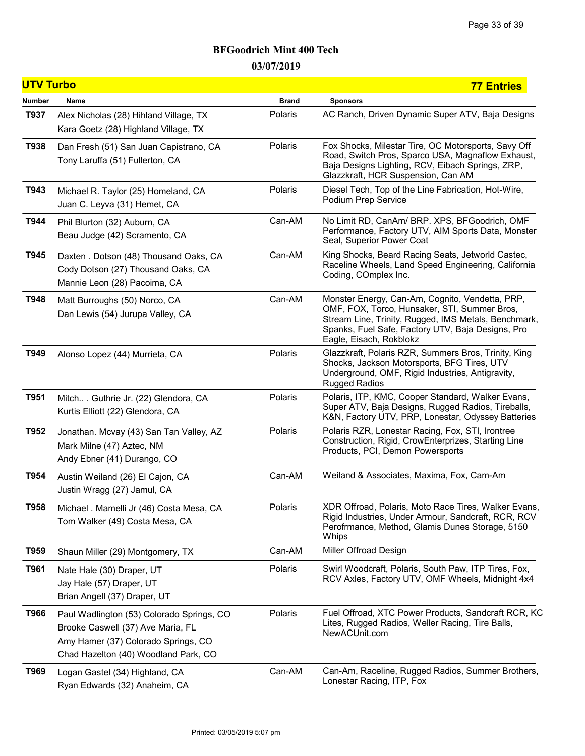| <b>UTV Turbo</b> |                                                                                                                                                               |              | <b>77 Entries</b>                                                                                                                                                                                                                       |
|------------------|---------------------------------------------------------------------------------------------------------------------------------------------------------------|--------------|-----------------------------------------------------------------------------------------------------------------------------------------------------------------------------------------------------------------------------------------|
| <b>Number</b>    | Name                                                                                                                                                          | <b>Brand</b> | <b>Sponsors</b>                                                                                                                                                                                                                         |
| T937             | Alex Nicholas (28) Hihland Village, TX<br>Kara Goetz (28) Highland Village, TX                                                                                | Polaris      | AC Ranch, Driven Dynamic Super ATV, Baja Designs                                                                                                                                                                                        |
| T938             | Dan Fresh (51) San Juan Capistrano, CA<br>Tony Laruffa (51) Fullerton, CA                                                                                     | Polaris      | Fox Shocks, Milestar Tire, OC Motorsports, Savy Off<br>Road, Switch Pros, Sparco USA, Magnaflow Exhaust,<br>Baja Designs Lighting, RCV, Eibach Springs, ZRP,<br>Glazzkraft, HCR Suspension, Can AM                                      |
| T943             | Michael R. Taylor (25) Homeland, CA<br>Juan C. Leyva (31) Hemet, CA                                                                                           | Polaris      | Diesel Tech, Top of the Line Fabrication, Hot-Wire,<br>Podium Prep Service                                                                                                                                                              |
| T944             | Phil Blurton (32) Auburn, CA<br>Beau Judge (42) Scramento, CA                                                                                                 | Can-AM       | No Limit RD, CanAm/ BRP. XPS, BFGoodrich, OMF<br>Performance, Factory UTV, AIM Sports Data, Monster<br>Seal, Superior Power Coat                                                                                                        |
| T945             | Daxten . Dotson (48) Thousand Oaks, CA<br>Cody Dotson (27) Thousand Oaks, CA<br>Mannie Leon (28) Pacoima, CA                                                  | Can-AM       | King Shocks, Beard Racing Seats, Jetworld Castec,<br>Raceline Wheels, Land Speed Engineering, California<br>Coding, COmplex Inc.                                                                                                        |
| T948             | Matt Burroughs (50) Norco, CA<br>Dan Lewis (54) Jurupa Valley, CA                                                                                             | Can-AM       | Monster Energy, Can-Am, Cognito, Vendetta, PRP,<br>OMF, FOX, Torco, Hunsaker, STI, Summer Bros,<br>Stream Line, Trinity, Rugged, IMS Metals, Benchmark,<br>Spanks, Fuel Safe, Factory UTV, Baja Designs, Pro<br>Eagle, Eisach, Rokblokz |
| T949             | Alonso Lopez (44) Murrieta, CA                                                                                                                                | Polaris      | Glazzkraft, Polaris RZR, Summers Bros, Trinity, King<br>Shocks, Jackson Motorsports, BFG Tires, UTV<br>Underground, OMF, Rigid Industries, Antigravity,<br><b>Rugged Radios</b>                                                         |
| T951             | Mitch Guthrie Jr. (22) Glendora, CA<br>Kurtis Elliott (22) Glendora, CA                                                                                       | Polaris      | Polaris, ITP, KMC, Cooper Standard, Walker Evans,<br>Super ATV, Baja Designs, Rugged Radios, Tireballs,<br>K&N, Factory UTV, PRP, Lonestar, Odyssey Batteries                                                                           |
| T952             | Jonathan. Mcvay (43) San Tan Valley, AZ<br>Mark Milne (47) Aztec, NM<br>Andy Ebner (41) Durango, CO                                                           | Polaris      | Polaris RZR, Lonestar Racing, Fox, STI, Irontree<br>Construction, Rigid, CrowEnterprizes, Starting Line<br>Products, PCI, Demon Powersports                                                                                             |
| T954             | Austin Weiland (26) El Cajon, CA<br>Justin Wragg (27) Jamul, CA                                                                                               | Can-AM       | Weiland & Associates, Maxima, Fox, Cam-Am                                                                                                                                                                                               |
| T958             | Michael . Mamelli Jr (46) Costa Mesa, CA<br>Tom Walker (49) Costa Mesa, CA                                                                                    | Polaris      | XDR Offroad, Polaris, Moto Race Tires, Walker Evans,<br>Rigid Industries, Under Armour, Sandcraft, RCR, RCV<br>Perofrmance, Method, Glamis Dunes Storage, 5150<br>Whips                                                                 |
| T959             | Shaun Miller (29) Montgomery, TX                                                                                                                              | Can-AM       | Miller Offroad Design                                                                                                                                                                                                                   |
| T961             | Nate Hale (30) Draper, UT<br>Jay Hale (57) Draper, UT<br>Brian Angell (37) Draper, UT                                                                         | Polaris      | Swirl Woodcraft, Polaris, South Paw, ITP Tires, Fox,<br>RCV Axles, Factory UTV, OMF Wheels, Midnight 4x4                                                                                                                                |
| T966             | Paul Wadlington (53) Colorado Springs, CO<br>Brooke Caswell (37) Ave Maria, FL<br>Amy Hamer (37) Colorado Springs, CO<br>Chad Hazelton (40) Woodland Park, CO | Polaris      | Fuel Offroad, XTC Power Products, Sandcraft RCR, KC<br>Lites, Rugged Radios, Weller Racing, Tire Balls,<br>NewACUnit.com                                                                                                                |
| T969             | Logan Gastel (34) Highland, CA<br>Ryan Edwards (32) Anaheim, CA                                                                                               | Can-AM       | Can-Am, Raceline, Rugged Radios, Summer Brothers,<br>Lonestar Racing, ITP, Fox                                                                                                                                                          |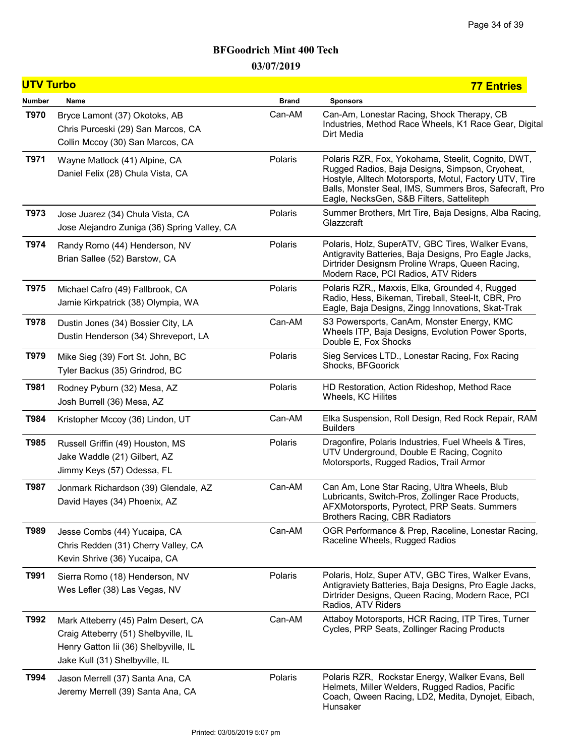| <b>UTV Turbo</b> |                                                                                                                                                        |              | <b>77 Entries</b>                                                                                                                                                                                                                                                      |
|------------------|--------------------------------------------------------------------------------------------------------------------------------------------------------|--------------|------------------------------------------------------------------------------------------------------------------------------------------------------------------------------------------------------------------------------------------------------------------------|
| Number           | Name                                                                                                                                                   | <b>Brand</b> | <b>Sponsors</b>                                                                                                                                                                                                                                                        |
| T970             | Bryce Lamont (37) Okotoks, AB<br>Chris Purceski (29) San Marcos, CA<br>Collin Mccoy (30) San Marcos, CA                                                | Can-AM       | Can-Am, Lonestar Racing, Shock Therapy, CB<br>Industries, Method Race Wheels, K1 Race Gear, Digital<br>Dirt Media                                                                                                                                                      |
| T971             | Wayne Matlock (41) Alpine, CA<br>Daniel Felix (28) Chula Vista, CA                                                                                     | Polaris      | Polaris RZR, Fox, Yokohama, Steelit, Cognito, DWT,<br>Rugged Radios, Baja Designs, Simpson, Cryoheat,<br>Hostyle, Alltech Motorsports, Motul, Factory UTV, Tire<br>Balls, Monster Seal, IMS, Summers Bros, Safecraft, Pro<br>Eagle, NecksGen, S&B Filters, Satteliteph |
| T973             | Jose Juarez (34) Chula Vista, CA<br>Jose Alejandro Zuniga (36) Spring Valley, CA                                                                       | Polaris      | Summer Brothers, Mrt Tire, Baja Designs, Alba Racing,<br>Glazzcraft                                                                                                                                                                                                    |
| T974             | Randy Romo (44) Henderson, NV<br>Brian Sallee (52) Barstow, CA                                                                                         | Polaris      | Polaris, Holz, SuperATV, GBC Tires, Walker Evans,<br>Antigravity Batteries, Baja Designs, Pro Eagle Jacks,<br>Dirtrider Designsm Proline Wraps, Queen Racing,<br>Modern Race, PCI Radios, ATV Riders                                                                   |
| T975             | Michael Cafro (49) Fallbrook, CA<br>Jamie Kirkpatrick (38) Olympia, WA                                                                                 | Polaris      | Polaris RZR,, Maxxis, Elka, Grounded 4, Rugged<br>Radio, Hess, Bikeman, Tireball, Steel-It, CBR, Pro<br>Eagle, Baja Designs, Zingg Innovations, Skat-Trak                                                                                                              |
| T978             | Dustin Jones (34) Bossier City, LA<br>Dustin Henderson (34) Shreveport, LA                                                                             | Can-AM       | S3 Powersports, CanAm, Monster Energy, KMC<br>Wheels ITP, Baja Designs, Evolution Power Sports,<br>Double E, Fox Shocks                                                                                                                                                |
| T979             | Mike Sieg (39) Fort St. John, BC<br>Tyler Backus (35) Grindrod, BC                                                                                     | Polaris      | Sieg Services LTD., Lonestar Racing, Fox Racing<br>Shocks, BFGoorick                                                                                                                                                                                                   |
| T981             | Rodney Pyburn (32) Mesa, AZ<br>Josh Burrell (36) Mesa, AZ                                                                                              | Polaris      | HD Restoration, Action Rideshop, Method Race<br>Wheels, KC Hilites                                                                                                                                                                                                     |
| T984             | Kristopher Mccoy (36) Lindon, UT                                                                                                                       | Can-AM       | Elka Suspension, Roll Design, Red Rock Repair, RAM<br><b>Builders</b>                                                                                                                                                                                                  |
| T985             | Russell Griffin (49) Houston, MS<br>Jake Waddle (21) Gilbert, AZ<br>Jimmy Keys (57) Odessa, FL                                                         | Polaris      | Dragonfire, Polaris Industries, Fuel Wheels & Tires,<br>UTV Underground, Double E Racing, Cognito<br>Motorsports, Rugged Radios, Trail Armor                                                                                                                           |
| T987             | Jonmark Richardson (39) Glendale, AZ<br>David Hayes (34) Phoenix, AZ                                                                                   | Can-AM       | Can Am, Lone Star Racing, Ultra Wheels, Blub<br>Lubricants, Switch-Pros, Zollinger Race Products,<br>AFXMotorsports, Pyrotect, PRP Seats. Summers<br><b>Brothers Racing, CBR Radiators</b>                                                                             |
| T989             | Jesse Combs (44) Yucaipa, CA<br>Chris Redden (31) Cherry Valley, CA<br>Kevin Shrive (36) Yucaipa, CA                                                   | Can-AM       | OGR Performance & Prep, Raceline, Lonestar Racing,<br>Raceline Wheels, Rugged Radios                                                                                                                                                                                   |
| T991             | Sierra Romo (18) Henderson, NV<br>Wes Lefler (38) Las Vegas, NV                                                                                        | Polaris      | Polaris, Holz, Super ATV, GBC Tires, Walker Evans,<br>Antigraviety Batteries, Baja Designs, Pro Eagle Jacks,<br>Dirtrider Designs, Queen Racing, Modern Race, PCI<br>Radios, ATV Riders                                                                                |
| T992             | Mark Atteberry (45) Palm Desert, CA<br>Craig Atteberry (51) Shelbyville, IL<br>Henry Gatton Iii (36) Shelbyville, IL<br>Jake Kull (31) Shelbyville, IL | Can-AM       | Attaboy Motorsports, HCR Racing, ITP Tires, Turner<br>Cycles, PRP Seats, Zollinger Racing Products                                                                                                                                                                     |
| T994             | Jason Merrell (37) Santa Ana, CA<br>Jeremy Merrell (39) Santa Ana, CA                                                                                  | Polaris      | Polaris RZR, Rockstar Energy, Walker Evans, Bell<br>Helmets, Miller Welders, Rugged Radios, Pacific<br>Coach, Qween Racing, LD2, Medita, Dynojet, Eibach,<br>Hunsaker                                                                                                  |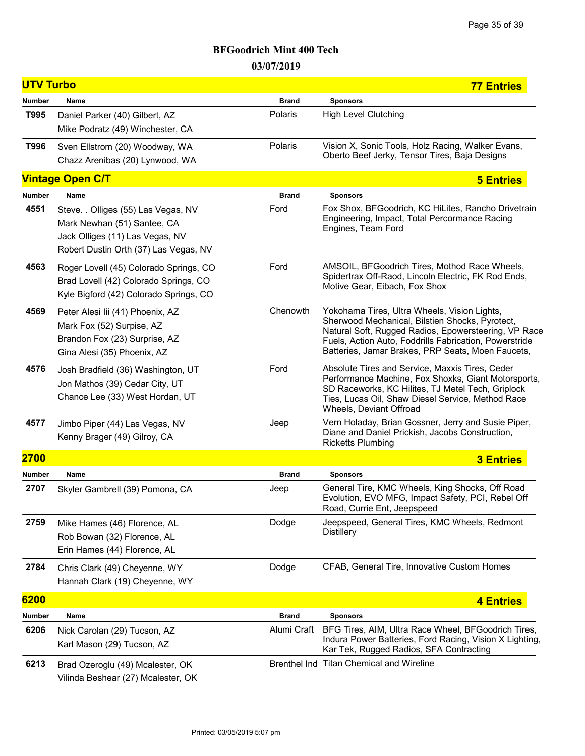| <b>UTV Turbo</b> |                                                                                                                                                |              | <b>77 Entries</b>                                                                                                                                                                                                                                                      |
|------------------|------------------------------------------------------------------------------------------------------------------------------------------------|--------------|------------------------------------------------------------------------------------------------------------------------------------------------------------------------------------------------------------------------------------------------------------------------|
| <b>Number</b>    | Name                                                                                                                                           | <b>Brand</b> | <b>Sponsors</b>                                                                                                                                                                                                                                                        |
| T995             | Daniel Parker (40) Gilbert, AZ<br>Mike Podratz (49) Winchester, CA                                                                             | Polaris      | <b>High Level Clutching</b>                                                                                                                                                                                                                                            |
| T996             | Sven Ellstrom (20) Woodway, WA<br>Chazz Arenibas (20) Lynwood, WA                                                                              | Polaris      | Vision X, Sonic Tools, Holz Racing, Walker Evans,<br>Oberto Beef Jerky, Tensor Tires, Baja Designs                                                                                                                                                                     |
|                  | <b>Vintage Open C/T</b>                                                                                                                        |              | <b>5 Entries</b>                                                                                                                                                                                                                                                       |
| Number           | Name                                                                                                                                           | <b>Brand</b> | <b>Sponsors</b>                                                                                                                                                                                                                                                        |
| 4551             | Steve. . Olliges (55) Las Vegas, NV<br>Mark Newhan (51) Santee, CA<br>Jack Olliges (11) Las Vegas, NV<br>Robert Dustin Orth (37) Las Vegas, NV | Ford         | Fox Shox, BFGoodrich, KC HiLites, Rancho Drivetrain<br>Engineering, Impact, Total Percormance Racing<br>Engines, Team Ford                                                                                                                                             |
| 4563             | Roger Lovell (45) Colorado Springs, CO<br>Brad Lovell (42) Colorado Springs, CO<br>Kyle Bigford (42) Colorado Springs, CO                      | Ford         | AMSOIL, BFGoodrich Tires, Mothod Race Wheels,<br>Spidertrax Off-Raod, Lincoln Electric, FK Rod Ends,<br>Motive Gear, Eibach, Fox Shox                                                                                                                                  |
| 4569             | Peter Alesi lii (41) Phoenix, AZ<br>Mark Fox (52) Surpise, AZ<br>Brandon Fox (23) Surprise, AZ<br>Gina Alesi (35) Phoenix, AZ                  | Chenowth     | Yokohama Tires, Ultra Wheels, Vision Lights,<br>Sherwood Mechanical, Bilstien Shocks, Pyrotect,<br>Natural Soft, Rugged Radios, Epowersteering, VP Race<br>Fuels, Action Auto, Foddrills Fabrication, Powerstride<br>Batteries, Jamar Brakes, PRP Seats, Moen Faucets, |
| 4576             | Josh Bradfield (36) Washington, UT<br>Jon Mathos (39) Cedar City, UT<br>Chance Lee (33) West Hordan, UT                                        | Ford         | Absolute Tires and Service, Maxxis Tires, Ceder<br>Performance Machine, Fox Shoxks, Giant Motorsports,<br>SD Raceworks, KC Hilites, TJ Metel Tech, Griplock<br>Ties, Lucas Oil, Shaw Diesel Service, Method Race<br>Wheels, Deviant Offroad                            |
| 4577             | Jimbo Piper (44) Las Vegas, NV<br>Kenny Brager (49) Gilroy, CA                                                                                 | Jeep         | Vern Holaday, Brian Gossner, Jerry and Susie Piper,<br>Diane and Daniel Prickish, Jacobs Construction,<br><b>Ricketts Plumbing</b>                                                                                                                                     |
| 2700             |                                                                                                                                                |              | <b>3 Entries</b>                                                                                                                                                                                                                                                       |
| Number           | Name                                                                                                                                           | <b>Brand</b> | <b>Sponsors</b>                                                                                                                                                                                                                                                        |
| 2707             | Skyler Gambrell (39) Pomona, CA                                                                                                                | Jeep         | General Tire, KMC Wheels, King Shocks, Off Road<br>Evolution, EVO MFG, Impact Safety, PCI, Rebel Off<br>Road, Currie Ent, Jeepspeed                                                                                                                                    |
| 2759             | Mike Hames (46) Florence, AL<br>Rob Bowan (32) Florence, AL<br>Erin Hames (44) Florence, AL                                                    | Dodge        | Jeepspeed, General Tires, KMC Wheels, Redmont<br><b>Distillery</b>                                                                                                                                                                                                     |
| 2784             | Chris Clark (49) Cheyenne, WY<br>Hannah Clark (19) Cheyenne, WY                                                                                | Dodge        | CFAB, General Tire, Innovative Custom Homes                                                                                                                                                                                                                            |
| 6200             |                                                                                                                                                |              | 4 Entries                                                                                                                                                                                                                                                              |
| Number           | Name                                                                                                                                           | <b>Brand</b> | <b>Sponsors</b>                                                                                                                                                                                                                                                        |
| 6206             | Nick Carolan (29) Tucson, AZ<br>Karl Mason (29) Tucson, AZ                                                                                     | Alumi Craft  | BFG Tires, AIM, Ultra Race Wheel, BFGoodrich Tires,<br>Indura Power Batteries, Ford Racing, Vision X Lighting,<br>Kar Tek, Rugged Radios, SFA Contracting                                                                                                              |
| 6213             | Brad Ozeroglu (49) Mcalester, OK<br>Vilinda Beshear (27) Mcalester, OK                                                                         |              | Brenthel Ind Titan Chemical and Wireline                                                                                                                                                                                                                               |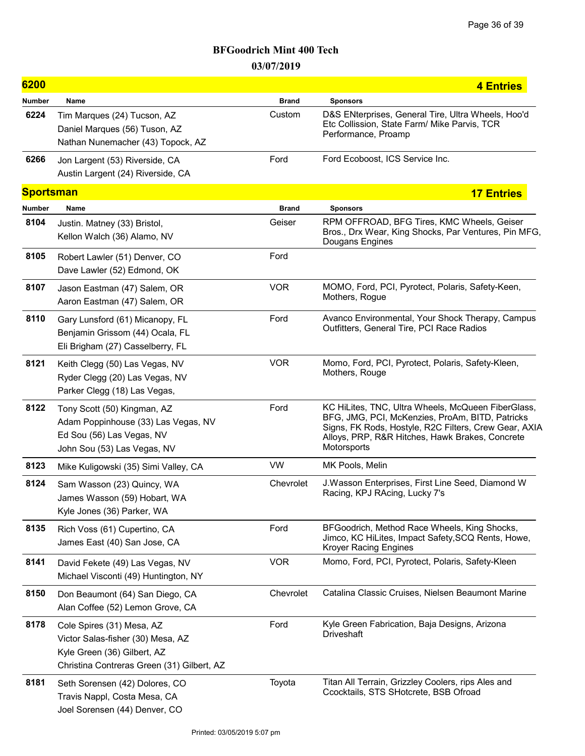| 6200             |                                                                                                                                             |              | 4 Entries                                                                                                                                                                                                                        |
|------------------|---------------------------------------------------------------------------------------------------------------------------------------------|--------------|----------------------------------------------------------------------------------------------------------------------------------------------------------------------------------------------------------------------------------|
| <b>Number</b>    | Name                                                                                                                                        | <b>Brand</b> | <b>Sponsors</b>                                                                                                                                                                                                                  |
| 6224             | Tim Marques (24) Tucson, AZ<br>Daniel Marques (56) Tuson, AZ<br>Nathan Nunemacher (43) Topock, AZ                                           | Custom       | D&S ENterprises, General Tire, Ultra Wheels, Hoo'd<br>Etc Collission, State Farm/ Mike Parvis, TCR<br>Performance, Proamp                                                                                                        |
| 6266             | Jon Largent (53) Riverside, CA<br>Austin Largent (24) Riverside, CA                                                                         | Ford         | Ford Ecoboost, ICS Service Inc.                                                                                                                                                                                                  |
| <b>Sportsman</b> |                                                                                                                                             |              | <b>17 Entries</b>                                                                                                                                                                                                                |
| <b>Number</b>    | Name                                                                                                                                        | <b>Brand</b> | <b>Sponsors</b>                                                                                                                                                                                                                  |
| 8104             | Justin. Matney (33) Bristol,<br>Kellon Walch (36) Alamo, NV                                                                                 | Geiser       | RPM OFFROAD, BFG Tires, KMC Wheels, Geiser<br>Bros., Drx Wear, King Shocks, Par Ventures, Pin MFG,<br>Dougans Engines                                                                                                            |
| 8105             | Robert Lawler (51) Denver, CO<br>Dave Lawler (52) Edmond, OK                                                                                | Ford         |                                                                                                                                                                                                                                  |
| 8107             | Jason Eastman (47) Salem, OR<br>Aaron Eastman (47) Salem, OR                                                                                | <b>VOR</b>   | MOMO, Ford, PCI, Pyrotect, Polaris, Safety-Keen,<br>Mothers, Rogue                                                                                                                                                               |
| 8110             | Gary Lunsford (61) Micanopy, FL<br>Benjamin Grissom (44) Ocala, FL<br>Eli Brigham (27) Casselberry, FL                                      | Ford         | Avanco Environmental, Your Shock Therapy, Campus<br>Outfitters, General Tire, PCI Race Radios                                                                                                                                    |
| 8121             | Keith Clegg (50) Las Vegas, NV<br>Ryder Clegg (20) Las Vegas, NV<br>Parker Clegg (18) Las Vegas,                                            | <b>VOR</b>   | Momo, Ford, PCI, Pyrotect, Polaris, Safety-Kleen,<br>Mothers, Rouge                                                                                                                                                              |
| 8122             | Tony Scott (50) Kingman, AZ<br>Adam Poppinhouse (33) Las Vegas, NV<br>Ed Sou (56) Las Vegas, NV<br>John Sou (53) Las Vegas, NV              | Ford         | KC HiLites, TNC, Ultra Wheels, McQueen FiberGlass,<br>BFG, JMG, PCI, McKenzies, ProAm, BITD, Patricks<br>Signs, FK Rods, Hostyle, R2C Filters, Crew Gear, AXIA<br>Alloys, PRP, R&R Hitches, Hawk Brakes, Concrete<br>Motorsports |
| 8123             | Mike Kuligowski (35) Simi Valley, CA                                                                                                        | <b>VW</b>    | MK Pools, Melin                                                                                                                                                                                                                  |
| 8124             | Sam Wasson (23) Quincy, WA<br>James Wasson (59) Hobart, WA<br>Kyle Jones (36) Parker, WA                                                    | Chevrolet    | J. Wasson Enterprises, First Line Seed, Diamond W<br>Racing, KPJ RAcing, Lucky 7's                                                                                                                                               |
| 8135             | Rich Voss (61) Cupertino, CA<br>James East (40) San Jose, CA                                                                                | Ford         | BFGoodrich, Method Race Wheels, King Shocks,<br>Jimco, KC HiLites, Impact Safety, SCQ Rents, Howe,<br><b>Kroyer Racing Engines</b>                                                                                               |
| 8141             | David Fekete (49) Las Vegas, NV<br>Michael Visconti (49) Huntington, NY                                                                     | <b>VOR</b>   | Momo, Ford, PCI, Pyrotect, Polaris, Safety-Kleen                                                                                                                                                                                 |
| 8150             | Don Beaumont (64) San Diego, CA<br>Alan Coffee (52) Lemon Grove, CA                                                                         | Chevrolet    | Catalina Classic Cruises, Nielsen Beaumont Marine                                                                                                                                                                                |
| 8178             | Cole Spires (31) Mesa, AZ<br>Victor Salas-fisher (30) Mesa, AZ<br>Kyle Green (36) Gilbert, AZ<br>Christina Contreras Green (31) Gilbert, AZ | Ford         | Kyle Green Fabrication, Baja Designs, Arizona<br>Driveshaft                                                                                                                                                                      |
| 8181             | Seth Sorensen (42) Dolores, CO<br>Travis Nappl, Costa Mesa, CA<br>Joel Sorensen (44) Denver, CO                                             | Toyota       | Titan All Terrain, Grizzley Coolers, rips Ales and<br>Ccocktails, STS SHotcrete, BSB Ofroad                                                                                                                                      |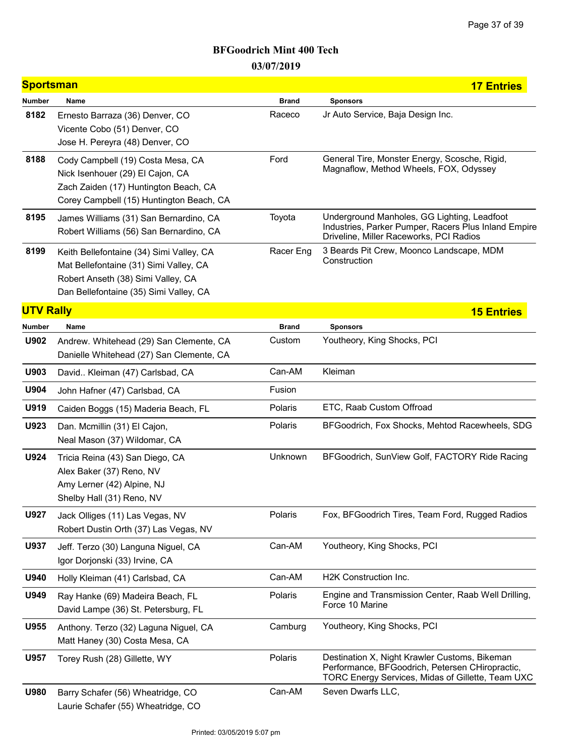| <b>Sportsman</b><br><b>17 Entries</b> |                                                                                                                                                                    |              |                                                                                                                                                       |  |  |
|---------------------------------------|--------------------------------------------------------------------------------------------------------------------------------------------------------------------|--------------|-------------------------------------------------------------------------------------------------------------------------------------------------------|--|--|
| Number                                | Name                                                                                                                                                               | <b>Brand</b> | <b>Sponsors</b>                                                                                                                                       |  |  |
| 8182                                  | Ernesto Barraza (36) Denver, CO<br>Vicente Cobo (51) Denver, CO<br>Jose H. Pereyra (48) Denver, CO                                                                 | Raceco       | Jr Auto Service, Baja Design Inc.                                                                                                                     |  |  |
| 8188                                  | Cody Campbell (19) Costa Mesa, CA<br>Nick Isenhouer (29) El Cajon, CA<br>Zach Zaiden (17) Huntington Beach, CA<br>Corey Campbell (15) Huntington Beach, CA         | Ford         | General Tire, Monster Energy, Scosche, Rigid,<br>Magnaflow, Method Wheels, FOX, Odyssey                                                               |  |  |
| 8195                                  | James Williams (31) San Bernardino, CA<br>Robert Williams (56) San Bernardino, CA                                                                                  | Toyota       | Underground Manholes, GG Lighting, Leadfoot<br>Industries, Parker Pumper, Racers Plus Inland Empire<br>Driveline, Miller Raceworks, PCI Radios        |  |  |
| 8199                                  | Keith Bellefontaine (34) Simi Valley, CA<br>Mat Bellefontaine (31) Simi Valley, CA<br>Robert Anseth (38) Simi Valley, CA<br>Dan Bellefontaine (35) Simi Valley, CA | Racer Eng    | 3 Beards Pit Crew, Moonco Landscape, MDM<br>Construction                                                                                              |  |  |
| <b>UTV Rally</b>                      |                                                                                                                                                                    |              | <b>15 Entries</b>                                                                                                                                     |  |  |
| Number                                | Name                                                                                                                                                               | <b>Brand</b> | <b>Sponsors</b>                                                                                                                                       |  |  |
| U902                                  | Andrew. Whitehead (29) San Clemente, CA<br>Danielle Whitehead (27) San Clemente, CA                                                                                | Custom       | Youtheory, King Shocks, PCI                                                                                                                           |  |  |
| U903                                  | David Kleiman (47) Carlsbad, CA                                                                                                                                    | Can-AM       | Kleiman                                                                                                                                               |  |  |
| U904                                  | John Hafner (47) Carlsbad, CA                                                                                                                                      | Fusion       |                                                                                                                                                       |  |  |
| U919                                  | Caiden Boggs (15) Maderia Beach, FL                                                                                                                                | Polaris      | ETC, Raab Custom Offroad                                                                                                                              |  |  |
| U923                                  | Dan. Mcmillin (31) El Cajon,<br>Neal Mason (37) Wildomar, CA                                                                                                       | Polaris      | BFGoodrich, Fox Shocks, Mehtod Racewheels, SDG                                                                                                        |  |  |
| U924                                  | Tricia Reina (43) San Diego, CA<br>Alex Baker (37) Reno, NV<br>Amy Lerner (42) Alpine, NJ<br>Shelby Hall (31) Reno, NV                                             | Unknown      | BFGoodrich, SunView Golf, FACTORY Ride Racing                                                                                                         |  |  |
| U927                                  | Jack Olliges (11) Las Vegas, NV<br>Robert Dustin Orth (37) Las Vegas, NV                                                                                           | Polaris      | Fox, BFGoodrich Tires, Team Ford, Rugged Radios                                                                                                       |  |  |
| U937                                  | Jeff. Terzo (30) Languna Niguel, CA<br>Igor Dorjonski (33) Irvine, CA                                                                                              | Can-AM       | Youtheory, King Shocks, PCI                                                                                                                           |  |  |
| U940                                  | Holly Kleiman (41) Carlsbad, CA                                                                                                                                    | Can-AM       | H2K Construction Inc.                                                                                                                                 |  |  |
| U949                                  | Ray Hanke (69) Madeira Beach, FL<br>David Lampe (36) St. Petersburg, FL                                                                                            | Polaris      | Engine and Transmission Center, Raab Well Drilling,<br>Force 10 Marine                                                                                |  |  |
| U955                                  | Anthony. Terzo (32) Laguna Niguel, CA<br>Matt Haney (30) Costa Mesa, CA                                                                                            | Camburg      | Youtheory, King Shocks, PCI                                                                                                                           |  |  |
| U957                                  | Torey Rush (28) Gillette, WY                                                                                                                                       | Polaris      | Destination X, Night Krawler Customs, Bikeman<br>Performance, BFGoodrich, Petersen CHiropractic,<br>TORC Energy Services, Midas of Gillette, Team UXC |  |  |
| U980                                  | Barry Schafer (56) Wheatridge, CO<br>Laurie Schafer (55) Wheatridge, CO                                                                                            | Can-AM       | Seven Dwarfs LLC,                                                                                                                                     |  |  |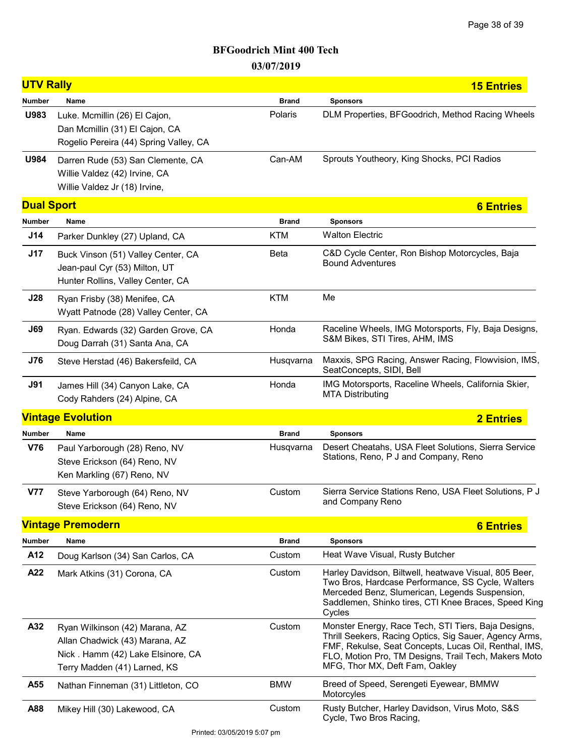| <b>UTV Rally</b>  |                                                                                                                                       |              | <b>15 Entries</b>                                                                                                                                                                                                                                                |
|-------------------|---------------------------------------------------------------------------------------------------------------------------------------|--------------|------------------------------------------------------------------------------------------------------------------------------------------------------------------------------------------------------------------------------------------------------------------|
| <b>Number</b>     | Name                                                                                                                                  | <b>Brand</b> | <b>Sponsors</b>                                                                                                                                                                                                                                                  |
| U983              | Luke. Mcmillin (26) El Cajon,<br>Dan Mcmillin (31) El Cajon, CA<br>Rogelio Pereira (44) Spring Valley, CA                             | Polaris      | DLM Properties, BFGoodrich, Method Racing Wheels                                                                                                                                                                                                                 |
| U984              | Darren Rude (53) San Clemente, CA<br>Willie Valdez (42) Irvine, CA<br>Willie Valdez Jr (18) Irvine,                                   | Can-AM       | Sprouts Youtheory, King Shocks, PCI Radios                                                                                                                                                                                                                       |
| <b>Dual Sport</b> |                                                                                                                                       |              | <b>6 Entries</b>                                                                                                                                                                                                                                                 |
| Number            | Name                                                                                                                                  | <b>Brand</b> | <b>Sponsors</b>                                                                                                                                                                                                                                                  |
| J14               | Parker Dunkley (27) Upland, CA                                                                                                        | <b>KTM</b>   | <b>Walton Electric</b>                                                                                                                                                                                                                                           |
| J17               | Buck Vinson (51) Valley Center, CA<br>Jean-paul Cyr (53) Milton, UT<br>Hunter Rollins, Valley Center, CA                              | Beta         | C&D Cycle Center, Ron Bishop Motorcycles, Baja<br><b>Bound Adventures</b>                                                                                                                                                                                        |
| J28               | Ryan Frisby (38) Menifee, CA<br>Wyatt Patnode (28) Valley Center, CA                                                                  | <b>KTM</b>   | Me                                                                                                                                                                                                                                                               |
| <b>J69</b>        | Ryan. Edwards (32) Garden Grove, CA<br>Doug Darrah (31) Santa Ana, CA                                                                 | Honda        | Raceline Wheels, IMG Motorsports, Fly, Baja Designs,<br>S&M Bikes, STI Tires, AHM, IMS                                                                                                                                                                           |
| <b>J76</b>        | Steve Herstad (46) Bakersfeild, CA                                                                                                    | Husqvarna    | Maxxis, SPG Racing, Answer Racing, Flowvision, IMS,<br>SeatConcepts, SIDI, Bell                                                                                                                                                                                  |
| <b>J91</b>        | James Hill (34) Canyon Lake, CA<br>Cody Rahders (24) Alpine, CA                                                                       | Honda        | IMG Motorsports, Raceline Wheels, California Skier,<br><b>MTA Distributing</b>                                                                                                                                                                                   |
|                   | <b>Vintage Evolution</b>                                                                                                              |              | <b>2 Entries</b>                                                                                                                                                                                                                                                 |
| <b>Number</b>     | Name                                                                                                                                  | <b>Brand</b> | <b>Sponsors</b>                                                                                                                                                                                                                                                  |
| <b>V76</b>        | Paul Yarborough (28) Reno, NV<br>Steve Erickson (64) Reno, NV<br>Ken Markling (67) Reno, NV                                           | Husqvarna    | Desert Cheatahs, USA Fleet Solutions, Sierra Service<br>Stations, Reno, P J and Company, Reno                                                                                                                                                                    |
| <b>V77</b>        | Steve Yarborough (64) Reno, NV<br>Steve Erickson (64) Reno, NV                                                                        | Custom       | Sierra Service Stations Reno, USA Fleet Solutions, P J<br>and Company Reno                                                                                                                                                                                       |
|                   | <b>Vintage Premodern</b>                                                                                                              |              | <b>6 Entries</b>                                                                                                                                                                                                                                                 |
| <b>Number</b>     | Name                                                                                                                                  | <b>Brand</b> | <b>Sponsors</b>                                                                                                                                                                                                                                                  |
| A12               | Doug Karlson (34) San Carlos, CA                                                                                                      | Custom       | Heat Wave Visual, Rusty Butcher                                                                                                                                                                                                                                  |
| A22               | Mark Atkins (31) Corona, CA                                                                                                           | Custom       | Harley Davidson, Biltwell, heatwave Visual, 805 Beer,<br>Two Bros, Hardcase Performance, SS Cycle, Walters<br>Merceded Benz, Slumerican, Legends Suspension,<br>Saddlemen, Shinko tires, CTI Knee Braces, Speed King<br>Cycles                                   |
| A32               | Ryan Wilkinson (42) Marana, AZ<br>Allan Chadwick (43) Marana, AZ<br>Nick. Hamm (42) Lake Elsinore, CA<br>Terry Madden (41) Larned, KS | Custom       | Monster Energy, Race Tech, STI Tiers, Baja Designs,<br>Thrill Seekers, Racing Optics, Sig Sauer, Agency Arms,<br>FMF, Rekulse, Seat Concepts, Lucas Oil, Renthal, IMS,<br>FLO, Motion Pro, TM Designs, Trail Tech, Makers Moto<br>MFG, Thor MX, Deft Fam, Oakley |
| A55               | Nathan Finneman (31) Littleton, CO                                                                                                    | <b>BMW</b>   | Breed of Speed, Serengeti Eyewear, BMMW<br>Motorcyles                                                                                                                                                                                                            |
| A88               | Mikey Hill (30) Lakewood, CA                                                                                                          | Custom       | Rusty Butcher, Harley Davidson, Virus Moto, S&S<br>Cycle, Two Bros Racing,                                                                                                                                                                                       |